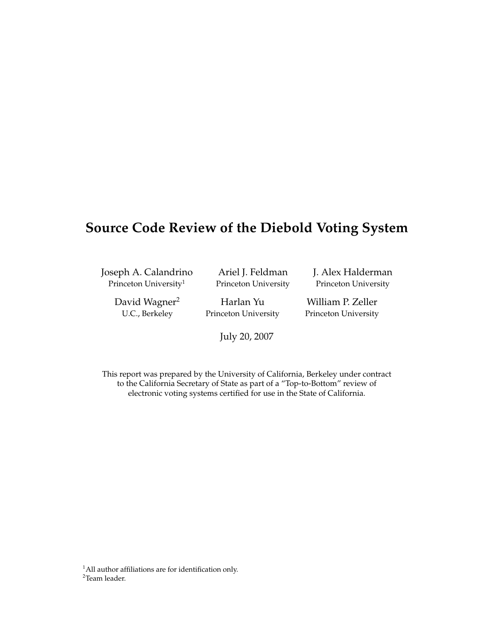## **Source Code Review of the Diebold Voting System**

Joseph A. Calandrino Princeton University<sup>1</sup>

Ariel J. Feldman Princeton University J. Alex Halderman Princeton University

David Wagner<sup>2</sup> U.C., Berkeley

Harlan Yu Princeton University

July 20, 2007

William P. Zeller Princeton University

This report was prepared by the University of California, Berkeley under contract to the California Secretary of State as part of a "Top-to-Bottom" review of electronic voting systems certified for use in the State of California.

 $1$ All author affiliations are for identification only. <sup>2</sup>Team leader.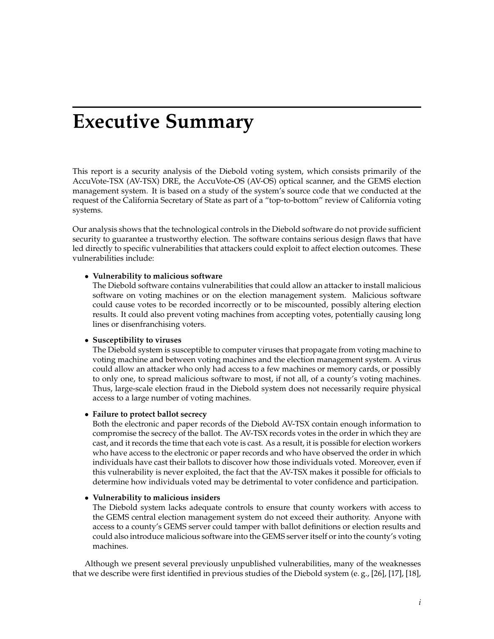## **Executive Summary**

<span id="page-1-0"></span>This report is a security analysis of the Diebold voting system, which consists primarily of the AccuVote-TSX (AV-TSX) DRE, the AccuVote-OS (AV-OS) optical scanner, and the GEMS election management system. It is based on a study of the system's source code that we conducted at the request of the California Secretary of State as part of a "top-to-bottom" review of California voting systems.

Our analysis shows that the technological controls in the Diebold software do not provide sufficient security to guarantee a trustworthy election. The software contains serious design flaws that have led directly to specific vulnerabilities that attackers could exploit to affect election outcomes. These vulnerabilities include:

#### • **Vulnerability to malicious software**

The Diebold software contains vulnerabilities that could allow an attacker to install malicious software on voting machines or on the election management system. Malicious software could cause votes to be recorded incorrectly or to be miscounted, possibly altering election results. It could also prevent voting machines from accepting votes, potentially causing long lines or disenfranchising voters.

#### • **Susceptibility to viruses**

The Diebold system is susceptible to computer viruses that propagate from voting machine to voting machine and between voting machines and the election management system. A virus could allow an attacker who only had access to a few machines or memory cards, or possibly to only one, to spread malicious software to most, if not all, of a county's voting machines. Thus, large-scale election fraud in the Diebold system does not necessarily require physical access to a large number of voting machines.

#### • **Failure to protect ballot secrecy**

Both the electronic and paper records of the Diebold AV-TSX contain enough information to compromise the secrecy of the ballot. The AV-TSX records votes in the order in which they are cast, and it records the time that each vote is cast. As a result, it is possible for election workers who have access to the electronic or paper records and who have observed the order in which individuals have cast their ballots to discover how those individuals voted. Moreover, even if this vulnerability is never exploited, the fact that the AV-TSX makes it possible for officials to determine how individuals voted may be detrimental to voter confidence and participation.

#### • **Vulnerability to malicious insiders**

The Diebold system lacks adequate controls to ensure that county workers with access to the GEMS central election management system do not exceed their authority. Anyone with access to a county's GEMS server could tamper with ballot definitions or election results and could also introduce malicious software into the GEMS server itself or into the county's voting machines.

Although we present several previously unpublished vulnerabilities, many of the weaknesses that we describe were first identified in previous studies of the Diebold system (e. g., [\[26\]](#page-84-0), [\[17\]](#page-84-1), [\[18\]](#page-84-2),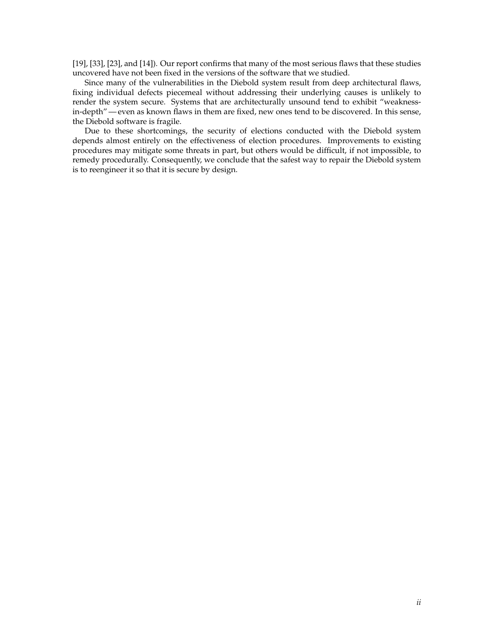[\[19\]](#page-84-3), [\[33\]](#page-84-4), [\[23\]](#page-84-5), and [\[14\]](#page-83-0)). Our report confirms that many of the most serious flaws that these studies uncovered have not been fixed in the versions of the software that we studied.

Since many of the vulnerabilities in the Diebold system result from deep architectural flaws, fixing individual defects piecemeal without addressing their underlying causes is unlikely to render the system secure. Systems that are architecturally unsound tend to exhibit "weaknessin-depth"— even as known flaws in them are fixed, new ones tend to be discovered. In this sense, the Diebold software is fragile.

Due to these shortcomings, the security of elections conducted with the Diebold system depends almost entirely on the effectiveness of election procedures. Improvements to existing procedures may mitigate some threats in part, but others would be difficult, if not impossible, to remedy procedurally. Consequently, we conclude that the safest way to repair the Diebold system is to reengineer it so that it is secure by design.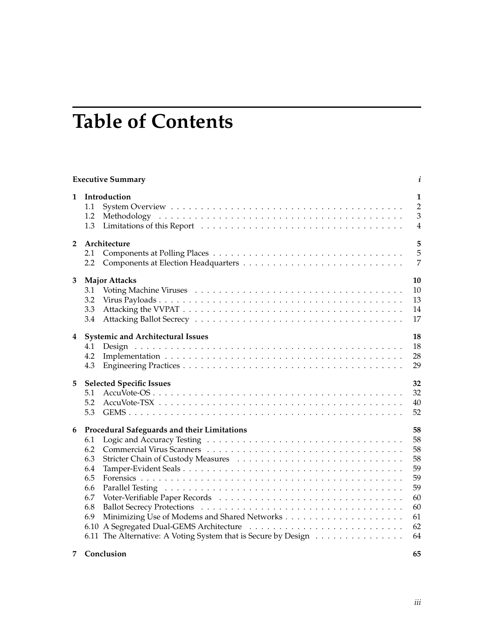## **Table of Contents**

|                | <b>Executive Summary</b>                                                                                                                                                             | i                                                                    |
|----------------|--------------------------------------------------------------------------------------------------------------------------------------------------------------------------------------|----------------------------------------------------------------------|
| 1              | Introduction<br>1.1<br>1.2<br>1.3                                                                                                                                                    | 1<br>$\overline{2}$<br>$\overline{3}$<br>$\overline{4}$              |
| $\overline{2}$ | Architecture<br>2.1<br>2.2                                                                                                                                                           | 5<br>5<br>$\overline{7}$                                             |
| 3              | <b>Major Attacks</b><br>3.1<br>3.2<br>3.3<br>3.4                                                                                                                                     | 10<br>10<br>13<br>14<br>17                                           |
| 4              | <b>Systemic and Architectural Issues</b><br>4.1<br>4.2<br>4.3                                                                                                                        | 18<br>18<br>28<br>29                                                 |
| 5              | <b>Selected Specific Issues</b><br>5.1<br>5.2<br>5.3                                                                                                                                 | 32<br>32<br>40<br>52                                                 |
| 6              | Procedural Safeguards and their Limitations<br>6.1<br>6.2<br>6.3<br>6.4<br>6.5<br>6.6<br>6.7<br>6.8<br>6.9<br>6.10<br>6.11 The Alternative: A Voting System that is Secure by Design | 58<br>58<br>58<br>58<br>59<br>59<br>59<br>60<br>60<br>61<br>62<br>64 |

#### **[7 Conclusion](#page-71-0) 65**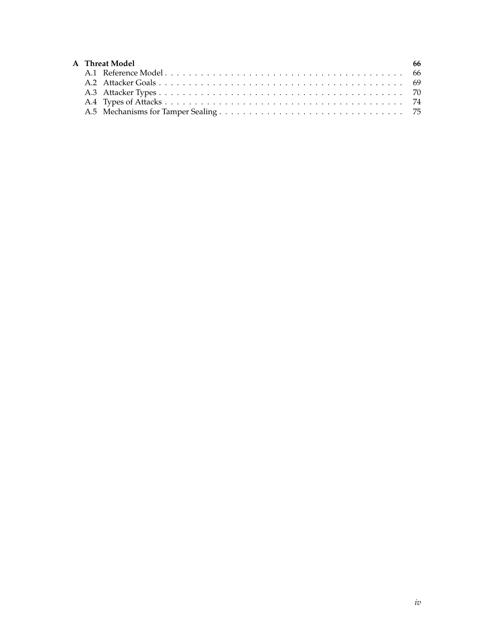| <b>A</b> Threat Model | - 66 |
|-----------------------|------|
|                       |      |
|                       |      |
|                       |      |
|                       |      |
|                       |      |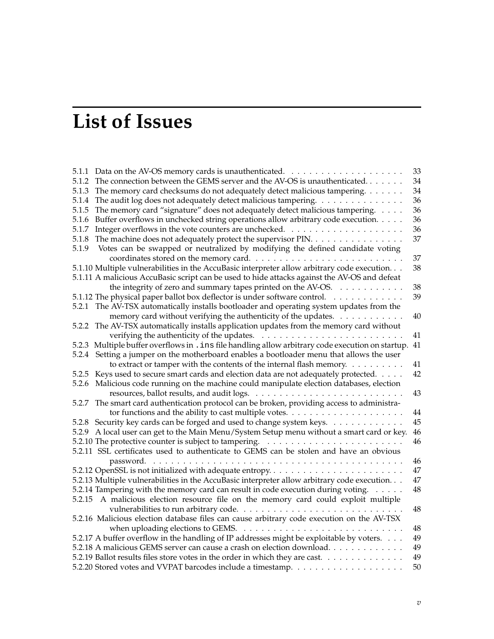# **List of Issues**

| 5.1.1 |                                                                                                      | 33     |
|-------|------------------------------------------------------------------------------------------------------|--------|
| 5.1.2 | The connection between the GEMS server and the AV-OS is unauthenticated                              | 34     |
| 5.1.3 | The memory card checksums do not adequately detect malicious tampering.                              | 34     |
| 5.1.4 | The audit log does not adequately detect malicious tampering.                                        | 36     |
| 5.1.5 | The memory card "signature" does not adequately detect malicious tampering.                          | 36     |
| 5.1.6 | Buffer overflows in unchecked string operations allow arbitrary code execution.                      | 36     |
| 5.1.7 |                                                                                                      | 36     |
| 5.1.8 | The machine does not adequately protect the supervisor PIN.                                          | 37     |
| 5.1.9 | Votes can be swapped or neutralized by modifying the defined candidate voting                        |        |
|       |                                                                                                      | 37     |
|       | 5.1.10 Multiple vulnerabilities in the AccuBasic interpreter allow arbitrary code execution.         | 38     |
|       | 5.1.11 A malicious AccuBasic script can be used to hide attacks against the AV-OS and defeat         |        |
|       | the integrity of zero and summary tapes printed on the AV-OS.                                        | 38     |
|       | 5.1.12 The physical paper ballot box deflector is under software control.                            | 39     |
| 5.2.1 | The AV-TSX automatically installs bootloader and operating system updates from the                   |        |
|       | memory card without verifying the authenticity of the updates.                                       | 40     |
| 5.2.2 | The AV-TSX automatically installs application updates from the memory card without                   |        |
|       |                                                                                                      | 41     |
|       | 5.2.3 Multiple buffer overflows in . ins file handling allow arbitrary code execution on startup. 41 |        |
|       | 5.2.4 Setting a jumper on the motherboard enables a bootloader menu that allows the user             |        |
|       | to extract or tamper with the contents of the internal flash memory.                                 | 41     |
|       | 5.2.5 Keys used to secure smart cards and election data are not adequately protected.                | 42     |
|       | 5.2.6 Malicious code running on the machine could manipulate election databases, election            |        |
|       |                                                                                                      | 43     |
|       | 5.2.7 The smart card authentication protocol can be broken, providing access to administra-          |        |
|       |                                                                                                      | 44     |
|       | 5.2.8 Security key cards can be forged and used to change system keys.                               | 45     |
|       | 5.2.9 A local user can get to the Main Menu/System Setup menu without a smart card or key.           | $46\,$ |
|       |                                                                                                      | 46     |
|       | 5.2.11 SSL certificates used to authenticate to GEMS can be stolen and have an obvious               |        |
|       |                                                                                                      | 46     |
|       | 5.2.12 OpenSSL is not initialized with adequate entropy                                              | 47     |
|       | 5.2.13 Multiple vulnerabilities in the AccuBasic interpreter allow arbitrary code execution.         | 47     |
|       | 5.2.14 Tampering with the memory card can result in code execution during voting.                    | 48     |
|       | 5.2.15 A malicious election resource file on the memory card could exploit multiple                  |        |
|       |                                                                                                      | 48     |
|       | 5.2.16 Malicious election database files can cause arbitrary code execution on the AV-TSX            |        |
|       | when uploading elections to GEMS.                                                                    | 48     |
|       | 5.2.17 A buffer overflow in the handling of IP addresses might be exploitable by voters.             | 49     |
|       | 5.2.18 A malicious GEMS server can cause a crash on election download.                               | 49     |
|       | 5.2.19 Ballot results files store votes in the order in which they are cast.                         | 49     |
|       |                                                                                                      | 50     |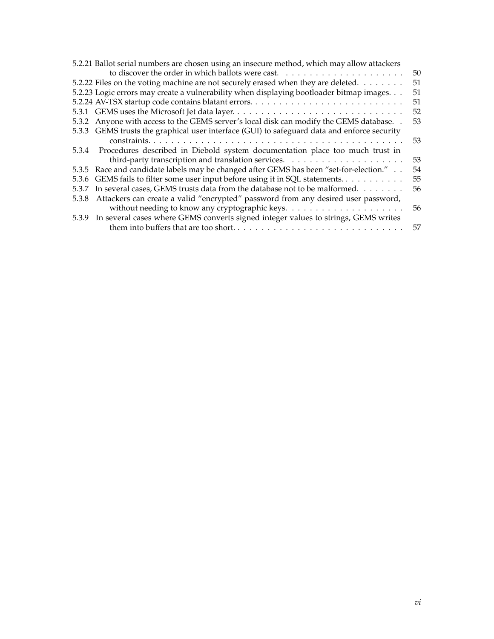| 5.2.21 Ballot serial numbers are chosen using an insecure method, which may allow attackers |                                                                                             |    |  |  |
|---------------------------------------------------------------------------------------------|---------------------------------------------------------------------------------------------|----|--|--|
|                                                                                             |                                                                                             | 50 |  |  |
|                                                                                             | 5.2.22 Files on the voting machine are not securely erased when they are deleted.           | 51 |  |  |
|                                                                                             | 5.2.23 Logic errors may create a vulnerability when displaying bootloader bitmap images.    | 51 |  |  |
|                                                                                             |                                                                                             | 51 |  |  |
|                                                                                             | 5.3.1 GEMS uses the Microsoft Jet data layer                                                | 52 |  |  |
|                                                                                             | 5.3.2 Anyone with access to the GEMS server's local disk can modify the GEMS database. .    | 53 |  |  |
|                                                                                             | 5.3.3 GEMS trusts the graphical user interface (GUI) to safeguard data and enforce security |    |  |  |
|                                                                                             |                                                                                             | 53 |  |  |
|                                                                                             | 5.3.4 Procedures described in Diebold system documentation place too much trust in          |    |  |  |
|                                                                                             |                                                                                             | 53 |  |  |
|                                                                                             | 5.3.5 Race and candidate labels may be changed after GEMS has been "set-for-election."      | 54 |  |  |
|                                                                                             | 5.3.6 GEMS fails to filter some user input before using it in SQL statements                | 55 |  |  |
|                                                                                             | 5.3.7 In several cases, GEMS trusts data from the database not to be malformed              | 56 |  |  |
| 5.3.8                                                                                       | Attackers can create a valid "encrypted" password from any desired user password,           |    |  |  |
|                                                                                             |                                                                                             | 56 |  |  |
|                                                                                             | 5.3.9 In several cases where GEMS converts signed integer values to strings, GEMS writes    |    |  |  |
|                                                                                             |                                                                                             | 57 |  |  |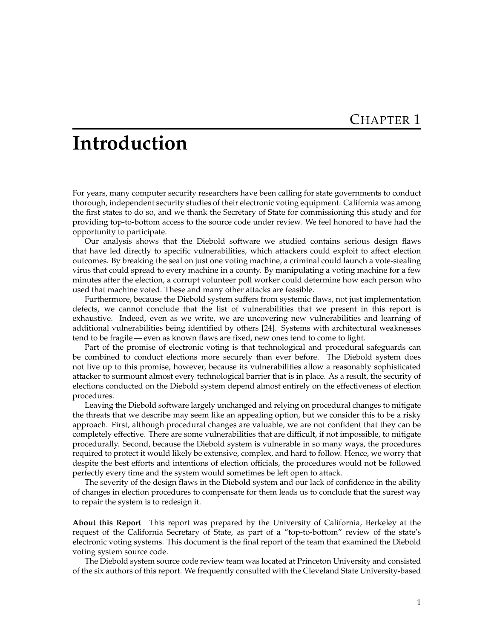## <span id="page-7-0"></span>**Introduction**

For years, many computer security researchers have been calling for state governments to conduct thorough, independent security studies of their electronic voting equipment. California was among the first states to do so, and we thank the Secretary of State for commissioning this study and for providing top-to-bottom access to the source code under review. We feel honored to have had the opportunity to participate.

Our analysis shows that the Diebold software we studied contains serious design flaws that have led directly to specific vulnerabilities, which attackers could exploit to affect election outcomes. By breaking the seal on just one voting machine, a criminal could launch a vote-stealing virus that could spread to every machine in a county. By manipulating a voting machine for a few minutes after the election, a corrupt volunteer poll worker could determine how each person who used that machine voted. These and many other attacks are feasible.

Furthermore, because the Diebold system suffers from systemic flaws, not just implementation defects, we cannot conclude that the list of vulnerabilities that we present in this report is exhaustive. Indeed, even as we write, we are uncovering new vulnerabilities and learning of additional vulnerabilities being identified by others [\[24\]](#page-84-6). Systems with architectural weaknesses tend to be fragile— even as known flaws are fixed, new ones tend to come to light.

Part of the promise of electronic voting is that technological and procedural safeguards can be combined to conduct elections more securely than ever before. The Diebold system does not live up to this promise, however, because its vulnerabilities allow a reasonably sophisticated attacker to surmount almost every technological barrier that is in place. As a result, the security of elections conducted on the Diebold system depend almost entirely on the effectiveness of election procedures.

Leaving the Diebold software largely unchanged and relying on procedural changes to mitigate the threats that we describe may seem like an appealing option, but we consider this to be a risky approach. First, although procedural changes are valuable, we are not confident that they can be completely effective. There are some vulnerabilities that are difficult, if not impossible, to mitigate procedurally. Second, because the Diebold system is vulnerable in so many ways, the procedures required to protect it would likely be extensive, complex, and hard to follow. Hence, we worry that despite the best efforts and intentions of election officials, the procedures would not be followed perfectly every time and the system would sometimes be left open to attack.

The severity of the design flaws in the Diebold system and our lack of confidence in the ability of changes in election procedures to compensate for them leads us to conclude that the surest way to repair the system is to redesign it.

**About this Report** This report was prepared by the University of California, Berkeley at the request of the California Secretary of State, as part of a "top-to-bottom" review of the state's electronic voting systems. This document is the final report of the team that examined the Diebold voting system source code.

The Diebold system source code review team was located at Princeton University and consisted of the six authors of this report. We frequently consulted with the Cleveland State University-based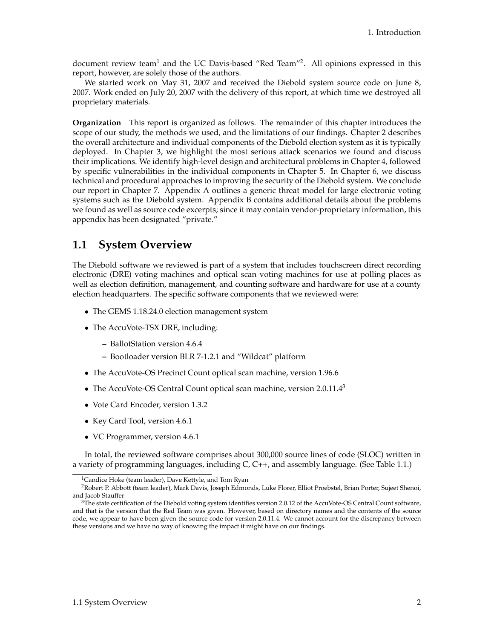document review team<sup>[1](#page-8-1)</sup> and the UC Davis-based "Red Team"<sup>[2](#page-8-2)</sup>. All opinions expressed in this report, however, are solely those of the authors.

We started work on May 31, 2007 and received the Diebold system source code on June 8, 2007. Work ended on July 20, 2007 with the delivery of this report, at which time we destroyed all proprietary materials.

**Organization** This report is organized as follows. The remainder of this chapter introduces the scope of our study, the methods we used, and the limitations of our findings. Chapter [2](#page-11-0) describes the overall architecture and individual components of the Diebold election system as it is typically deployed. In Chapter [3,](#page-16-0) we highlight the most serious attack scenarios we found and discuss their implications. We identify high-level design and architectural problems in Chapter [4,](#page-24-0) followed by specific vulnerabilities in the individual components in Chapter [5.](#page-38-0) In Chapter [6,](#page-64-0) we discuss technical and procedural approaches to improving the security of the Diebold system. We conclude our report in Chapter [7.](#page-71-0) Appendix [A](#page-72-0) outlines a generic threat model for large electronic voting systems such as the Diebold system. Appendix B contains additional details about the problems we found as well as source code excerpts; since it may contain vendor-proprietary information, this appendix has been designated "private."

## <span id="page-8-0"></span>**1.1 System Overview**

The Diebold software we reviewed is part of a system that includes touchscreen direct recording electronic (DRE) voting machines and optical scan voting machines for use at polling places as well as election definition, management, and counting software and hardware for use at a county election headquarters. The specific software components that we reviewed were:

- The GEMS 1.18.24.0 election management system
- The AccuVote-TSX DRE, including:
	- **–** BallotStation version 4.6.4
	- **–** Bootloader version BLR 7-1.2.1 and "Wildcat" platform
- The AccuVote-OS Precinct Count optical scan machine, version 1.96.6
- The AccuVote-OS Central Count optical scan machine, version  $2.0.11.4<sup>3</sup>$  $2.0.11.4<sup>3</sup>$  $2.0.11.4<sup>3</sup>$
- Vote Card Encoder, version 1.3.2
- Key Card Tool, version 4.6.1
- VC Programmer, version 4.6.1

In total, the reviewed software comprises about 300,000 source lines of code (SLOC) written in a variety of programming languages, including C, C++, and assembly language. (See Table [1.1.](#page-9-1))

<span id="page-8-2"></span><span id="page-8-1"></span><sup>&</sup>lt;sup>1</sup>Candice Hoke (team leader), Dave Kettyle, and Tom Ryan

<sup>2</sup>Robert P. Abbott (team leader), Mark Davis, Joseph Edmonds, Luke Florer, Elliot Proebstel, Brian Porter, Sujeet Shenoi, and Jacob Stauffer

<span id="page-8-3"></span> $3$ The state certification of the Diebold voting system identifies version 2.0.12 of the AccuVote-OS Central Count software, and that is the version that the Red Team was given. However, based on directory names and the contents of the source code, we appear to have been given the source code for version 2.0.11.4. We cannot account for the discrepancy between these versions and we have no way of knowing the impact it might have on our findings.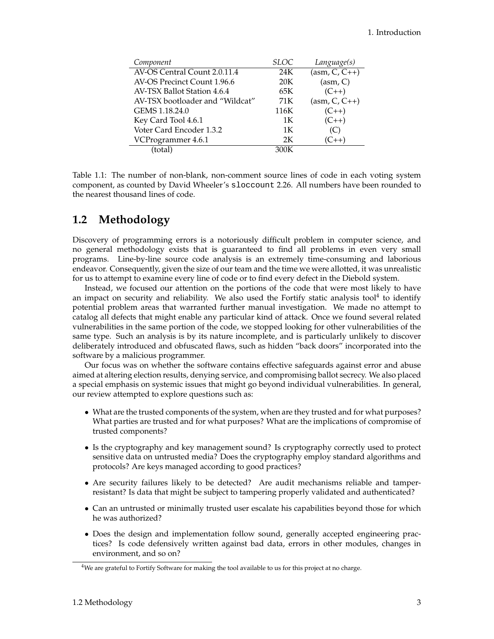| Component                          | SLOC            | Language(s)                |
|------------------------------------|-----------------|----------------------------|
| AV-OS Central Count 2.0.11.4       | 24K             | $\overline{(asm, C, C++)}$ |
| AV-OS Precinct Count 1.96.6        | 20 <sub>K</sub> | (asm, C)                   |
| <b>AV-TSX Ballot Station 4.6.4</b> | 65K             | $(C++)$                    |
| AV-TSX bootloader and "Wildcat"    | 71 K            | $(asm, C, C++)$            |
| GEMS 1.18.24.0                     | 116K            | $(C_{++})$                 |
| Key Card Tool 4.6.1                | 1K              | $(C++)$                    |
| Voter Card Encoder 1.3.2           | 1K              | (C)                        |
| VCProgrammer 4.6.1                 | 2K              | (C++)                      |
| (total)                            | 300K            |                            |
|                                    |                 |                            |

<span id="page-9-1"></span>Table 1.1: The number of non-blank, non-comment source lines of code in each voting system component, as counted by David Wheeler's sloccount 2.26. All numbers have been rounded to the nearest thousand lines of code.

### <span id="page-9-0"></span>**1.2 Methodology**

Discovery of programming errors is a notoriously difficult problem in computer science, and no general methodology exists that is guaranteed to find all problems in even very small programs. Line-by-line source code analysis is an extremely time-consuming and laborious endeavor. Consequently, given the size of our team and the time we were allotted, it was unrealistic for us to attempt to examine every line of code or to find every defect in the Diebold system.

Instead, we focused our attention on the portions of the code that were most likely to have an impact on security and reliability. We also used the Fortify static analysis tool<sup>[4](#page-9-2)</sup> to identify potential problem areas that warranted further manual investigation. We made no attempt to catalog all defects that might enable any particular kind of attack. Once we found several related vulnerabilities in the same portion of the code, we stopped looking for other vulnerabilities of the same type. Such an analysis is by its nature incomplete, and is particularly unlikely to discover deliberately introduced and obfuscated flaws, such as hidden "back doors" incorporated into the software by a malicious programmer.

Our focus was on whether the software contains effective safeguards against error and abuse aimed at altering election results, denying service, and compromising ballot secrecy. We also placed a special emphasis on systemic issues that might go beyond individual vulnerabilities. In general, our review attempted to explore questions such as:

- What are the trusted components of the system, when are they trusted and for what purposes? What parties are trusted and for what purposes? What are the implications of compromise of trusted components?
- Is the cryptography and key management sound? Is cryptography correctly used to protect sensitive data on untrusted media? Does the cryptography employ standard algorithms and protocols? Are keys managed according to good practices?
- Are security failures likely to be detected? Are audit mechanisms reliable and tamperresistant? Is data that might be subject to tampering properly validated and authenticated?
- Can an untrusted or minimally trusted user escalate his capabilities beyond those for which he was authorized?
- Does the design and implementation follow sound, generally accepted engineering practices? Is code defensively written against bad data, errors in other modules, changes in environment, and so on?

<span id="page-9-2"></span><sup>&</sup>lt;sup>4</sup>We are grateful to Fortify Software for making the tool available to us for this project at no charge.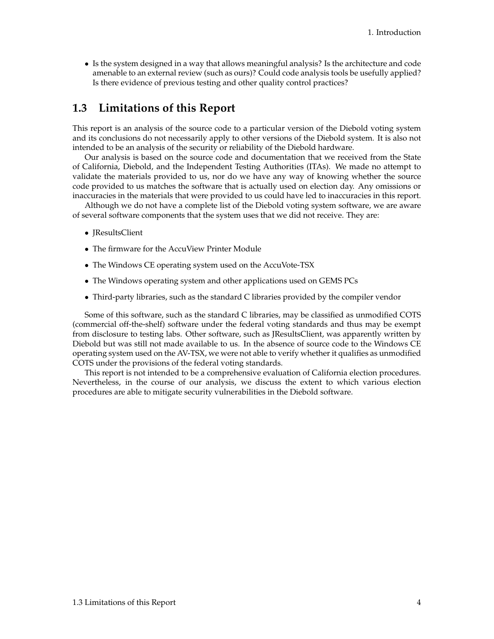• Is the system designed in a way that allows meaningful analysis? Is the architecture and code amenable to an external review (such as ours)? Could code analysis tools be usefully applied? Is there evidence of previous testing and other quality control practices?

## <span id="page-10-0"></span>**1.3 Limitations of this Report**

This report is an analysis of the source code to a particular version of the Diebold voting system and its conclusions do not necessarily apply to other versions of the Diebold system. It is also not intended to be an analysis of the security or reliability of the Diebold hardware.

Our analysis is based on the source code and documentation that we received from the State of California, Diebold, and the Independent Testing Authorities (ITAs). We made no attempt to validate the materials provided to us, nor do we have any way of knowing whether the source code provided to us matches the software that is actually used on election day. Any omissions or inaccuracies in the materials that were provided to us could have led to inaccuracies in this report.

Although we do not have a complete list of the Diebold voting system software, we are aware of several software components that the system uses that we did not receive. They are:

- JResultsClient
- The firmware for the AccuView Printer Module
- The Windows CE operating system used on the AccuVote-TSX
- The Windows operating system and other applications used on GEMS PCs
- Third-party libraries, such as the standard C libraries provided by the compiler vendor

Some of this software, such as the standard C libraries, may be classified as unmodified COTS (commercial off-the-shelf) software under the federal voting standards and thus may be exempt from disclosure to testing labs. Other software, such as JResultsClient, was apparently written by Diebold but was still not made available to us. In the absence of source code to the Windows CE operating system used on the AV-TSX, we were not able to verify whether it qualifies as unmodified COTS under the provisions of the federal voting standards.

This report is not intended to be a comprehensive evaluation of California election procedures. Nevertheless, in the course of our analysis, we discuss the extent to which various election procedures are able to mitigate security vulnerabilities in the Diebold software.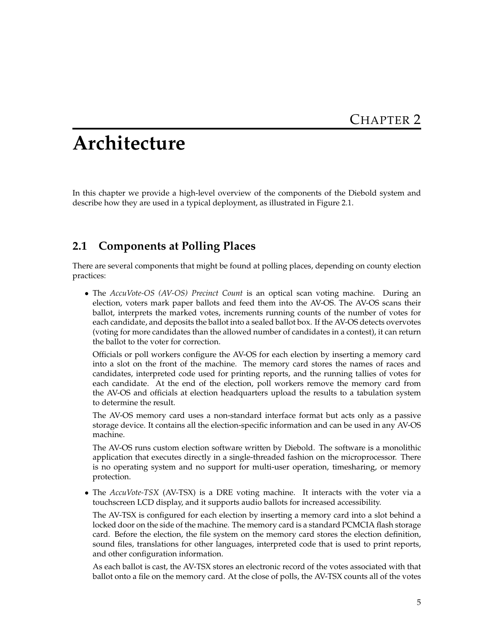## <span id="page-11-0"></span>**Architecture**

In this chapter we provide a high-level overview of the components of the Diebold system and describe how they are used in a typical deployment, as illustrated in Figure [2.1.](#page-12-0)

## <span id="page-11-1"></span>**2.1 Components at Polling Places**

There are several components that might be found at polling places, depending on county election practices:

• The *AccuVote-OS (AV-OS) Precinct Count* is an optical scan voting machine. During an election, voters mark paper ballots and feed them into the AV-OS. The AV-OS scans their ballot, interprets the marked votes, increments running counts of the number of votes for each candidate, and deposits the ballot into a sealed ballot box. If the AV-OS detects overvotes (voting for more candidates than the allowed number of candidates in a contest), it can return the ballot to the voter for correction.

Officials or poll workers configure the AV-OS for each election by inserting a memory card into a slot on the front of the machine. The memory card stores the names of races and candidates, interpreted code used for printing reports, and the running tallies of votes for each candidate. At the end of the election, poll workers remove the memory card from the AV-OS and officials at election headquarters upload the results to a tabulation system to determine the result.

The AV-OS memory card uses a non-standard interface format but acts only as a passive storage device. It contains all the election-specific information and can be used in any AV-OS machine.

The AV-OS runs custom election software written by Diebold. The software is a monolithic application that executes directly in a single-threaded fashion on the microprocessor. There is no operating system and no support for multi-user operation, timesharing, or memory protection.

• The *AccuVote-TSX* (AV-TSX) is a DRE voting machine. It interacts with the voter via a touchscreen LCD display, and it supports audio ballots for increased accessibility.

The AV-TSX is configured for each election by inserting a memory card into a slot behind a locked door on the side of the machine. The memory card is a standard PCMCIA flash storage card. Before the election, the file system on the memory card stores the election definition, sound files, translations for other languages, interpreted code that is used to print reports, and other configuration information.

As each ballot is cast, the AV-TSX stores an electronic record of the votes associated with that ballot onto a file on the memory card. At the close of polls, the AV-TSX counts all of the votes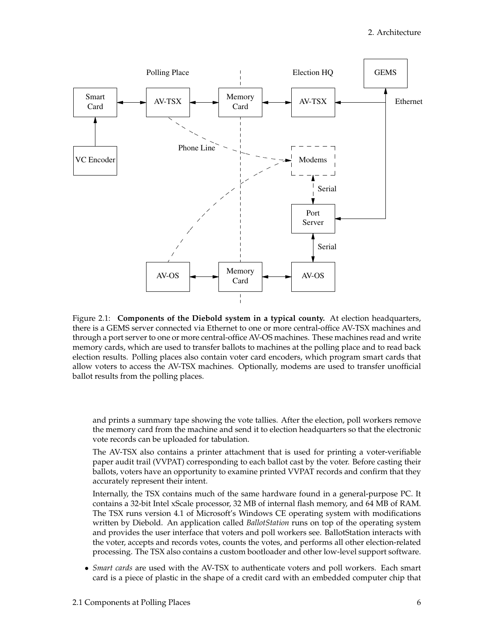

<span id="page-12-0"></span>Figure 2.1: **Components of the Diebold system in a typical county.** At election headquarters, there is a GEMS server connected via Ethernet to one or more central-office AV-TSX machines and through a port server to one or more central-office AV-OS machines. These machines read and write memory cards, which are used to transfer ballots to machines at the polling place and to read back election results. Polling places also contain voter card encoders, which program smart cards that allow voters to access the AV-TSX machines. Optionally, modems are used to transfer unofficial ballot results from the polling places.

and prints a summary tape showing the vote tallies. After the election, poll workers remove the memory card from the machine and send it to election headquarters so that the electronic vote records can be uploaded for tabulation.

The AV-TSX also contains a printer attachment that is used for printing a voter-verifiable paper audit trail (VVPAT) corresponding to each ballot cast by the voter. Before casting their ballots, voters have an opportunity to examine printed VVPAT records and confirm that they accurately represent their intent.

Internally, the TSX contains much of the same hardware found in a general-purpose PC. It contains a 32-bit Intel xScale processor, 32 MB of internal flash memory, and 64 MB of RAM. The TSX runs version 4.1 of Microsoft's Windows CE operating system with modifications written by Diebold. An application called *BallotStation* runs on top of the operating system and provides the user interface that voters and poll workers see. BallotStation interacts with the voter, accepts and records votes, counts the votes, and performs all other election-related processing. The TSX also contains a custom bootloader and other low-level support software.

• *Smart cards* are used with the AV-TSX to authenticate voters and poll workers. Each smart card is a piece of plastic in the shape of a credit card with an embedded computer chip that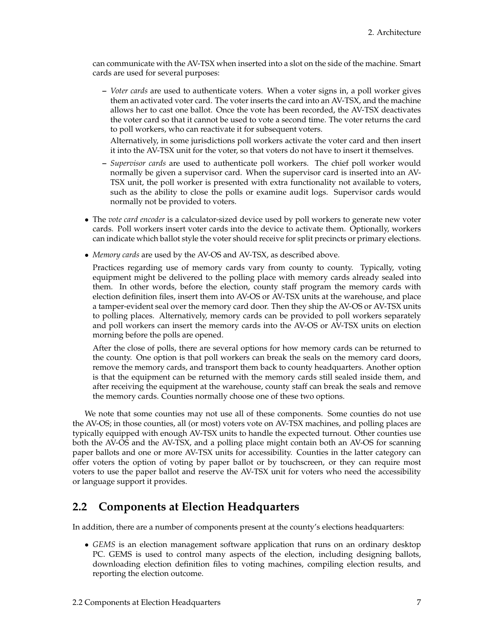can communicate with the AV-TSX when inserted into a slot on the side of the machine. Smart cards are used for several purposes:

**–** *Voter cards* are used to authenticate voters. When a voter signs in, a poll worker gives them an activated voter card. The voter inserts the card into an AV-TSX, and the machine allows her to cast one ballot. Once the vote has been recorded, the AV-TSX deactivates the voter card so that it cannot be used to vote a second time. The voter returns the card to poll workers, who can reactivate it for subsequent voters.

Alternatively, in some jurisdictions poll workers activate the voter card and then insert it into the AV-TSX unit for the voter, so that voters do not have to insert it themselves.

- **–** *Supervisor cards* are used to authenticate poll workers. The chief poll worker would normally be given a supervisor card. When the supervisor card is inserted into an AV-TSX unit, the poll worker is presented with extra functionality not available to voters, such as the ability to close the polls or examine audit logs. Supervisor cards would normally not be provided to voters.
- The *vote card encoder* is a calculator-sized device used by poll workers to generate new voter cards. Poll workers insert voter cards into the device to activate them. Optionally, workers can indicate which ballot style the voter should receive for split precincts or primary elections.
- *Memory cards* are used by the AV-OS and AV-TSX, as described above.

Practices regarding use of memory cards vary from county to county. Typically, voting equipment might be delivered to the polling place with memory cards already sealed into them. In other words, before the election, county staff program the memory cards with election definition files, insert them into AV-OS or AV-TSX units at the warehouse, and place a tamper-evident seal over the memory card door. Then they ship the AV-OS or AV-TSX units to polling places. Alternatively, memory cards can be provided to poll workers separately and poll workers can insert the memory cards into the AV-OS or AV-TSX units on election morning before the polls are opened.

After the close of polls, there are several options for how memory cards can be returned to the county. One option is that poll workers can break the seals on the memory card doors, remove the memory cards, and transport them back to county headquarters. Another option is that the equipment can be returned with the memory cards still sealed inside them, and after receiving the equipment at the warehouse, county staff can break the seals and remove the memory cards. Counties normally choose one of these two options.

We note that some counties may not use all of these components. Some counties do not use the AV-OS; in those counties, all (or most) voters vote on AV-TSX machines, and polling places are typically equipped with enough AV-TSX units to handle the expected turnout. Other counties use both the AV-OS and the AV-TSX, and a polling place might contain both an AV-OS for scanning paper ballots and one or more AV-TSX units for accessibility. Counties in the latter category can offer voters the option of voting by paper ballot or by touchscreen, or they can require most voters to use the paper ballot and reserve the AV-TSX unit for voters who need the accessibility or language support it provides.

### <span id="page-13-0"></span>**2.2 Components at Election Headquarters**

In addition, there are a number of components present at the county's elections headquarters:

• *GEMS* is an election management software application that runs on an ordinary desktop PC. GEMS is used to control many aspects of the election, including designing ballots, downloading election definition files to voting machines, compiling election results, and reporting the election outcome.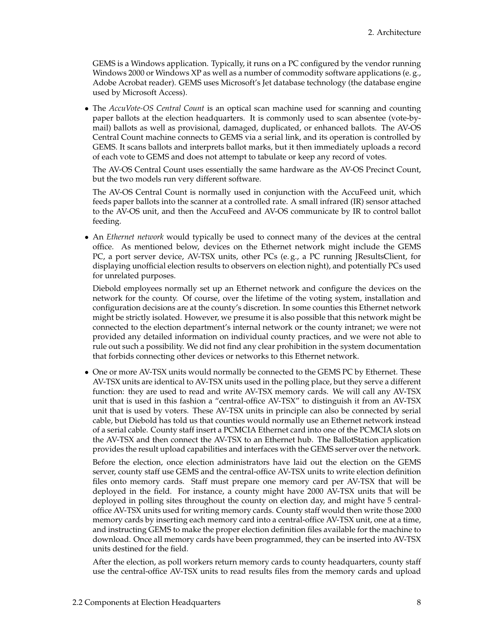GEMS is a Windows application. Typically, it runs on a PC configured by the vendor running Windows 2000 or Windows XP as well as a number of commodity software applications (e. g., Adobe Acrobat reader). GEMS uses Microsoft's Jet database technology (the database engine used by Microsoft Access).

• The *AccuVote-OS Central Count* is an optical scan machine used for scanning and counting paper ballots at the election headquarters. It is commonly used to scan absentee (vote-bymail) ballots as well as provisional, damaged, duplicated, or enhanced ballots. The AV-OS Central Count machine connects to GEMS via a serial link, and its operation is controlled by GEMS. It scans ballots and interprets ballot marks, but it then immediately uploads a record of each vote to GEMS and does not attempt to tabulate or keep any record of votes.

The AV-OS Central Count uses essentially the same hardware as the AV-OS Precinct Count, but the two models run very different software.

The AV-OS Central Count is normally used in conjunction with the AccuFeed unit, which feeds paper ballots into the scanner at a controlled rate. A small infrared (IR) sensor attached to the AV-OS unit, and then the AccuFeed and AV-OS communicate by IR to control ballot feeding.

• An *Ethernet network* would typically be used to connect many of the devices at the central office. As mentioned below, devices on the Ethernet network might include the GEMS PC, a port server device, AV-TSX units, other PCs (e. g., a PC running JResultsClient, for displaying unofficial election results to observers on election night), and potentially PCs used for unrelated purposes.

Diebold employees normally set up an Ethernet network and configure the devices on the network for the county. Of course, over the lifetime of the voting system, installation and configuration decisions are at the county's discretion. In some counties this Ethernet network might be strictly isolated. However, we presume it is also possible that this network might be connected to the election department's internal network or the county intranet; we were not provided any detailed information on individual county practices, and we were not able to rule out such a possibility. We did not find any clear prohibition in the system documentation that forbids connecting other devices or networks to this Ethernet network.

• One or more AV-TSX units would normally be connected to the GEMS PC by Ethernet. These AV-TSX units are identical to AV-TSX units used in the polling place, but they serve a different function: they are used to read and write AV-TSX memory cards. We will call any AV-TSX unit that is used in this fashion a "central-office AV-TSX" to distinguish it from an AV-TSX unit that is used by voters. These AV-TSX units in principle can also be connected by serial cable, but Diebold has told us that counties would normally use an Ethernet network instead of a serial cable. County staff insert a PCMCIA Ethernet card into one of the PCMCIA slots on the AV-TSX and then connect the AV-TSX to an Ethernet hub. The BallotStation application provides the result upload capabilities and interfaces with the GEMS server over the network.

Before the election, once election administrators have laid out the election on the GEMS server, county staff use GEMS and the central-office AV-TSX units to write election definition files onto memory cards. Staff must prepare one memory card per AV-TSX that will be deployed in the field. For instance, a county might have 2000 AV-TSX units that will be deployed in polling sites throughout the county on election day, and might have 5 centraloffice AV-TSX units used for writing memory cards. County staff would then write those 2000 memory cards by inserting each memory card into a central-office AV-TSX unit, one at a time, and instructing GEMS to make the proper election definition files available for the machine to download. Once all memory cards have been programmed, they can be inserted into AV-TSX units destined for the field.

After the election, as poll workers return memory cards to county headquarters, county staff use the central-office AV-TSX units to read results files from the memory cards and upload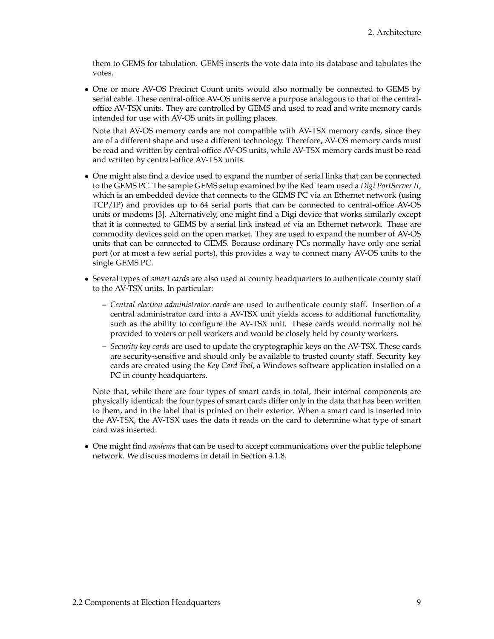them to GEMS for tabulation. GEMS inserts the vote data into its database and tabulates the votes.

• One or more AV-OS Precinct Count units would also normally be connected to GEMS by serial cable. These central-office AV-OS units serve a purpose analogous to that of the centraloffice AV-TSX units. They are controlled by GEMS and used to read and write memory cards intended for use with AV-OS units in polling places.

Note that AV-OS memory cards are not compatible with AV-TSX memory cards, since they are of a different shape and use a different technology. Therefore, AV-OS memory cards must be read and written by central-office AV-OS units, while AV-TSX memory cards must be read and written by central-office AV-TSX units.

- One might also find a device used to expand the number of serial links that can be connected to the GEMS PC. The sample GEMS setup examined by the Red Team used a *Digi PortServer II*, which is an embedded device that connects to the GEMS PC via an Ethernet network (using TCP/IP) and provides up to 64 serial ports that can be connected to central-office AV-OS units or modems [\[3\]](#page-83-1). Alternatively, one might find a Digi device that works similarly except that it is connected to GEMS by a serial link instead of via an Ethernet network. These are commodity devices sold on the open market. They are used to expand the number of AV-OS units that can be connected to GEMS. Because ordinary PCs normally have only one serial port (or at most a few serial ports), this provides a way to connect many AV-OS units to the single GEMS PC.
- Several types of *smart cards* are also used at county headquarters to authenticate county staff to the AV-TSX units. In particular:
	- **–** *Central election administrator cards* are used to authenticate county staff. Insertion of a central administrator card into a AV-TSX unit yields access to additional functionality, such as the ability to configure the AV-TSX unit. These cards would normally not be provided to voters or poll workers and would be closely held by county workers.
	- **–** *Security key cards* are used to update the cryptographic keys on the AV-TSX. These cards are security-sensitive and should only be available to trusted county staff. Security key cards are created using the *Key Card Tool*, a Windows software application installed on a PC in county headquarters.

Note that, while there are four types of smart cards in total, their internal components are physically identical: the four types of smart cards differ only in the data that has been written to them, and in the label that is printed on their exterior. When a smart card is inserted into the AV-TSX, the AV-TSX uses the data it reads on the card to determine what type of smart card was inserted.

• One might find *modems* that can be used to accept communications over the public telephone network. We discuss modems in detail in Section [4.1.8.](#page-30-0)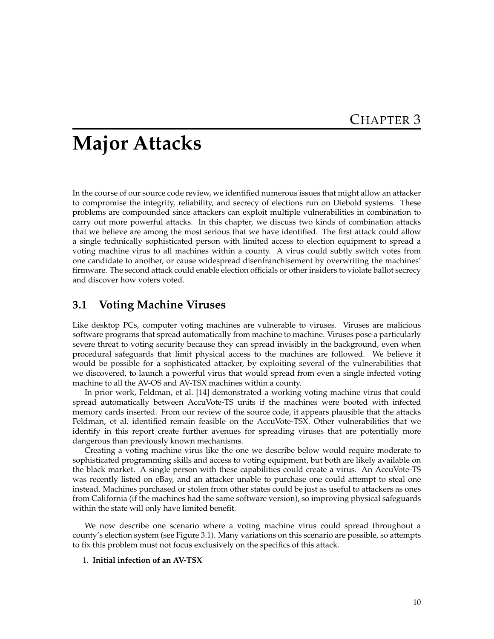## <span id="page-16-0"></span>**Major Attacks**

In the course of our source code review, we identified numerous issues that might allow an attacker to compromise the integrity, reliability, and secrecy of elections run on Diebold systems. These problems are compounded since attackers can exploit multiple vulnerabilities in combination to carry out more powerful attacks. In this chapter, we discuss two kinds of combination attacks that we believe are among the most serious that we have identified. The first attack could allow a single technically sophisticated person with limited access to election equipment to spread a voting machine virus to all machines within a county. A virus could subtly switch votes from one candidate to another, or cause widespread disenfranchisement by overwriting the machines' firmware. The second attack could enable election officials or other insiders to violate ballot secrecy and discover how voters voted.

## <span id="page-16-1"></span>**3.1 Voting Machine Viruses**

Like desktop PCs, computer voting machines are vulnerable to viruses. Viruses are malicious software programs that spread automatically from machine to machine. Viruses pose a particularly severe threat to voting security because they can spread invisibly in the background, even when procedural safeguards that limit physical access to the machines are followed. We believe it would be possible for a sophisticated attacker, by exploiting several of the vulnerabilities that we discovered, to launch a powerful virus that would spread from even a single infected voting machine to all the AV-OS and AV-TSX machines within a county.

In prior work, Feldman, et al. [\[14\]](#page-83-0) demonstrated a working voting machine virus that could spread automatically between AccuVote-TS units if the machines were booted with infected memory cards inserted. From our review of the source code, it appears plausible that the attacks Feldman, et al. identified remain feasible on the AccuVote-TSX. Other vulnerabilities that we identify in this report create further avenues for spreading viruses that are potentially more dangerous than previously known mechanisms.

Creating a voting machine virus like the one we describe below would require moderate to sophisticated programming skills and access to voting equipment, but both are likely available on the black market. A single person with these capabilities could create a virus. An AccuVote-TS was recently listed on eBay, and an attacker unable to purchase one could attempt to steal one instead. Machines purchased or stolen from other states could be just as useful to attackers as ones from California (if the machines had the same software version), so improving physical safeguards within the state will only have limited benefit.

We now describe one scenario where a voting machine virus could spread throughout a county's election system (see Figure [3.1\)](#page-17-0). Many variations on this scenario are possible, so attempts to fix this problem must not focus exclusively on the specifics of this attack.

#### 1. **Initial infection of an AV-TSX**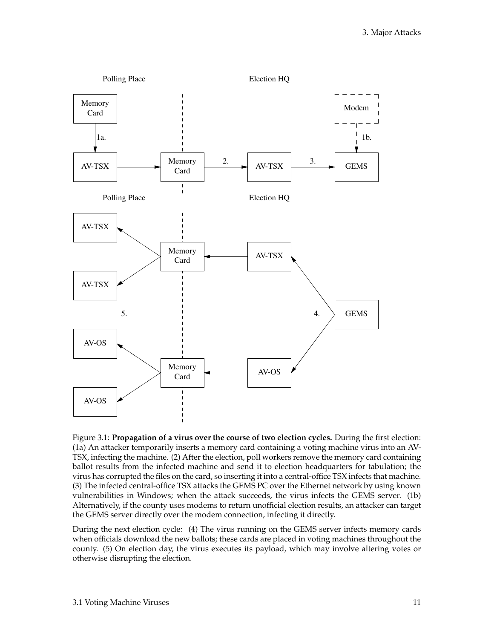

<span id="page-17-0"></span>Figure 3.1: **Propagation of a virus over the course of two election cycles.** During the first election: (1a) An attacker temporarily inserts a memory card containing a voting machine virus into an AV-TSX, infecting the machine. (2) After the election, poll workers remove the memory card containing ballot results from the infected machine and send it to election headquarters for tabulation; the virus has corrupted the files on the card, so inserting it into a central-office TSX infects that machine. (3) The infected central-office TSX attacks the GEMS PC over the Ethernet network by using known vulnerabilities in Windows; when the attack succeeds, the virus infects the GEMS server. (1b) Alternatively, if the county uses modems to return unofficial election results, an attacker can target the GEMS server directly over the modem connection, infecting it directly.

During the next election cycle: (4) The virus running on the GEMS server infects memory cards when officials download the new ballots; these cards are placed in voting machines throughout the county. (5) On election day, the virus executes its payload, which may involve altering votes or otherwise disrupting the election.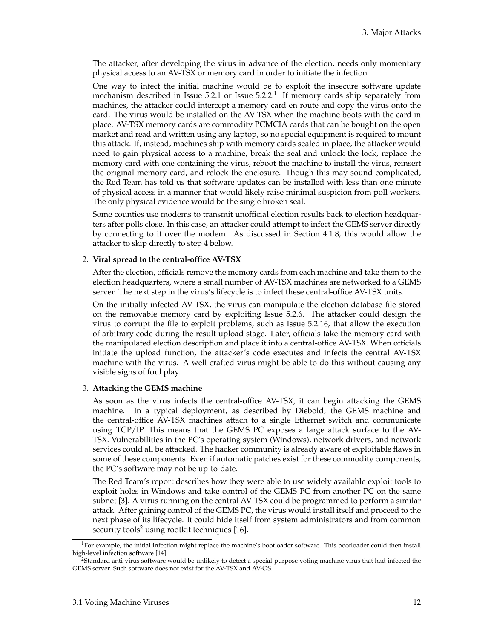The attacker, after developing the virus in advance of the election, needs only momentary physical access to an AV-TSX or memory card in order to initiate the infection.

One way to infect the initial machine would be to exploit the insecure software update mechanism described in Issue 5.2[.1](#page-39-1) or Issue 5.2[.2.](#page-40-2) [1](#page-18-0) If memory cards ship separately from machines, the attacker could intercept a memory card en route and copy the virus onto the card. The virus would be installed on the AV-TSX when the machine boots with the card in place. AV-TSX memory cards are commodity PCMCIA cards that can be bought on the open market and read and written using any laptop, so no special equipment is required to mount this attack. If, instead, machines ship with memory cards sealed in place, the attacker would need to gain physical access to a machine, break the seal and unlock the lock, replace the memory card with one containing the virus, reboot the machine to install the virus, reinsert the original memory card, and relock the enclosure. Though this may sound complicated, the Red Team has told us that software updates can be installed with less than one minute of physical access in a manner that would likely raise minimal suspicion from poll workers. The only physical evidence would be the single broken seal.

Some counties use modems to transmit unofficial election results back to election headquarters after polls close. In this case, an attacker could attempt to infect the GEMS server directly by connecting to it over the modem. As discussed in Section [4.1.8,](#page-30-0) this would allow the attacker to skip directly to step 4 below.

#### 2. **Viral spread to the central-office AV-TSX**

After the election, officials remove the memory cards from each machine and take them to the election headquarters, where a small number of AV-TSX machines are networked to a GEMS server. The next step in the virus's lifecycle is to infect these central-office AV-TSX units.

On the initially infected AV-TSX, the virus can manipulate the election database file stored on the removable memory card by exploiting Issue 5.2[.6.](#page-42-4) The attacker could design the virus to corrupt the file to exploit problems, such as Issue 5.2[.16,](#page-54-3) that allow the execution of arbitrary code during the result upload stage. Later, officials take the memory card with the manipulated election description and place it into a central-office AV-TSX. When officials initiate the upload function, the attacker's code executes and infects the central AV-TSX machine with the virus. A well-crafted virus might be able to do this without causing any visible signs of foul play.

#### 3. **Attacking the GEMS machine**

As soon as the virus infects the central-office AV-TSX, it can begin attacking the GEMS machine. In a typical deployment, as described by Diebold, the GEMS machine and the central-office AV-TSX machines attach to a single Ethernet switch and communicate using TCP/IP. This means that the GEMS PC exposes a large attack surface to the AV-TSX. Vulnerabilities in the PC's operating system (Windows), network drivers, and network services could all be attacked. The hacker community is already aware of exploitable flaws in some of these components. Even if automatic patches exist for these commodity components, the PC's software may not be up-to-date.

The Red Team's report describes how they were able to use widely available exploit tools to exploit holes in Windows and take control of the GEMS PC from another PC on the same subnet [\[3\]](#page-83-1). A virus running on the central AV-TSX could be programmed to perform a similar attack. After gaining control of the GEMS PC, the virus would install itself and proceed to the next phase of its lifecycle. It could hide itself from system administrators and from common security tools<sup>[2](#page-18-1)</sup> using rootkit techniques [\[16\]](#page-83-2).

<span id="page-18-0"></span> $1$ For example, the initial infection might replace the machine's bootloader software. This bootloader could then install high-level infection software [\[14\]](#page-83-0).

<span id="page-18-1"></span><sup>2</sup>Standard anti-virus software would be unlikely to detect a special-purpose voting machine virus that had infected the GEMS server. Such software does not exist for the AV-TSX and AV-OS.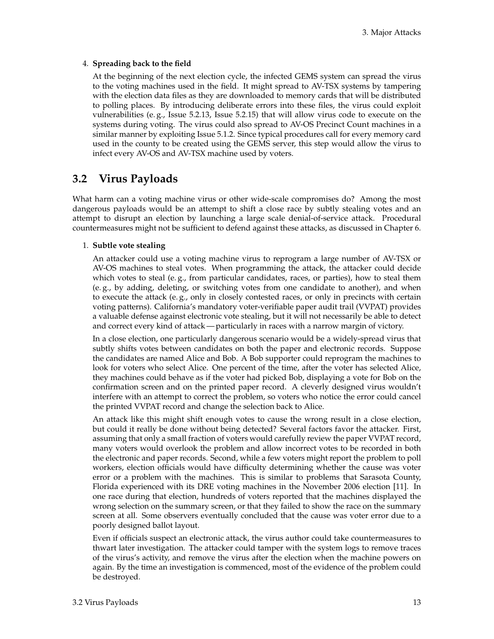#### 4. **Spreading back to the field**

At the beginning of the next election cycle, the infected GEMS system can spread the virus to the voting machines used in the field. It might spread to AV-TSX systems by tampering with the election data files as they are downloaded to memory cards that will be distributed to polling places. By introducing deliberate errors into these files, the virus could exploit vulnerabilities (e. g., Issue 5.2[.13,](#page-53-2) Issue 5.2[.15\)](#page-54-4) that will allow virus code to execute on the systems during voting. The virus could also spread to AV-OS Precinct Count machines in a similar manner by exploiting Issue 5.1[.2.](#page-40-2) Since typical procedures call for every memory card used in the county to be created using the GEMS server, this step would allow the virus to infect every AV-OS and AV-TSX machine used by voters.

## <span id="page-19-0"></span>**3.2 Virus Payloads**

What harm can a voting machine virus or other wide-scale compromises do? Among the most dangerous payloads would be an attempt to shift a close race by subtly stealing votes and an attempt to disrupt an election by launching a large scale denial-of-service attack. Procedural countermeasures might not be sufficient to defend against these attacks, as discussed in Chapter [6.](#page-64-0)

#### 1. **Subtle vote stealing**

An attacker could use a voting machine virus to reprogram a large number of AV-TSX or AV-OS machines to steal votes. When programming the attack, the attacker could decide which votes to steal (e.g., from particular candidates, races, or parties), how to steal them (e. g., by adding, deleting, or switching votes from one candidate to another), and when to execute the attack (e.g., only in closely contested races, or only in precincts with certain voting patterns). California's mandatory voter-verifiable paper audit trail (VVPAT) provides a valuable defense against electronic vote stealing, but it will not necessarily be able to detect and correct every kind of attack — particularly in races with a narrow margin of victory.

In a close election, one particularly dangerous scenario would be a widely-spread virus that subtly shifts votes between candidates on both the paper and electronic records. Suppose the candidates are named Alice and Bob. A Bob supporter could reprogram the machines to look for voters who select Alice. One percent of the time, after the voter has selected Alice, they machines could behave as if the voter had picked Bob, displaying a vote for Bob on the confirmation screen and on the printed paper record. A cleverly designed virus wouldn't interfere with an attempt to correct the problem, so voters who notice the error could cancel the printed VVPAT record and change the selection back to Alice.

An attack like this might shift enough votes to cause the wrong result in a close election, but could it really be done without being detected? Several factors favor the attacker. First, assuming that only a small fraction of voters would carefully review the paper VVPAT record, many voters would overlook the problem and allow incorrect votes to be recorded in both the electronic and paper records. Second, while a few voters might report the problem to poll workers, election officials would have difficulty determining whether the cause was voter error or a problem with the machines. This is similar to problems that Sarasota County, Florida experienced with its DRE voting machines in the November 2006 election [\[11\]](#page-83-3). In one race during that election, hundreds of voters reported that the machines displayed the wrong selection on the summary screen, or that they failed to show the race on the summary screen at all. Some observers eventually concluded that the cause was voter error due to a poorly designed ballot layout.

Even if officials suspect an electronic attack, the virus author could take countermeasures to thwart later investigation. The attacker could tamper with the system logs to remove traces of the virus's activity, and remove the virus after the election when the machine powers on again. By the time an investigation is commenced, most of the evidence of the problem could be destroyed.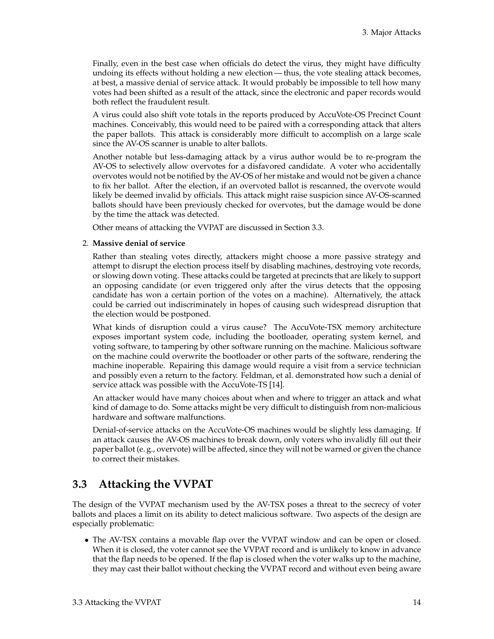Finally, even in the best case when officials do detect the virus, they might have difficulty undoing its effects without holding a new election— thus, the vote stealing attack becomes, at best, a massive denial of service attack. It would probably be impossible to tell how many votes had been shifted as a result of the attack, since the electronic and paper records would both reflect the fraudulent result.

A virus could also shift vote totals in the reports produced by AccuVote-OS Precinct Count machines. Conceivably, this would need to be paired with a corresponding attack that alters the paper ballots. This attack is considerably more difficult to accomplish on a large scale since the AV-OS scanner is unable to alter ballots.

Another notable but less-damaging attack by a virus author would be to re-program the AV-OS to selectively allow overvotes for a disfavored candidate. A voter who accidentally overvotes would not be notified by the AV-OS of her mistake and would not be given a chance to fix her ballot. After the election, if an overvoted ballot is rescanned, the overvote would likely be deemed invalid by officials. This attack might raise suspicion since AV-OS-scanned ballots should have been previously checked for overvotes, but the damage would be done by the time the attack was detected.

Other means of attacking the VVPAT are discussed in Section [3.3.](#page-20-0)

#### 2. **Massive denial of service**

Rather than stealing votes directly, attackers might choose a more passive strategy and attempt to disrupt the election process itself by disabling machines, destroying vote records, or slowing down voting. These attacks could be targeted at precincts that are likely to support an opposing candidate (or even triggered only after the virus detects that the opposing candidate has won a certain portion of the votes on a machine). Alternatively, the attack could be carried out indiscriminately in hopes of causing such widespread disruption that the election would be postponed.

What kinds of disruption could a virus cause? The AccuVote-TSX memory architecture exposes important system code, including the bootloader, operating system kernel, and voting software, to tampering by other software running on the machine. Malicious software on the machine could overwrite the bootloader or other parts of the software, rendering the machine inoperable. Repairing this damage would require a visit from a service technician and possibly even a return to the factory. Feldman, et al. demonstrated how such a denial of service attack was possible with the AccuVote-TS [\[14\]](#page-83-0).

An attacker would have many choices about when and where to trigger an attack and what kind of damage to do. Some attacks might be very difficult to distinguish from non-malicious hardware and software malfunctions.

Denial-of-service attacks on the AccuVote-OS machines would be slightly less damaging. If an attack causes the AV-OS machines to break down, only voters who invalidly fill out their paper ballot (e. g., overvote) will be affected, since they will not be warned or given the chance to correct their mistakes.

## <span id="page-20-0"></span>**3.3 Attacking the VVPAT**

The design of the VVPAT mechanism used by the AV-TSX poses a threat to the secrecy of voter ballots and places a limit on its ability to detect malicious software. Two aspects of the design are especially problematic:

• The AV-TSX contains a movable flap over the VVPAT window and can be open or closed. When it is closed, the voter cannot see the VVPAT record and is unlikely to know in advance that the flap needs to be opened. If the flap is closed when the voter walks up to the machine, they may cast their ballot without checking the VVPAT record and without even being aware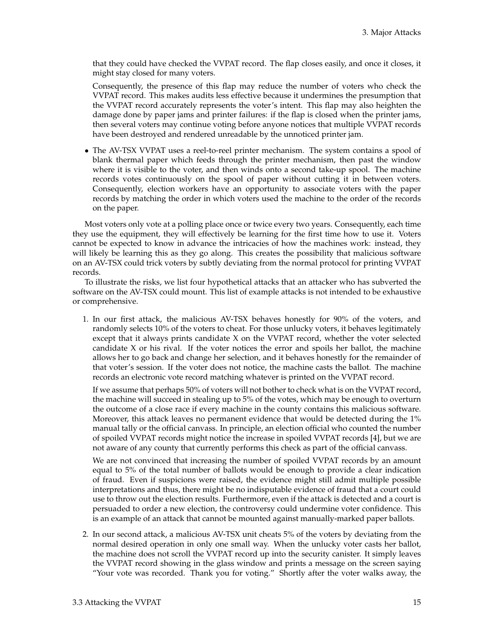that they could have checked the VVPAT record. The flap closes easily, and once it closes, it might stay closed for many voters.

Consequently, the presence of this flap may reduce the number of voters who check the VVPAT record. This makes audits less effective because it undermines the presumption that the VVPAT record accurately represents the voter's intent. This flap may also heighten the damage done by paper jams and printer failures: if the flap is closed when the printer jams, then several voters may continue voting before anyone notices that multiple VVPAT records have been destroyed and rendered unreadable by the unnoticed printer jam.

• The AV-TSX VVPAT uses a reel-to-reel printer mechanism. The system contains a spool of blank thermal paper which feeds through the printer mechanism, then past the window where it is visible to the voter, and then winds onto a second take-up spool. The machine records votes continuously on the spool of paper without cutting it in between voters. Consequently, election workers have an opportunity to associate voters with the paper records by matching the order in which voters used the machine to the order of the records on the paper.

Most voters only vote at a polling place once or twice every two years. Consequently, each time they use the equipment, they will effectively be learning for the first time how to use it. Voters cannot be expected to know in advance the intricacies of how the machines work: instead, they will likely be learning this as they go along. This creates the possibility that malicious software on an AV-TSX could trick voters by subtly deviating from the normal protocol for printing VVPAT records.

To illustrate the risks, we list four hypothetical attacks that an attacker who has subverted the software on the AV-TSX could mount. This list of example attacks is not intended to be exhaustive or comprehensive.

1. In our first attack, the malicious AV-TSX behaves honestly for 90% of the voters, and randomly selects 10% of the voters to cheat. For those unlucky voters, it behaves legitimately except that it always prints candidate X on the VVPAT record, whether the voter selected candidate X or his rival. If the voter notices the error and spoils her ballot, the machine allows her to go back and change her selection, and it behaves honestly for the remainder of that voter's session. If the voter does not notice, the machine casts the ballot. The machine records an electronic vote record matching whatever is printed on the VVPAT record.

If we assume that perhaps 50% of voters will not bother to check what is on the VVPAT record, the machine will succeed in stealing up to 5% of the votes, which may be enough to overturn the outcome of a close race if every machine in the county contains this malicious software. Moreover, this attack leaves no permanent evidence that would be detected during the 1% manual tally or the official canvass. In principle, an election official who counted the number of spoiled VVPAT records might notice the increase in spoiled VVPAT records [\[4\]](#page-83-4), but we are not aware of any county that currently performs this check as part of the official canvass.

We are not convinced that increasing the number of spoiled VVPAT records by an amount equal to 5% of the total number of ballots would be enough to provide a clear indication of fraud. Even if suspicions were raised, the evidence might still admit multiple possible interpretations and thus, there might be no indisputable evidence of fraud that a court could use to throw out the election results. Furthermore, even if the attack is detected and a court is persuaded to order a new election, the controversy could undermine voter confidence. This is an example of an attack that cannot be mounted against manually-marked paper ballots.

2. In our second attack, a malicious AV-TSX unit cheats 5% of the voters by deviating from the normal desired operation in only one small way. When the unlucky voter casts her ballot, the machine does not scroll the VVPAT record up into the security canister. It simply leaves the VVPAT record showing in the glass window and prints a message on the screen saying "Your vote was recorded. Thank you for voting." Shortly after the voter walks away, the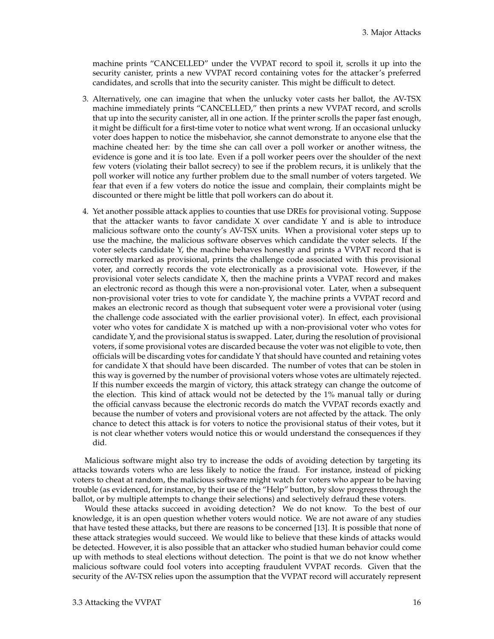machine prints "CANCELLED" under the VVPAT record to spoil it, scrolls it up into the security canister, prints a new VVPAT record containing votes for the attacker's preferred candidates, and scrolls that into the security canister. This might be difficult to detect.

- 3. Alternatively, one can imagine that when the unlucky voter casts her ballot, the AV-TSX machine immediately prints "CANCELLED," then prints a new VVPAT record, and scrolls that up into the security canister, all in one action. If the printer scrolls the paper fast enough, it might be difficult for a first-time voter to notice what went wrong. If an occasional unlucky voter does happen to notice the misbehavior, she cannot demonstrate to anyone else that the machine cheated her: by the time she can call over a poll worker or another witness, the evidence is gone and it is too late. Even if a poll worker peers over the shoulder of the next few voters (violating their ballot secrecy) to see if the problem recurs, it is unlikely that the poll worker will notice any further problem due to the small number of voters targeted. We fear that even if a few voters do notice the issue and complain, their complaints might be discounted or there might be little that poll workers can do about it.
- 4. Yet another possible attack applies to counties that use DREs for provisional voting. Suppose that the attacker wants to favor candidate X over candidate Y and is able to introduce malicious software onto the county's AV-TSX units. When a provisional voter steps up to use the machine, the malicious software observes which candidate the voter selects. If the voter selects candidate Y, the machine behaves honestly and prints a VVPAT record that is correctly marked as provisional, prints the challenge code associated with this provisional voter, and correctly records the vote electronically as a provisional vote. However, if the provisional voter selects candidate X, then the machine prints a VVPAT record and makes an electronic record as though this were a non-provisional voter. Later, when a subsequent non-provisional voter tries to vote for candidate Y, the machine prints a VVPAT record and makes an electronic record as though that subsequent voter were a provisional voter (using the challenge code associated with the earlier provisional voter). In effect, each provisional voter who votes for candidate X is matched up with a non-provisional voter who votes for candidate Y, and the provisional status is swapped. Later, during the resolution of provisional voters, if some provisional votes are discarded because the voter was not eligible to vote, then officials will be discarding votes for candidate Y that should have counted and retaining votes for candidate X that should have been discarded. The number of votes that can be stolen in this way is governed by the number of provisional voters whose votes are ultimately rejected. If this number exceeds the margin of victory, this attack strategy can change the outcome of the election. This kind of attack would not be detected by the 1% manual tally or during the official canvass because the electronic records do match the VVPAT records exactly and because the number of voters and provisional voters are not affected by the attack. The only chance to detect this attack is for voters to notice the provisional status of their votes, but it is not clear whether voters would notice this or would understand the consequences if they did.

Malicious software might also try to increase the odds of avoiding detection by targeting its attacks towards voters who are less likely to notice the fraud. For instance, instead of picking voters to cheat at random, the malicious software might watch for voters who appear to be having trouble (as evidenced, for instance, by their use of the "Help" button, by slow progress through the ballot, or by multiple attempts to change their selections) and selectively defraud these voters.

Would these attacks succeed in avoiding detection? We do not know. To the best of our knowledge, it is an open question whether voters would notice. We are not aware of any studies that have tested these attacks, but there are reasons to be concerned [\[13\]](#page-83-5). It is possible that none of these attack strategies would succeed. We would like to believe that these kinds of attacks would be detected. However, it is also possible that an attacker who studied human behavior could come up with methods to steal elections without detection. The point is that we do not know whether malicious software could fool voters into accepting fraudulent VVPAT records. Given that the security of the AV-TSX relies upon the assumption that the VVPAT record will accurately represent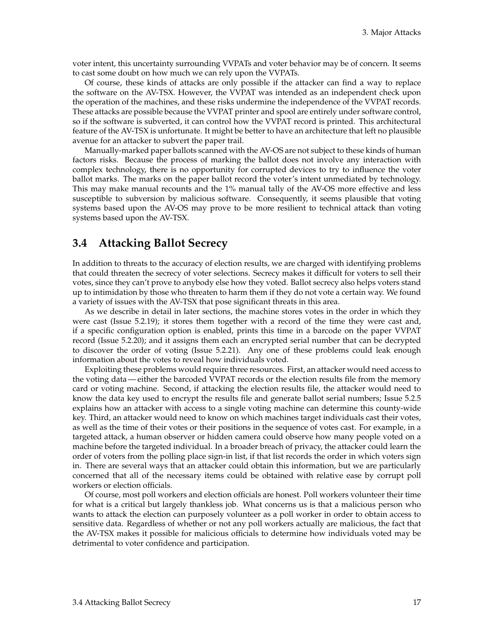voter intent, this uncertainty surrounding VVPATs and voter behavior may be of concern. It seems to cast some doubt on how much we can rely upon the VVPATs.

Of course, these kinds of attacks are only possible if the attacker can find a way to replace the software on the AV-TSX. However, the VVPAT was intended as an independent check upon the operation of the machines, and these risks undermine the independence of the VVPAT records. These attacks are possible because the VVPAT printer and spool are entirely under software control, so if the software is subverted, it can control how the VVPAT record is printed. This architectural feature of the AV-TSX is unfortunate. It might be better to have an architecture that left no plausible avenue for an attacker to subvert the paper trail.

Manually-marked paper ballots scanned with the AV-OS are not subject to these kinds of human factors risks. Because the process of marking the ballot does not involve any interaction with complex technology, there is no opportunity for corrupted devices to try to influence the voter ballot marks. The marks on the paper ballot record the voter's intent unmediated by technology. This may make manual recounts and the 1% manual tally of the AV-OS more effective and less susceptible to subversion by malicious software. Consequently, it seems plausible that voting systems based upon the AV-OS may prove to be more resilient to technical attack than voting systems based upon the AV-TSX.

### <span id="page-23-0"></span>**3.4 Attacking Ballot Secrecy**

In addition to threats to the accuracy of election results, we are charged with identifying problems that could threaten the secrecy of voter selections. Secrecy makes it difficult for voters to sell their votes, since they can't prove to anybody else how they voted. Ballot secrecy also helps voters stand up to intimidation by those who threaten to harm them if they do not vote a certain way. We found a variety of issues with the AV-TSX that pose significant threats in this area.

As we describe in detail in later sections, the machine stores votes in the order in which they were cast (Issue 5.2[.19\)](#page-55-3); it stores them together with a record of the time they were cast and, if a specific configuration option is enabled, prints this time in a barcode on the paper VVPAT record (Issue 5.2[.20\)](#page-56-2); and it assigns them each an encrypted serial number that can be decrypted to discover the order of voting (Issue 5.2[.21\)](#page-56-3). Any one of these problems could leak enough information about the votes to reveal how individuals voted.

Exploiting these problems would require three resources. First, an attacker would need access to the voting data — either the barcoded VVPAT records or the election results file from the memory card or voting machine. Second, if attacking the election results file, the attacker would need to know the data key used to encrypt the results file and generate ballot serial numbers; Issue 5.2[.5](#page-42-5) explains how an attacker with access to a single voting machine can determine this county-wide key. Third, an attacker would need to know on which machines target individuals cast their votes, as well as the time of their votes or their positions in the sequence of votes cast. For example, in a targeted attack, a human observer or hidden camera could observe how many people voted on a machine before the targeted individual. In a broader breach of privacy, the attacker could learn the order of voters from the polling place sign-in list, if that list records the order in which voters sign in. There are several ways that an attacker could obtain this information, but we are particularly concerned that all of the necessary items could be obtained with relative ease by corrupt poll workers or election officials.

Of course, most poll workers and election officials are honest. Poll workers volunteer their time for what is a critical but largely thankless job. What concerns us is that a malicious person who wants to attack the election can purposely volunteer as a poll worker in order to obtain access to sensitive data. Regardless of whether or not any poll workers actually are malicious, the fact that the AV-TSX makes it possible for malicious officials to determine how individuals voted may be detrimental to voter confidence and participation.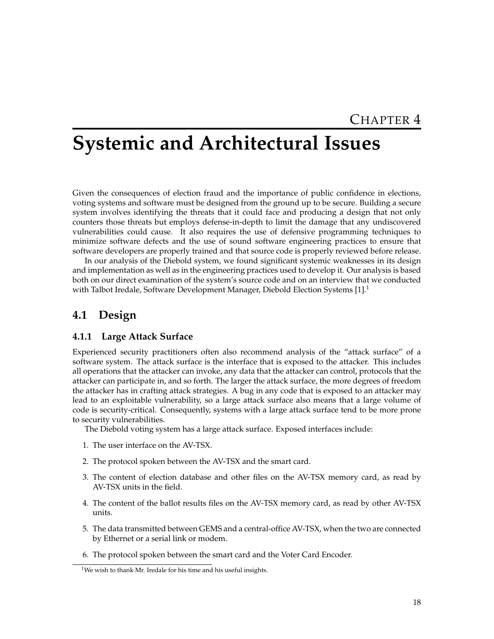## <span id="page-24-0"></span>**Systemic and Architectural Issues**

Given the consequences of election fraud and the importance of public confidence in elections, voting systems and software must be designed from the ground up to be secure. Building a secure system involves identifying the threats that it could face and producing a design that not only counters those threats but employs defense-in-depth to limit the damage that any undiscovered vulnerabilities could cause. It also requires the use of defensive programming techniques to minimize software defects and the use of sound software engineering practices to ensure that software developers are properly trained and that source code is properly reviewed before release.

In our analysis of the Diebold system, we found significant systemic weaknesses in its design and implementation as well as in the engineering practices used to develop it. Our analysis is based both on our direct examination of the system's source code and on an interview that we conducted with Talbot Iredale, Software Development Manager, Diebold Election Systems  $[1]$ .<sup>[1](#page-24-2)</sup>

## <span id="page-24-1"></span>**4.1 Design**

#### **4.1.1 Large Attack Surface**

Experienced security practitioners often also recommend analysis of the "attack surface" of a software system. The attack surface is the interface that is exposed to the attacker. This includes all operations that the attacker can invoke, any data that the attacker can control, protocols that the attacker can participate in, and so forth. The larger the attack surface, the more degrees of freedom the attacker has in crafting attack strategies. A bug in any code that is exposed to an attacker may lead to an exploitable vulnerability, so a large attack surface also means that a large volume of code is security-critical. Consequently, systems with a large attack surface tend to be more prone to security vulnerabilities.

The Diebold voting system has a large attack surface. Exposed interfaces include:

- 1. The user interface on the AV-TSX.
- 2. The protocol spoken between the AV-TSX and the smart card.
- 3. The content of election database and other files on the AV-TSX memory card, as read by AV-TSX units in the field.
- 4. The content of the ballot results files on the AV-TSX memory card, as read by other AV-TSX units.
- 5. The data transmitted between GEMS and a central-office AV-TSX, when the two are connected by Ethernet or a serial link or modem.
- 6. The protocol spoken between the smart card and the Voter Card Encoder.

<span id="page-24-2"></span><sup>&</sup>lt;sup>1</sup>We wish to thank Mr. Iredale for his time and his useful insights.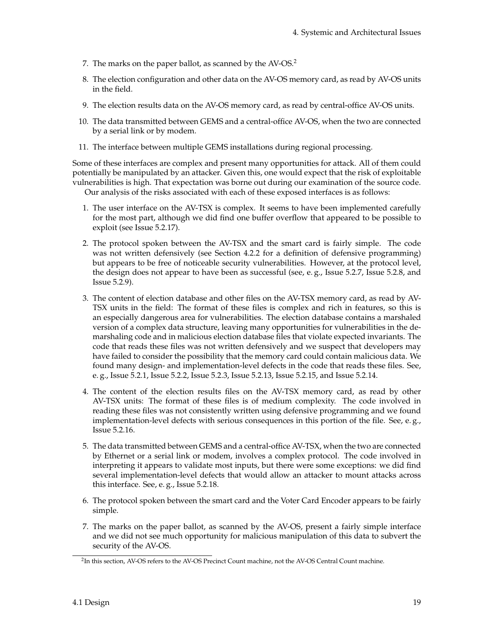- 7. The marks on the paper ballot, as scanned by the AV-OS.<sup>[2](#page-25-0)</sup>
- 8. The election configuration and other data on the AV-OS memory card, as read by AV-OS units in the field.
- 9. The election results data on the AV-OS memory card, as read by central-office AV-OS units.
- 10. The data transmitted between GEMS and a central-office AV-OS, when the two are connected by a serial link or by modem.
- 11. The interface between multiple GEMS installations during regional processing.

Some of these interfaces are complex and present many opportunities for attack. All of them could potentially be manipulated by an attacker. Given this, one would expect that the risk of exploitable vulnerabilities is high. That expectation was borne out during our examination of the source code. Our analysis of the risks associated with each of these exposed interfaces is as follows:

- 1. The user interface on the AV-TSX is complex. It seems to have been implemented carefully for the most part, although we did find one buffer overflow that appeared to be possible to exploit (see Issue 5.2[.17\)](#page-55-4).
- 2. The protocol spoken between the AV-TSX and the smart card is fairly simple. The code was not written defensively (see Section [4.2.2](#page-34-1) for a definition of defensive programming) but appears to be free of noticeable security vulnerabilities. However, at the protocol level, the design does not appear to have been as successful (see, e. g., Issue 5.2[.7,](#page-42-6) Issue 5.2[.8,](#page-43-2) and Issue 5.2[.9\)](#page-43-3).
- 3. The content of election database and other files on the AV-TSX memory card, as read by AV-TSX units in the field: The format of these files is complex and rich in features, so this is an especially dangerous area for vulnerabilities. The election database contains a marshaled version of a complex data structure, leaving many opportunities for vulnerabilities in the demarshaling code and in malicious election database files that violate expected invariants. The code that reads these files was not written defensively and we suspect that developers may have failed to consider the possibility that the memory card could contain malicious data. We found many design- and implementation-level defects in the code that reads these files. See, e. g., Issue 5.2[.1,](#page-39-1) Issue 5.2[.2,](#page-40-2) Issue 5.2[.3,](#page-40-3) Issue 5.2[.13,](#page-53-2) Issue 5.2[.15,](#page-54-4) and Issue 5.2[.14.](#page-54-5)
- 4. The content of the election results files on the AV-TSX memory card, as read by other AV-TSX units: The format of these files is of medium complexity. The code involved in reading these files was not consistently written using defensive programming and we found implementation-level defects with serious consequences in this portion of the file. See, e. g., Issue 5.2[.16.](#page-54-3)
- 5. The data transmitted between GEMS and a central-office AV-TSX, when the two are connected by Ethernet or a serial link or modem, involves a complex protocol. The code involved in interpreting it appears to validate most inputs, but there were some exceptions: we did find several implementation-level defects that would allow an attacker to mount attacks across this interface. See, e. g., Issue 5.2[.18.](#page-55-5)
- 6. The protocol spoken between the smart card and the Voter Card Encoder appears to be fairly simple.
- 7. The marks on the paper ballot, as scanned by the AV-OS, present a fairly simple interface and we did not see much opportunity for malicious manipulation of this data to subvert the security of the AV-OS.

<span id="page-25-0"></span><sup>2</sup> In this section, AV-OS refers to the AV-OS Precinct Count machine, not the AV-OS Central Count machine.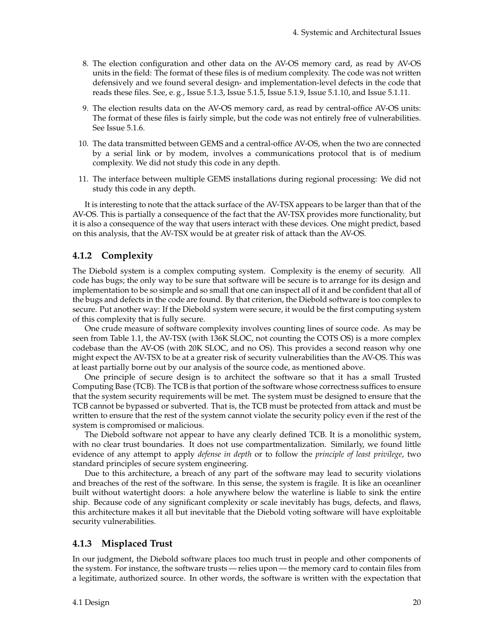- 8. The election configuration and other data on the AV-OS memory card, as read by AV-OS units in the field: The format of these files is of medium complexity. The code was not written defensively and we found several design- and implementation-level defects in the code that reads these files. See, e. g., Issue 5.1[.3,](#page-40-3) Issue 5.1[.5,](#page-42-5) Issue 5.1[.9,](#page-43-3) Issue 5.1[.10,](#page-44-2) and Issue 5.1[.11.](#page-44-3)
- 9. The election results data on the AV-OS memory card, as read by central-office AV-OS units: The format of these files is fairly simple, but the code was not entirely free of vulnerabilities. See Issue 5.1[.6.](#page-42-4)
- 10. The data transmitted between GEMS and a central-office AV-OS, when the two are connected by a serial link or by modem, involves a communications protocol that is of medium complexity. We did not study this code in any depth.
- 11. The interface between multiple GEMS installations during regional processing: We did not study this code in any depth.

It is interesting to note that the attack surface of the AV-TSX appears to be larger than that of the AV-OS. This is partially a consequence of the fact that the AV-TSX provides more functionality, but it is also a consequence of the way that users interact with these devices. One might predict, based on this analysis, that the AV-TSX would be at greater risk of attack than the AV-OS.

#### **4.1.2 Complexity**

The Diebold system is a complex computing system. Complexity is the enemy of security. All code has bugs; the only way to be sure that software will be secure is to arrange for its design and implementation to be so simple and so small that one can inspect all of it and be confident that all of the bugs and defects in the code are found. By that criterion, the Diebold software is too complex to secure. Put another way: If the Diebold system were secure, it would be the first computing system of this complexity that is fully secure.

One crude measure of software complexity involves counting lines of source code. As may be seen from Table [1.1,](#page-9-1) the AV-TSX (with 136K SLOC, not counting the COTS OS) is a more complex codebase than the AV-OS (with 20K SLOC, and no OS). This provides a second reason why one might expect the AV-TSX to be at a greater risk of security vulnerabilities than the AV-OS. This was at least partially borne out by our analysis of the source code, as mentioned above.

One principle of secure design is to architect the software so that it has a small Trusted Computing Base (TCB). The TCB is that portion of the software whose correctness suffices to ensure that the system security requirements will be met. The system must be designed to ensure that the TCB cannot be bypassed or subverted. That is, the TCB must be protected from attack and must be written to ensure that the rest of the system cannot violate the security policy even if the rest of the system is compromised or malicious.

The Diebold software not appear to have any clearly defined TCB. It is a monolithic system, with no clear trust boundaries. It does not use compartmentalization. Similarly, we found little evidence of any attempt to apply *defense in depth* or to follow the *principle of least privilege*, two standard principles of secure system engineering.

Due to this architecture, a breach of any part of the software may lead to security violations and breaches of the rest of the software. In this sense, the system is fragile. It is like an oceanliner built without watertight doors: a hole anywhere below the waterline is liable to sink the entire ship. Because code of any significant complexity or scale inevitably has bugs, defects, and flaws, this architecture makes it all but inevitable that the Diebold voting software will have exploitable security vulnerabilities.

#### **4.1.3 Misplaced Trust**

In our judgment, the Diebold software places too much trust in people and other components of the system. For instance, the software trusts — relies upon — the memory card to contain files from a legitimate, authorized source. In other words, the software is written with the expectation that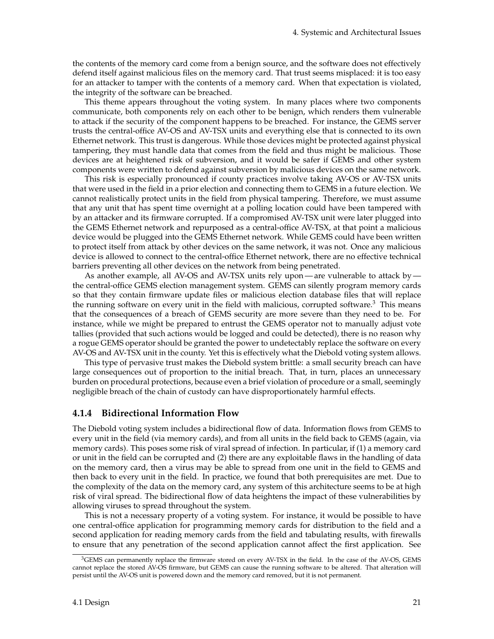the contents of the memory card come from a benign source, and the software does not effectively defend itself against malicious files on the memory card. That trust seems misplaced: it is too easy for an attacker to tamper with the contents of a memory card. When that expectation is violated, the integrity of the software can be breached.

This theme appears throughout the voting system. In many places where two components communicate, both components rely on each other to be benign, which renders them vulnerable to attack if the security of the component happens to be breached. For instance, the GEMS server trusts the central-office AV-OS and AV-TSX units and everything else that is connected to its own Ethernet network. This trust is dangerous. While those devices might be protected against physical tampering, they must handle data that comes from the field and thus might be malicious. Those devices are at heightened risk of subversion, and it would be safer if GEMS and other system components were written to defend against subversion by malicious devices on the same network.

This risk is especially pronounced if county practices involve taking AV-OS or AV-TSX units that were used in the field in a prior election and connecting them to GEMS in a future election. We cannot realistically protect units in the field from physical tampering. Therefore, we must assume that any unit that has spent time overnight at a polling location could have been tampered with by an attacker and its firmware corrupted. If a compromised AV-TSX unit were later plugged into the GEMS Ethernet network and repurposed as a central-office AV-TSX, at that point a malicious device would be plugged into the GEMS Ethernet network. While GEMS could have been written to protect itself from attack by other devices on the same network, it was not. Once any malicious device is allowed to connect to the central-office Ethernet network, there are no effective technical barriers preventing all other devices on the network from being penetrated.

As another example, all AV-OS and AV-TSX units rely upon— are vulnerable to attack by the central-office GEMS election management system. GEMS can silently program memory cards so that they contain firmware update files or malicious election database files that will replace the running software on every unit in the field with malicious, corrupted software. $3$  This means that the consequences of a breach of GEMS security are more severe than they need to be. For instance, while we might be prepared to entrust the GEMS operator not to manually adjust vote tallies (provided that such actions would be logged and could be detected), there is no reason why a rogue GEMS operator should be granted the power to undetectably replace the software on every AV-OS and AV-TSX unit in the county. Yet this is effectively what the Diebold voting system allows.

This type of pervasive trust makes the Diebold system brittle: a small security breach can have large consequences out of proportion to the initial breach. That, in turn, places an unnecessary burden on procedural protections, because even a brief violation of procedure or a small, seemingly negligible breach of the chain of custody can have disproportionately harmful effects.

#### **4.1.4 Bidirectional Information Flow**

The Diebold voting system includes a bidirectional flow of data. Information flows from GEMS to every unit in the field (via memory cards), and from all units in the field back to GEMS (again, via memory cards). This poses some risk of viral spread of infection. In particular, if (1) a memory card or unit in the field can be corrupted and (2) there are any exploitable flaws in the handling of data on the memory card, then a virus may be able to spread from one unit in the field to GEMS and then back to every unit in the field. In practice, we found that both prerequisites are met. Due to the complexity of the data on the memory card, any system of this architecture seems to be at high risk of viral spread. The bidirectional flow of data heightens the impact of these vulnerabilities by allowing viruses to spread throughout the system.

This is not a necessary property of a voting system. For instance, it would be possible to have one central-office application for programming memory cards for distribution to the field and a second application for reading memory cards from the field and tabulating results, with firewalls to ensure that any penetration of the second application cannot affect the first application. See

<span id="page-27-0"></span><sup>&</sup>lt;sup>3</sup>GEMS can permanently replace the firmware stored on every AV-TSX in the field. In the case of the AV-OS, GEMS cannot replace the stored AV-OS firmware, but GEMS can cause the running software to be altered. That alteration will persist until the AV-OS unit is powered down and the memory card removed, but it is not permanent.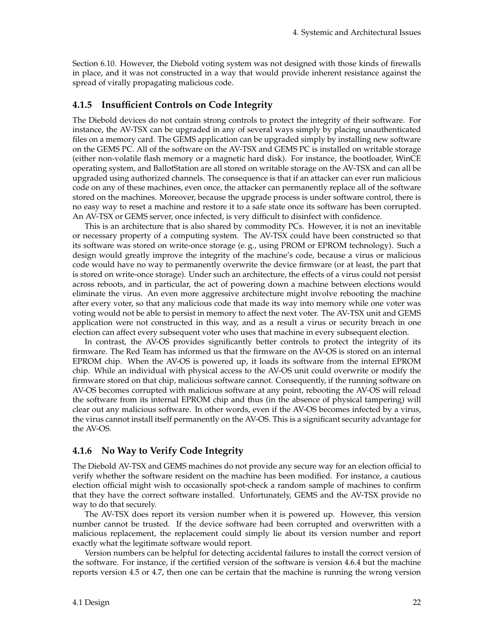Section [6.10.](#page-68-0) However, the Diebold voting system was not designed with those kinds of firewalls in place, and it was not constructed in a way that would provide inherent resistance against the spread of virally propagating malicious code.

#### <span id="page-28-0"></span>**4.1.5 Insufficient Controls on Code Integrity**

The Diebold devices do not contain strong controls to protect the integrity of their software. For instance, the AV-TSX can be upgraded in any of several ways simply by placing unauthenticated files on a memory card. The GEMS application can be upgraded simply by installing new software on the GEMS PC. All of the software on the AV-TSX and GEMS PC is installed on writable storage (either non-volatile flash memory or a magnetic hard disk). For instance, the bootloader, WinCE operating system, and BallotStation are all stored on writable storage on the AV-TSX and can all be upgraded using authorized channels. The consequence is that if an attacker can ever run malicious code on any of these machines, even once, the attacker can permanently replace all of the software stored on the machines. Moreover, because the upgrade process is under software control, there is no easy way to reset a machine and restore it to a safe state once its software has been corrupted. An AV-TSX or GEMS server, once infected, is very difficult to disinfect with confidence.

This is an architecture that is also shared by commodity PCs. However, it is not an inevitable or necessary property of a computing system. The AV-TSX could have been constructed so that its software was stored on write-once storage (e. g., using PROM or EPROM technology). Such a design would greatly improve the integrity of the machine's code, because a virus or malicious code would have no way to permanently overwrite the device firmware (or at least, the part that is stored on write-once storage). Under such an architecture, the effects of a virus could not persist across reboots, and in particular, the act of powering down a machine between elections would eliminate the virus. An even more aggressive architecture might involve rebooting the machine after every voter, so that any malicious code that made its way into memory while one voter was voting would not be able to persist in memory to affect the next voter. The AV-TSX unit and GEMS application were not constructed in this way, and as a result a virus or security breach in one election can affect every subsequent voter who uses that machine in every subsequent election.

In contrast, the AV-OS provides significantly better controls to protect the integrity of its firmware. The Red Team has informed us that the firmware on the AV-OS is stored on an internal EPROM chip. When the AV-OS is powered up, it loads its software from the internal EPROM chip. While an individual with physical access to the AV-OS unit could overwrite or modify the firmware stored on that chip, malicious software cannot. Consequently, if the running software on AV-OS becomes corrupted with malicious software at any point, rebooting the AV-OS will reload the software from its internal EPROM chip and thus (in the absence of physical tampering) will clear out any malicious software. In other words, even if the AV-OS becomes infected by a virus, the virus cannot install itself permanently on the AV-OS. This is a significant security advantage for the AV-OS.

#### **4.1.6 No Way to Verify Code Integrity**

The Diebold AV-TSX and GEMS machines do not provide any secure way for an election official to verify whether the software resident on the machine has been modified. For instance, a cautious election official might wish to occasionally spot-check a random sample of machines to confirm that they have the correct software installed. Unfortunately, GEMS and the AV-TSX provide no way to do that securely.

The AV-TSX does report its version number when it is powered up. However, this version number cannot be trusted. If the device software had been corrupted and overwritten with a malicious replacement, the replacement could simply lie about its version number and report exactly what the legitimate software would report.

Version numbers can be helpful for detecting accidental failures to install the correct version of the software. For instance, if the certified version of the software is version 4.6.4 but the machine reports version 4.5 or 4.7, then one can be certain that the machine is running the wrong version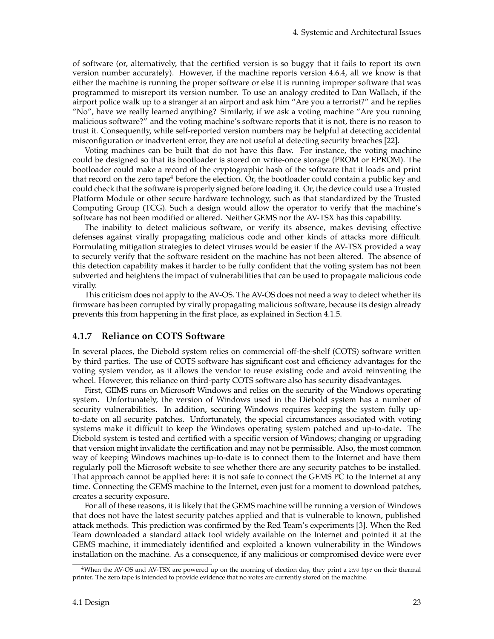of software (or, alternatively, that the certified version is so buggy that it fails to report its own version number accurately). However, if the machine reports version 4.6.4, all we know is that either the machine is running the proper software or else it is running improper software that was programmed to misreport its version number. To use an analogy credited to Dan Wallach, if the airport police walk up to a stranger at an airport and ask him "Are you a terrorist?" and he replies "No", have we really learned anything? Similarly, if we ask a voting machine "Are you running malicious software?" and the voting machine's software reports that it is not, there is no reason to trust it. Consequently, while self-reported version numbers may be helpful at detecting accidental misconfiguration or inadvertent error, they are not useful at detecting security breaches [\[22\]](#page-84-7).

Voting machines can be built that do not have this flaw. For instance, the voting machine could be designed so that its bootloader is stored on write-once storage (PROM or EPROM). The bootloader could make a record of the cryptographic hash of the software that it loads and print that record on the zero tape<sup>[4](#page-29-0)</sup> before the election. Or, the bootloader could contain a public key and could check that the software is properly signed before loading it. Or, the device could use a Trusted Platform Module or other secure hardware technology, such as that standardized by the Trusted Computing Group (TCG). Such a design would allow the operator to verify that the machine's software has not been modified or altered. Neither GEMS nor the AV-TSX has this capability.

The inability to detect malicious software, or verify its absence, makes devising effective defenses against virally propagating malicious code and other kinds of attacks more difficult. Formulating mitigation strategies to detect viruses would be easier if the AV-TSX provided a way to securely verify that the software resident on the machine has not been altered. The absence of this detection capability makes it harder to be fully confident that the voting system has not been subverted and heightens the impact of vulnerabilities that can be used to propagate malicious code virally.

This criticism does not apply to the AV-OS. The AV-OS does not need a way to detect whether its firmware has been corrupted by virally propagating malicious software, because its design already prevents this from happening in the first place, as explained in Section [4.1.5.](#page-28-0)

#### **4.1.7 Reliance on COTS Software**

In several places, the Diebold system relies on commercial off-the-shelf (COTS) software written by third parties. The use of COTS software has significant cost and efficiency advantages for the voting system vendor, as it allows the vendor to reuse existing code and avoid reinventing the wheel. However, this reliance on third-party COTS software also has security disadvantages.

First, GEMS runs on Microsoft Windows and relies on the security of the Windows operating system. Unfortunately, the version of Windows used in the Diebold system has a number of security vulnerabilities. In addition, securing Windows requires keeping the system fully upto-date on all security patches. Unfortunately, the special circumstances associated with voting systems make it difficult to keep the Windows operating system patched and up-to-date. The Diebold system is tested and certified with a specific version of Windows; changing or upgrading that version might invalidate the certification and may not be permissible. Also, the most common way of keeping Windows machines up-to-date is to connect them to the Internet and have them regularly poll the Microsoft website to see whether there are any security patches to be installed. That approach cannot be applied here: it is not safe to connect the GEMS PC to the Internet at any time. Connecting the GEMS machine to the Internet, even just for a moment to download patches, creates a security exposure.

For all of these reasons, it is likely that the GEMS machine will be running a version of Windows that does not have the latest security patches applied and that is vulnerable to known, published attack methods. This prediction was confirmed by the Red Team's experiments [\[3\]](#page-83-1). When the Red Team downloaded a standard attack tool widely available on the Internet and pointed it at the GEMS machine, it immediately identified and exploited a known vulnerability in the Windows installation on the machine. As a consequence, if any malicious or compromised device were ever

<span id="page-29-0"></span><sup>4</sup>When the AV-OS and AV-TSX are powered up on the morning of election day, they print a *zero tape* on their thermal printer. The zero tape is intended to provide evidence that no votes are currently stored on the machine.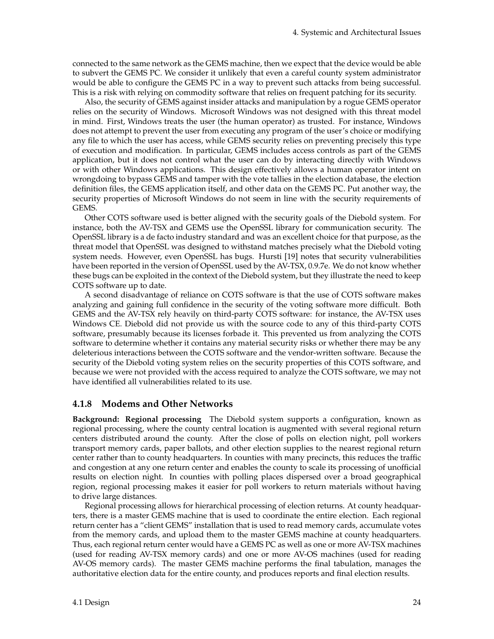connected to the same network as the GEMS machine, then we expect that the device would be able to subvert the GEMS PC. We consider it unlikely that even a careful county system administrator would be able to configure the GEMS PC in a way to prevent such attacks from being successful. This is a risk with relying on commodity software that relies on frequent patching for its security.

Also, the security of GEMS against insider attacks and manipulation by a rogue GEMS operator relies on the security of Windows. Microsoft Windows was not designed with this threat model in mind. First, Windows treats the user (the human operator) as trusted. For instance, Windows does not attempt to prevent the user from executing any program of the user's choice or modifying any file to which the user has access, while GEMS security relies on preventing precisely this type of execution and modification. In particular, GEMS includes access controls as part of the GEMS application, but it does not control what the user can do by interacting directly with Windows or with other Windows applications. This design effectively allows a human operator intent on wrongdoing to bypass GEMS and tamper with the vote tallies in the election database, the election definition files, the GEMS application itself, and other data on the GEMS PC. Put another way, the security properties of Microsoft Windows do not seem in line with the security requirements of GEMS.

Other COTS software used is better aligned with the security goals of the Diebold system. For instance, both the AV-TSX and GEMS use the OpenSSL library for communication security. The OpenSSL library is a de facto industry standard and was an excellent choice for that purpose, as the threat model that OpenSSL was designed to withstand matches precisely what the Diebold voting system needs. However, even OpenSSL has bugs. Hursti [\[19\]](#page-84-3) notes that security vulnerabilities have been reported in the version of OpenSSL used by the AV-TSX, 0.9.7e. We do not know whether these bugs can be exploited in the context of the Diebold system, but they illustrate the need to keep COTS software up to date.

A second disadvantage of reliance on COTS software is that the use of COTS software makes analyzing and gaining full confidence in the security of the voting software more difficult. Both GEMS and the AV-TSX rely heavily on third-party COTS software: for instance, the AV-TSX uses Windows CE. Diebold did not provide us with the source code to any of this third-party COTS software, presumably because its licenses forbade it. This prevented us from analyzing the COTS software to determine whether it contains any material security risks or whether there may be any deleterious interactions between the COTS software and the vendor-written software. Because the security of the Diebold voting system relies on the security properties of this COTS software, and because we were not provided with the access required to analyze the COTS software, we may not have identified all vulnerabilities related to its use.

#### <span id="page-30-0"></span>**4.1.8 Modems and Other Networks**

**Background: Regional processing** The Diebold system supports a configuration, known as regional processing, where the county central location is augmented with several regional return centers distributed around the county. After the close of polls on election night, poll workers transport memory cards, paper ballots, and other election supplies to the nearest regional return center rather than to county headquarters. In counties with many precincts, this reduces the traffic and congestion at any one return center and enables the county to scale its processing of unofficial results on election night. In counties with polling places dispersed over a broad geographical region, regional processing makes it easier for poll workers to return materials without having to drive large distances.

Regional processing allows for hierarchical processing of election returns. At county headquarters, there is a master GEMS machine that is used to coordinate the entire election. Each regional return center has a "client GEMS" installation that is used to read memory cards, accumulate votes from the memory cards, and upload them to the master GEMS machine at county headquarters. Thus, each regional return center would have a GEMS PC as well as one or more AV-TSX machines (used for reading AV-TSX memory cards) and one or more AV-OS machines (used for reading AV-OS memory cards). The master GEMS machine performs the final tabulation, manages the authoritative election data for the entire county, and produces reports and final election results.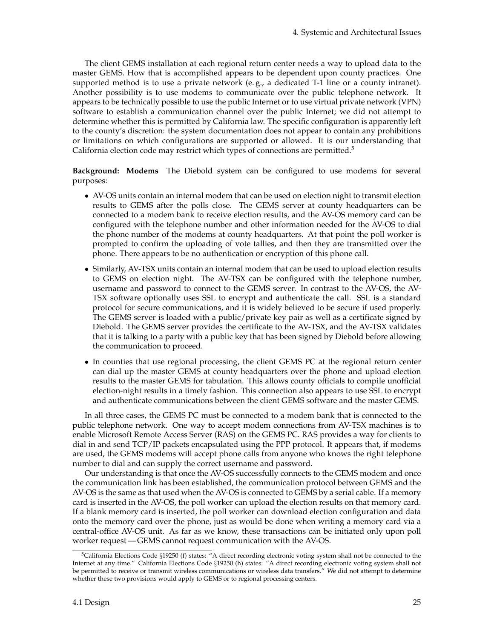The client GEMS installation at each regional return center needs a way to upload data to the master GEMS. How that is accomplished appears to be dependent upon county practices. One supported method is to use a private network (e.g., a dedicated T-1 line or a county intranet). Another possibility is to use modems to communicate over the public telephone network. It appears to be technically possible to use the public Internet or to use virtual private network (VPN) software to establish a communication channel over the public Internet; we did not attempt to determine whether this is permitted by California law. The specific configuration is apparently left to the county's discretion: the system documentation does not appear to contain any prohibitions or limitations on which configurations are supported or allowed. It is our understanding that California election code may restrict which types of connections are permitted.<sup>[5](#page-31-0)</sup>

**Background: Modems** The Diebold system can be configured to use modems for several purposes:

- AV-OS units contain an internal modem that can be used on election night to transmit election results to GEMS after the polls close. The GEMS server at county headquarters can be connected to a modem bank to receive election results, and the AV-OS memory card can be configured with the telephone number and other information needed for the AV-OS to dial the phone number of the modems at county headquarters. At that point the poll worker is prompted to confirm the uploading of vote tallies, and then they are transmitted over the phone. There appears to be no authentication or encryption of this phone call.
- Similarly, AV-TSX units contain an internal modem that can be used to upload election results to GEMS on election night. The AV-TSX can be configured with the telephone number, username and password to connect to the GEMS server. In contrast to the AV-OS, the AV-TSX software optionally uses SSL to encrypt and authenticate the call. SSL is a standard protocol for secure communications, and it is widely believed to be secure if used properly. The GEMS server is loaded with a public/private key pair as well as a certificate signed by Diebold. The GEMS server provides the certificate to the AV-TSX, and the AV-TSX validates that it is talking to a party with a public key that has been signed by Diebold before allowing the communication to proceed.
- In counties that use regional processing, the client GEMS PC at the regional return center can dial up the master GEMS at county headquarters over the phone and upload election results to the master GEMS for tabulation. This allows county officials to compile unofficial election-night results in a timely fashion. This connection also appears to use SSL to encrypt and authenticate communications between the client GEMS software and the master GEMS.

In all three cases, the GEMS PC must be connected to a modem bank that is connected to the public telephone network. One way to accept modem connections from AV-TSX machines is to enable Microsoft Remote Access Server (RAS) on the GEMS PC. RAS provides a way for clients to dial in and send TCP/IP packets encapsulated using the PPP protocol. It appears that, if modems are used, the GEMS modems will accept phone calls from anyone who knows the right telephone number to dial and can supply the correct username and password.

Our understanding is that once the AV-OS successfully connects to the GEMS modem and once the communication link has been established, the communication protocol between GEMS and the AV-OS is the same as that used when the AV-OS is connected to GEMS by a serial cable. If a memory card is inserted in the AV-OS, the poll worker can upload the election results on that memory card. If a blank memory card is inserted, the poll worker can download election configuration and data onto the memory card over the phone, just as would be done when writing a memory card via a central-office AV-OS unit. As far as we know, these transactions can be initiated only upon poll worker request— GEMS cannot request communication with the AV-OS.

<span id="page-31-0"></span><sup>&</sup>lt;sup>5</sup>California Elections Code §19250 (f) states: "A direct recording electronic voting system shall not be connected to the Internet at any time." California Elections Code §19250 (h) states: "A direct recording electronic voting system shall not be permitted to receive or transmit wireless communications or wireless data transfers." We did not attempt to determine whether these two provisions would apply to GEMS or to regional processing centers.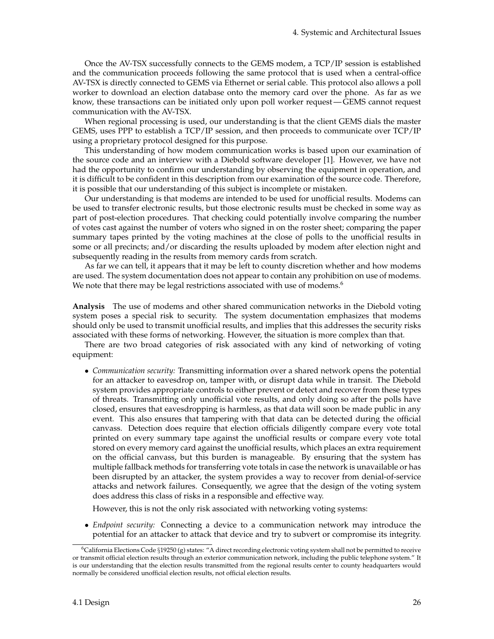Once the AV-TSX successfully connects to the GEMS modem, a TCP/IP session is established and the communication proceeds following the same protocol that is used when a central-office AV-TSX is directly connected to GEMS via Ethernet or serial cable. This protocol also allows a poll worker to download an election database onto the memory card over the phone. As far as we know, these transactions can be initiated only upon poll worker request— GEMS cannot request communication with the AV-TSX.

When regional processing is used, our understanding is that the client GEMS dials the master GEMS, uses PPP to establish a TCP/IP session, and then proceeds to communicate over TCP/IP using a proprietary protocol designed for this purpose.

This understanding of how modem communication works is based upon our examination of the source code and an interview with a Diebold software developer [\[1\]](#page-83-6). However, we have not had the opportunity to confirm our understanding by observing the equipment in operation, and it is difficult to be confident in this description from our examination of the source code. Therefore, it is possible that our understanding of this subject is incomplete or mistaken.

Our understanding is that modems are intended to be used for unofficial results. Modems can be used to transfer electronic results, but those electronic results must be checked in some way as part of post-election procedures. That checking could potentially involve comparing the number of votes cast against the number of voters who signed in on the roster sheet; comparing the paper summary tapes printed by the voting machines at the close of polls to the unofficial results in some or all precincts; and/or discarding the results uploaded by modem after election night and subsequently reading in the results from memory cards from scratch.

As far we can tell, it appears that it may be left to county discretion whether and how modems are used. The system documentation does not appear to contain any prohibition on use of modems. We note that there may be legal restrictions associated with use of modems.<sup>[6](#page-32-0)</sup>

**Analysis** The use of modems and other shared communication networks in the Diebold voting system poses a special risk to security. The system documentation emphasizes that modems should only be used to transmit unofficial results, and implies that this addresses the security risks associated with these forms of networking. However, the situation is more complex than that.

There are two broad categories of risk associated with any kind of networking of voting equipment:

• *Communication security:* Transmitting information over a shared network opens the potential for an attacker to eavesdrop on, tamper with, or disrupt data while in transit. The Diebold system provides appropriate controls to either prevent or detect and recover from these types of threats. Transmitting only unofficial vote results, and only doing so after the polls have closed, ensures that eavesdropping is harmless, as that data will soon be made public in any event. This also ensures that tampering with that data can be detected during the official canvass. Detection does require that election officials diligently compare every vote total printed on every summary tape against the unofficial results or compare every vote total stored on every memory card against the unofficial results, which places an extra requirement on the official canvass, but this burden is manageable. By ensuring that the system has multiple fallback methods for transferring vote totals in case the network is unavailable or has been disrupted by an attacker, the system provides a way to recover from denial-of-service attacks and network failures. Consequently, we agree that the design of the voting system does address this class of risks in a responsible and effective way.

However, this is not the only risk associated with networking voting systems:

• *Endpoint security:* Connecting a device to a communication network may introduce the potential for an attacker to attack that device and try to subvert or compromise its integrity.

<span id="page-32-0"></span><sup>6</sup>California Elections Code §19250 (g) states: "A direct recording electronic voting system shall not be permitted to receive or transmit official election results through an exterior communication network, including the public telephone system." It is our understanding that the election results transmitted from the regional results center to county headquarters would normally be considered unofficial election results, not official election results.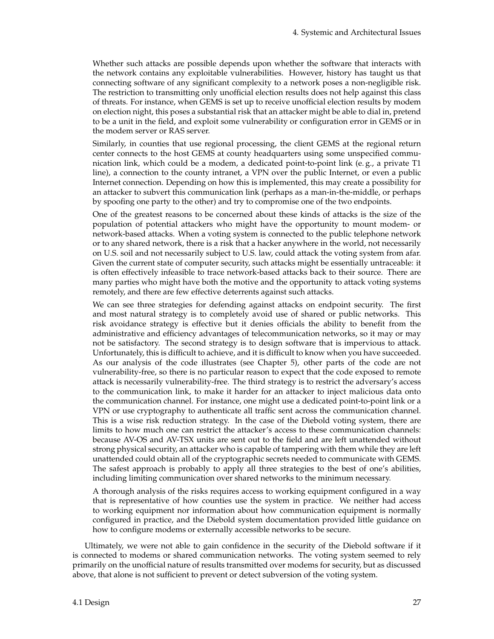Whether such attacks are possible depends upon whether the software that interacts with the network contains any exploitable vulnerabilities. However, history has taught us that connecting software of any significant complexity to a network poses a non-negligible risk. The restriction to transmitting only unofficial election results does not help against this class of threats. For instance, when GEMS is set up to receive unofficial election results by modem on election night, this poses a substantial risk that an attacker might be able to dial in, pretend to be a unit in the field, and exploit some vulnerability or configuration error in GEMS or in the modem server or RAS server.

Similarly, in counties that use regional processing, the client GEMS at the regional return center connects to the host GEMS at county headquarters using some unspecified communication link, which could be a modem, a dedicated point-to-point link (e. g., a private T1 line), a connection to the county intranet, a VPN over the public Internet, or even a public Internet connection. Depending on how this is implemented, this may create a possibility for an attacker to subvert this communication link (perhaps as a man-in-the-middle, or perhaps by spoofing one party to the other) and try to compromise one of the two endpoints.

One of the greatest reasons to be concerned about these kinds of attacks is the size of the population of potential attackers who might have the opportunity to mount modem- or network-based attacks. When a voting system is connected to the public telephone network or to any shared network, there is a risk that a hacker anywhere in the world, not necessarily on U.S. soil and not necessarily subject to U.S. law, could attack the voting system from afar. Given the current state of computer security, such attacks might be essentially untraceable: it is often effectively infeasible to trace network-based attacks back to their source. There are many parties who might have both the motive and the opportunity to attack voting systems remotely, and there are few effective deterrents against such attacks.

We can see three strategies for defending against attacks on endpoint security. The first and most natural strategy is to completely avoid use of shared or public networks. This risk avoidance strategy is effective but it denies officials the ability to benefit from the administrative and efficiency advantages of telecommunication networks, so it may or may not be satisfactory. The second strategy is to design software that is impervious to attack. Unfortunately, this is difficult to achieve, and it is difficult to know when you have succeeded. As our analysis of the code illustrates (see Chapter [5\)](#page-38-0), other parts of the code are not vulnerability-free, so there is no particular reason to expect that the code exposed to remote attack is necessarily vulnerability-free. The third strategy is to restrict the adversary's access to the communication link, to make it harder for an attacker to inject malicious data onto the communication channel. For instance, one might use a dedicated point-to-point link or a VPN or use cryptography to authenticate all traffic sent across the communication channel. This is a wise risk reduction strategy. In the case of the Diebold voting system, there are limits to how much one can restrict the attacker's access to these communication channels: because AV-OS and AV-TSX units are sent out to the field and are left unattended without strong physical security, an attacker who is capable of tampering with them while they are left unattended could obtain all of the cryptographic secrets needed to communicate with GEMS. The safest approach is probably to apply all three strategies to the best of one's abilities, including limiting communication over shared networks to the minimum necessary.

A thorough analysis of the risks requires access to working equipment configured in a way that is representative of how counties use the system in practice. We neither had access to working equipment nor information about how communication equipment is normally configured in practice, and the Diebold system documentation provided little guidance on how to configure modems or externally accessible networks to be secure.

Ultimately, we were not able to gain confidence in the security of the Diebold software if it is connected to modems or shared communication networks. The voting system seemed to rely primarily on the unofficial nature of results transmitted over modems for security, but as discussed above, that alone is not sufficient to prevent or detect subversion of the voting system.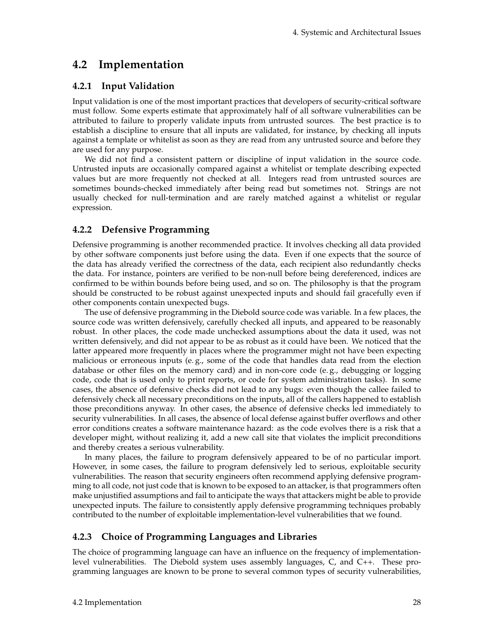## <span id="page-34-0"></span>**4.2 Implementation**

#### **4.2.1 Input Validation**

Input validation is one of the most important practices that developers of security-critical software must follow. Some experts estimate that approximately half of all software vulnerabilities can be attributed to failure to properly validate inputs from untrusted sources. The best practice is to establish a discipline to ensure that all inputs are validated, for instance, by checking all inputs against a template or whitelist as soon as they are read from any untrusted source and before they are used for any purpose.

We did not find a consistent pattern or discipline of input validation in the source code. Untrusted inputs are occasionally compared against a whitelist or template describing expected values but are more frequently not checked at all. Integers read from untrusted sources are sometimes bounds-checked immediately after being read but sometimes not. Strings are not usually checked for null-termination and are rarely matched against a whitelist or regular expression.

### <span id="page-34-1"></span>**4.2.2 Defensive Programming**

Defensive programming is another recommended practice. It involves checking all data provided by other software components just before using the data. Even if one expects that the source of the data has already verified the correctness of the data, each recipient also redundantly checks the data. For instance, pointers are verified to be non-null before being dereferenced, indices are confirmed to be within bounds before being used, and so on. The philosophy is that the program should be constructed to be robust against unexpected inputs and should fail gracefully even if other components contain unexpected bugs.

The use of defensive programming in the Diebold source code was variable. In a few places, the source code was written defensively, carefully checked all inputs, and appeared to be reasonably robust. In other places, the code made unchecked assumptions about the data it used, was not written defensively, and did not appear to be as robust as it could have been. We noticed that the latter appeared more frequently in places where the programmer might not have been expecting malicious or erroneous inputs (e. g., some of the code that handles data read from the election database or other files on the memory card) and in non-core code (e. g., debugging or logging code, code that is used only to print reports, or code for system administration tasks). In some cases, the absence of defensive checks did not lead to any bugs: even though the callee failed to defensively check all necessary preconditions on the inputs, all of the callers happened to establish those preconditions anyway. In other cases, the absence of defensive checks led immediately to security vulnerabilities. In all cases, the absence of local defense against buffer overflows and other error conditions creates a software maintenance hazard: as the code evolves there is a risk that a developer might, without realizing it, add a new call site that violates the implicit preconditions and thereby creates a serious vulnerability.

In many places, the failure to program defensively appeared to be of no particular import. However, in some cases, the failure to program defensively led to serious, exploitable security vulnerabilities. The reason that security engineers often recommend applying defensive programming to all code, not just code that is known to be exposed to an attacker, is that programmers often make unjustified assumptions and fail to anticipate the ways that attackers might be able to provide unexpected inputs. The failure to consistently apply defensive programming techniques probably contributed to the number of exploitable implementation-level vulnerabilities that we found.

### **4.2.3 Choice of Programming Languages and Libraries**

The choice of programming language can have an influence on the frequency of implementationlevel vulnerabilities. The Diebold system uses assembly languages, C, and C++. These programming languages are known to be prone to several common types of security vulnerabilities,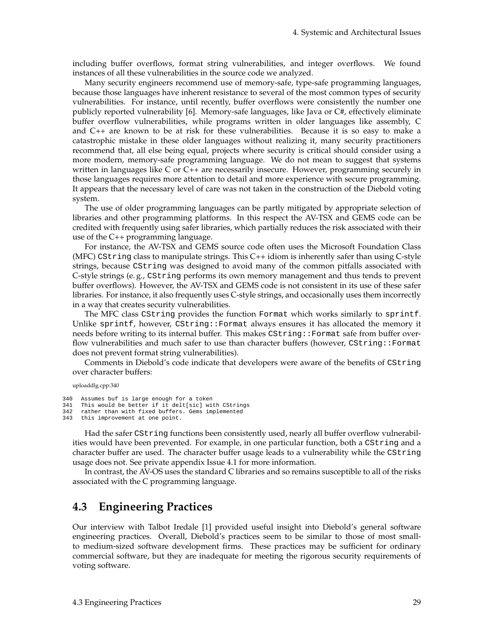including buffer overflows, format string vulnerabilities, and integer overflows. We found instances of all these vulnerabilities in the source code we analyzed.

Many security engineers recommend use of memory-safe, type-safe programming languages, because those languages have inherent resistance to several of the most common types of security vulnerabilities. For instance, until recently, buffer overflows were consistently the number one publicly reported vulnerability [\[6\]](#page-83-7). Memory-safe languages, like Java or C#, effectively eliminate buffer overflow vulnerabilities, while programs written in older languages like assembly, C and C++ are known to be at risk for these vulnerabilities. Because it is so easy to make a catastrophic mistake in these older languages without realizing it, many security practitioners recommend that, all else being equal, projects where security is critical should consider using a more modern, memory-safe programming language. We do not mean to suggest that systems written in languages like C or C++ are necessarily insecure. However, programming securely in those languages requires more attention to detail and more experience with secure programming. It appears that the necessary level of care was not taken in the construction of the Diebold voting system.

The use of older programming languages can be partly mitigated by appropriate selection of libraries and other programming platforms. In this respect the AV-TSX and GEMS code can be credited with frequently using safer libraries, which partially reduces the risk associated with their use of the C++ programming language.

For instance, the AV-TSX and GEMS source code often uses the Microsoft Foundation Class (MFC) CString class to manipulate strings. This C++ idiom is inherently safer than using C-style strings, because CString was designed to avoid many of the common pitfalls associated with C-style strings (e. g., CString performs its own memory management and thus tends to prevent buffer overflows). However, the AV-TSX and GEMS code is not consistent in its use of these safer libraries. For instance, it also frequently uses C-style strings, and occasionally uses them incorrectly in a way that creates security vulnerabilities.

The MFC class CString provides the function Format which works similarly to sprintf. Unlike sprintf, however, CString::Format always ensures it has allocated the memory it needs before writing to its internal buffer. This makes CString::Format safe from buffer overflow vulnerabilities and much safer to use than character buffers (however, CString::Format does not prevent format string vulnerabilities).

Comments in Diebold's code indicate that developers were aware of the benefits of CString over character buffers:

uploaddlg.cpp:340

```
340 Assumes buf is large enough for a token
```

```
341 This would be better if it delt[sic] with CStrings
```

```
342 rather than with fixed buffers. Gems implemented
```

```
343 this improvement at one point.
```
Had the safer CString functions been consistently used, nearly all buffer overflow vulnerabilities would have been prevented. For example, in one particular function, both a CString and a character buffer are used. The character buffer usage leads to a vulnerability while the CString usage does not. See private appendix Issue 4.1 for more information.

In contrast, the AV-OS uses the standard C libraries and so remains susceptible to all of the risks associated with the C programming language.

### <span id="page-35-0"></span>**4.3 Engineering Practices**

Our interview with Talbot Iredale [\[1\]](#page-83-6) provided useful insight into Diebold's general software engineering practices. Overall, Diebold's practices seem to be similar to those of most smallto medium-sized software development firms. These practices may be sufficient for ordinary commercial software, but they are inadequate for meeting the rigorous security requirements of voting software.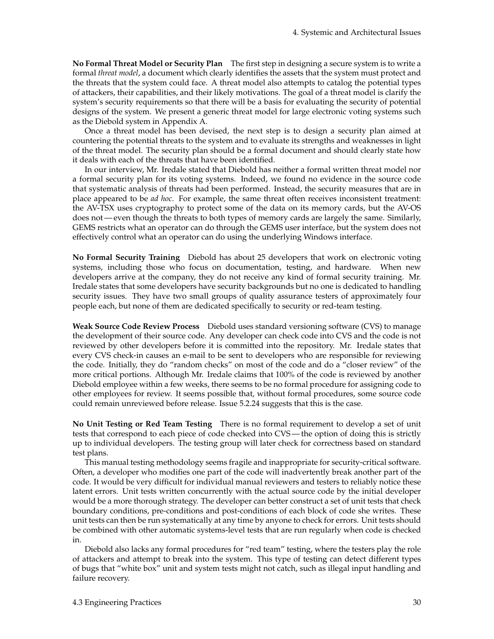**No Formal Threat Model or Security Plan** The first step in designing a secure system is to write a formal *threat model*, a document which clearly identifies the assets that the system must protect and the threats that the system could face. A threat model also attempts to catalog the potential types of attackers, their capabilities, and their likely motivations. The goal of a threat model is clarify the system's security requirements so that there will be a basis for evaluating the security of potential designs of the system. We present a generic threat model for large electronic voting systems such as the Diebold system in Appendix [A.](#page-72-0)

Once a threat model has been devised, the next step is to design a security plan aimed at countering the potential threats to the system and to evaluate its strengths and weaknesses in light of the threat model. The security plan should be a formal document and should clearly state how it deals with each of the threats that have been identified.

In our interview, Mr. Iredale stated that Diebold has neither a formal written threat model nor a formal security plan for its voting systems. Indeed, we found no evidence in the source code that systematic analysis of threats had been performed. Instead, the security measures that are in place appeared to be *ad hoc*. For example, the same threat often receives inconsistent treatment: the AV-TSX uses cryptography to protect some of the data on its memory cards, but the AV-OS does not— even though the threats to both types of memory cards are largely the same. Similarly, GEMS restricts what an operator can do through the GEMS user interface, but the system does not effectively control what an operator can do using the underlying Windows interface.

**No Formal Security Training** Diebold has about 25 developers that work on electronic voting systems, including those who focus on documentation, testing, and hardware. When new developers arrive at the company, they do not receive any kind of formal security training. Mr. Iredale states that some developers have security backgrounds but no one is dedicated to handling security issues. They have two small groups of quality assurance testers of approximately four people each, but none of them are dedicated specifically to security or red-team testing.

**Weak Source Code Review Process** Diebold uses standard versioning software (CVS) to manage the development of their source code. Any developer can check code into CVS and the code is not reviewed by other developers before it is committed into the repository. Mr. Iredale states that every CVS check-in causes an e-mail to be sent to developers who are responsible for reviewing the code. Initially, they do "random checks" on most of the code and do a "closer review" of the more critical portions. Although Mr. Iredale claims that 100% of the code is reviewed by another Diebold employee within a few weeks, there seems to be no formal procedure for assigning code to other employees for review. It seems possible that, without formal procedures, some source code could remain unreviewed before release. Issue 5.2[.24](#page-57-0) suggests that this is the case.

**No Unit Testing or Red Team Testing** There is no formal requirement to develop a set of unit tests that correspond to each piece of code checked into CVS— the option of doing this is strictly up to individual developers. The testing group will later check for correctness based on standard test plans.

This manual testing methodology seems fragile and inappropriate for security-critical software. Often, a developer who modifies one part of the code will inadvertently break another part of the code. It would be very difficult for individual manual reviewers and testers to reliably notice these latent errors. Unit tests written concurrently with the actual source code by the initial developer would be a more thorough strategy. The developer can better construct a set of unit tests that check boundary conditions, pre-conditions and post-conditions of each block of code she writes. These unit tests can then be run systematically at any time by anyone to check for errors. Unit tests should be combined with other automatic systems-level tests that are run regularly when code is checked in.

Diebold also lacks any formal procedures for "red team" testing, where the testers play the role of attackers and attempt to break into the system. This type of testing can detect different types of bugs that "white box" unit and system tests might not catch, such as illegal input handling and failure recovery.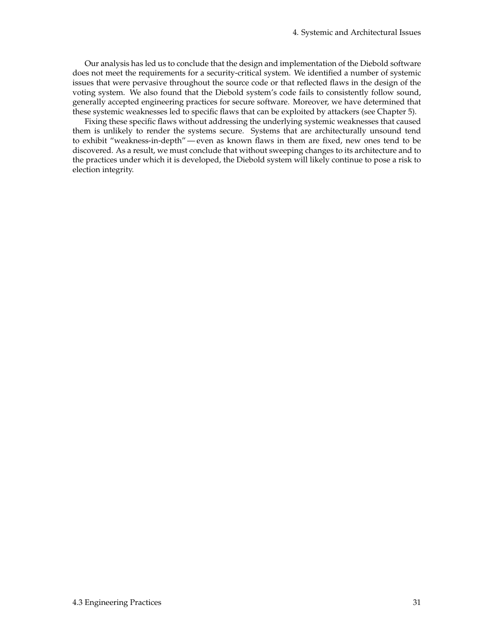Our analysis has led us to conclude that the design and implementation of the Diebold software does not meet the requirements for a security-critical system. We identified a number of systemic issues that were pervasive throughout the source code or that reflected flaws in the design of the voting system. We also found that the Diebold system's code fails to consistently follow sound, generally accepted engineering practices for secure software. Moreover, we have determined that these systemic weaknesses led to specific flaws that can be exploited by attackers (see Chapter [5\)](#page-38-0).

Fixing these specific flaws without addressing the underlying systemic weaknesses that caused them is unlikely to render the systems secure. Systems that are architecturally unsound tend to exhibit "weakness-in-depth"— even as known flaws in them are fixed, new ones tend to be discovered. As a result, we must conclude that without sweeping changes to its architecture and to the practices under which it is developed, the Diebold system will likely continue to pose a risk to election integrity.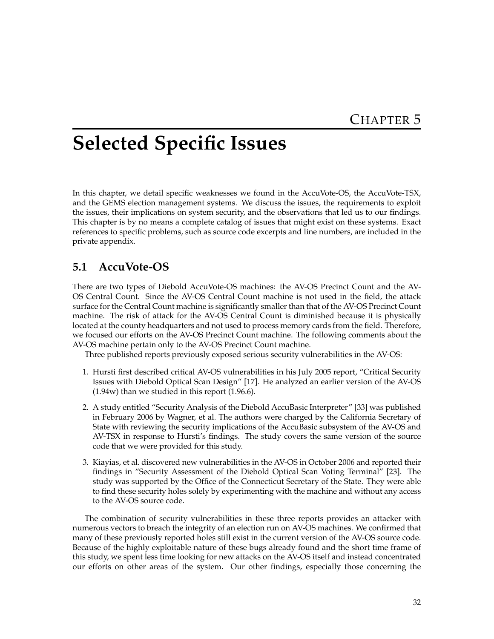# <span id="page-38-0"></span>**Selected Specific Issues**

In this chapter, we detail specific weaknesses we found in the AccuVote-OS, the AccuVote-TSX, and the GEMS election management systems. We discuss the issues, the requirements to exploit the issues, their implications on system security, and the observations that led us to our findings. This chapter is by no means a complete catalog of issues that might exist on these systems. Exact references to specific problems, such as source code excerpts and line numbers, are included in the private appendix.

## **5.1 AccuVote-OS**

There are two types of Diebold AccuVote-OS machines: the AV-OS Precinct Count and the AV-OS Central Count. Since the AV-OS Central Count machine is not used in the field, the attack surface for the Central Count machine is significantly smaller than that of the AV-OS Precinct Count machine. The risk of attack for the AV-OS Central Count is diminished because it is physically located at the county headquarters and not used to process memory cards from the field. Therefore, we focused our efforts on the AV-OS Precinct Count machine. The following comments about the AV-OS machine pertain only to the AV-OS Precinct Count machine.

Three published reports previously exposed serious security vulnerabilities in the AV-OS:

- 1. Hursti first described critical AV-OS vulnerabilities in his July 2005 report, "Critical Security Issues with Diebold Optical Scan Design" [\[17\]](#page-84-0). He analyzed an earlier version of the AV-OS (1.94w) than we studied in this report (1.96.6).
- 2. A study entitled "Security Analysis of the Diebold AccuBasic Interpreter" [\[33\]](#page-84-1) was published in February 2006 by Wagner, et al. The authors were charged by the California Secretary of State with reviewing the security implications of the AccuBasic subsystem of the AV-OS and AV-TSX in response to Hursti's findings. The study covers the same version of the source code that we were provided for this study.
- 3. Kiayias, et al. discovered new vulnerabilities in the AV-OS in October 2006 and reported their findings in "Security Assessment of the Diebold Optical Scan Voting Terminal" [\[23\]](#page-84-2). The study was supported by the Office of the Connecticut Secretary of the State. They were able to find these security holes solely by experimenting with the machine and without any access to the AV-OS source code.

The combination of security vulnerabilities in these three reports provides an attacker with numerous vectors to breach the integrity of an election run on AV-OS machines. We confirmed that many of these previously reported holes still exist in the current version of the AV-OS source code. Because of the highly exploitable nature of these bugs already found and the short time frame of this study, we spent less time looking for new attacks on the AV-OS itself and instead concentrated our efforts on other areas of the system. Our other findings, especially those concerning the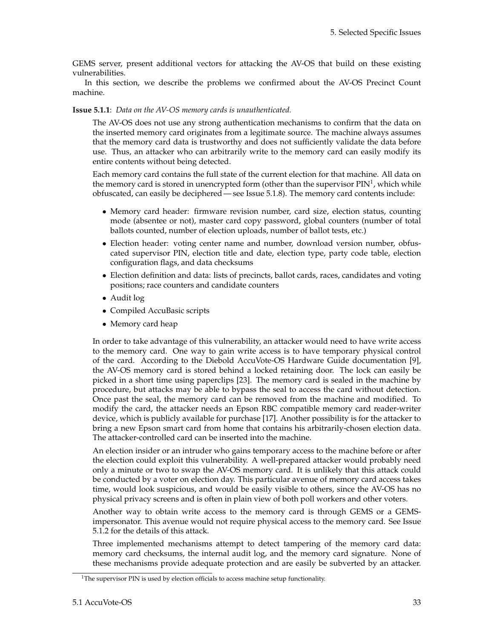GEMS server, present additional vectors for attacking the AV-OS that build on these existing vulnerabilities.

In this section, we describe the problems we confirmed about the AV-OS Precinct Count machine.

#### <span id="page-39-1"></span>**Issue 5.1.1**: *Data on the AV-OS memory cards is unauthenticated.*

The AV-OS does not use any strong authentication mechanisms to confirm that the data on the inserted memory card originates from a legitimate source. The machine always assumes that the memory card data is trustworthy and does not sufficiently validate the data before use. Thus, an attacker who can arbitrarily write to the memory card can easily modify its entire contents without being detected.

Each memory card contains the full state of the current election for that machine. All data on the memory card is stored in unencrypted form (other than the supervisor PIN<sup>[1](#page-39-0)</sup>, which while obfuscated, can easily be deciphered — see Issue 5.1[.8\)](#page-43-0). The memory card contents include:

- Memory card header: firmware revision number, card size, election status, counting mode (absentee or not), master card copy password, global counters (number of total ballots counted, number of election uploads, number of ballot tests, etc.)
- Election header: voting center name and number, download version number, obfuscated supervisor PIN, election title and date, election type, party code table, election configuration flags, and data checksums
- Election definition and data: lists of precincts, ballot cards, races, candidates and voting positions; race counters and candidate counters
- Audit log
- Compiled AccuBasic scripts
- Memory card heap

In order to take advantage of this vulnerability, an attacker would need to have write access to the memory card. One way to gain write access is to have temporary physical control of the card. According to the Diebold AccuVote-OS Hardware Guide documentation [\[9\]](#page-83-0), the AV-OS memory card is stored behind a locked retaining door. The lock can easily be picked in a short time using paperclips [\[23\]](#page-84-2). The memory card is sealed in the machine by procedure, but attacks may be able to bypass the seal to access the card without detection. Once past the seal, the memory card can be removed from the machine and modified. To modify the card, the attacker needs an Epson RBC compatible memory card reader-writer device, which is publicly available for purchase [\[17\]](#page-84-0). Another possibility is for the attacker to bring a new Epson smart card from home that contains his arbitrarily-chosen election data. The attacker-controlled card can be inserted into the machine.

An election insider or an intruder who gains temporary access to the machine before or after the election could exploit this vulnerability. A well-prepared attacker would probably need only a minute or two to swap the AV-OS memory card. It is unlikely that this attack could be conducted by a voter on election day. This particular avenue of memory card access takes time, would look suspicious, and would be easily visible to others, since the AV-OS has no physical privacy screens and is often in plain view of both poll workers and other voters.

Another way to obtain write access to the memory card is through GEMS or a GEMSimpersonator. This avenue would not require physical access to the memory card. See Issue 5.1[.2](#page-40-0) for the details of this attack.

Three implemented mechanisms attempt to detect tampering of the memory card data: memory card checksums, the internal audit log, and the memory card signature. None of these mechanisms provide adequate protection and are easily be subverted by an attacker.

<span id="page-39-0"></span> $1$ <sup>1</sup>The supervisor PIN is used by election officials to access machine setup functionality.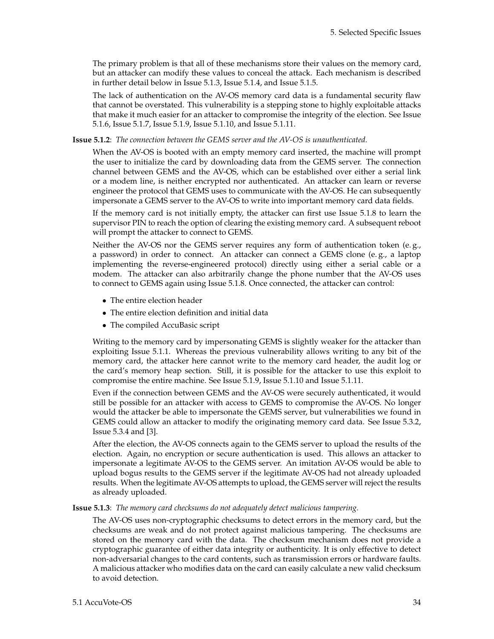The primary problem is that all of these mechanisms store their values on the memory card, but an attacker can modify these values to conceal the attack. Each mechanism is described in further detail below in Issue 5.1[.3,](#page-40-1) Issue 5.1[.4,](#page-41-0) and Issue 5.1[.5.](#page-42-0)

The lack of authentication on the AV-OS memory card data is a fundamental security flaw that cannot be overstated. This vulnerability is a stepping stone to highly exploitable attacks that make it much easier for an attacker to compromise the integrity of the election. See Issue 5.1[.6,](#page-42-1) Issue 5.1[.7,](#page-42-2) Issue 5.1[.9,](#page-43-1) Issue 5.1[.10,](#page-44-0) and Issue 5.1[.11.](#page-44-1)

#### <span id="page-40-0"></span>**Issue 5.1.2**: *The connection between the GEMS server and the AV-OS is unauthenticated.*

When the AV-OS is booted with an empty memory card inserted, the machine will prompt the user to initialize the card by downloading data from the GEMS server. The connection channel between GEMS and the AV-OS, which can be established over either a serial link or a modem line, is neither encrypted nor authenticated. An attacker can learn or reverse engineer the protocol that GEMS uses to communicate with the AV-OS. He can subsequently impersonate a GEMS server to the AV-OS to write into important memory card data fields.

If the memory card is not initially empty, the attacker can first use Issue 5.1[.8](#page-43-0) to learn the supervisor PIN to reach the option of clearing the existing memory card. A subsequent reboot will prompt the attacker to connect to GEMS.

Neither the AV-OS nor the GEMS server requires any form of authentication token (e.g., a password) in order to connect. An attacker can connect a GEMS clone (e. g., a laptop implementing the reverse-engineered protocol) directly using either a serial cable or a modem. The attacker can also arbitrarily change the phone number that the AV-OS uses to connect to GEMS again using Issue 5.1[.8.](#page-43-0) Once connected, the attacker can control:

- The entire election header
- The entire election definition and initial data
- The compiled AccuBasic script

Writing to the memory card by impersonating GEMS is slightly weaker for the attacker than exploiting Issue 5.1[.1.](#page-39-1) Whereas the previous vulnerability allows writing to any bit of the memory card, the attacker here cannot write to the memory card header, the audit log or the card's memory heap section. Still, it is possible for the attacker to use this exploit to compromise the entire machine. See Issue 5.1[.9,](#page-43-1) Issue 5.1[.10](#page-44-0) and Issue 5.1[.11.](#page-44-1)

Even if the connection between GEMS and the AV-OS were securely authenticated, it would still be possible for an attacker with access to GEMS to compromise the AV-OS. No longer would the attacker be able to impersonate the GEMS server, but vulnerabilities we found in GEMS could allow an attacker to modify the originating memory card data. See Issue 5.3[.2,](#page-40-0) Issue 5.3[.4](#page-41-0) and [\[3\]](#page-83-1).

After the election, the AV-OS connects again to the GEMS server to upload the results of the election. Again, no encryption or secure authentication is used. This allows an attacker to impersonate a legitimate AV-OS to the GEMS server. An imitation AV-OS would be able to upload bogus results to the GEMS server if the legitimate AV-OS had not already uploaded results. When the legitimate AV-OS attempts to upload, the GEMS server will reject the results as already uploaded.

<span id="page-40-1"></span>**Issue 5.1.3**: *The memory card checksums do not adequately detect malicious tampering.*

The AV-OS uses non-cryptographic checksums to detect errors in the memory card, but the checksums are weak and do not protect against malicious tampering. The checksums are stored on the memory card with the data. The checksum mechanism does not provide a cryptographic guarantee of either data integrity or authenticity. It is only effective to detect non-adversarial changes to the card contents, such as transmission errors or hardware faults. A malicious attacker who modifies data on the card can easily calculate a new valid checksum to avoid detection.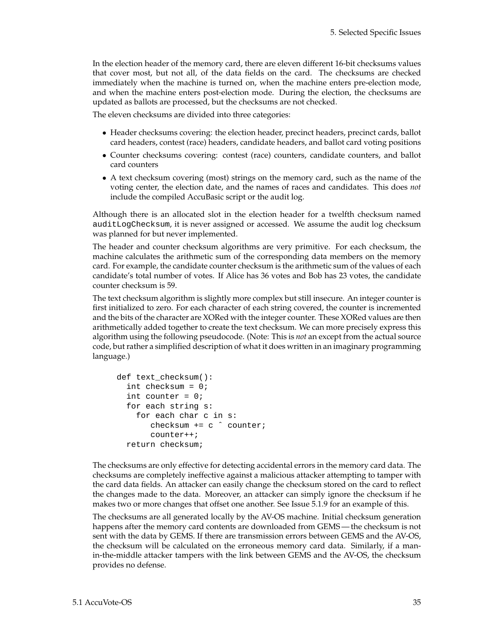In the election header of the memory card, there are eleven different 16-bit checksums values that cover most, but not all, of the data fields on the card. The checksums are checked immediately when the machine is turned on, when the machine enters pre-election mode, and when the machine enters post-election mode. During the election, the checksums are updated as ballots are processed, but the checksums are not checked.

The eleven checksums are divided into three categories:

- Header checksums covering: the election header, precinct headers, precinct cards, ballot card headers, contest (race) headers, candidate headers, and ballot card voting positions
- Counter checksums covering: contest (race) counters, candidate counters, and ballot card counters
- A text checksum covering (most) strings on the memory card, such as the name of the voting center, the election date, and the names of races and candidates. This does *not* include the compiled AccuBasic script or the audit log.

Although there is an allocated slot in the election header for a twelfth checksum named auditLogChecksum, it is never assigned or accessed. We assume the audit log checksum was planned for but never implemented.

The header and counter checksum algorithms are very primitive. For each checksum, the machine calculates the arithmetic sum of the corresponding data members on the memory card. For example, the candidate counter checksum is the arithmetic sum of the values of each candidate's total number of votes. If Alice has 36 votes and Bob has 23 votes, the candidate counter checksum is 59.

The text checksum algorithm is slightly more complex but still insecure. An integer counter is first initialized to zero. For each character of each string covered, the counter is incremented and the bits of the character are XORed with the integer counter. These XORed values are then arithmetically added together to create the text checksum. We can more precisely express this algorithm using the following pseudocode. (Note: This is *not* an except from the actual source code, but rather a simplified description of what it does written in an imaginary programming language.)

```
def text_checksum():
  int checksum = 0;
  int counter = 0;
  for each string s:
    for each char c in s:
       checksum += c ˆ counter;
       counter++;
  return checksum;
```
The checksums are only effective for detecting accidental errors in the memory card data. The checksums are completely ineffective against a malicious attacker attempting to tamper with the card data fields. An attacker can easily change the checksum stored on the card to reflect the changes made to the data. Moreover, an attacker can simply ignore the checksum if he makes two or more changes that offset one another. See Issue 5.1[.9](#page-43-1) for an example of this.

<span id="page-41-0"></span>The checksums are all generated locally by the AV-OS machine. Initial checksum generation happens after the memory card contents are downloaded from GEMS — the checksum is not sent with the data by GEMS. If there are transmission errors between GEMS and the AV-OS, the checksum will be calculated on the erroneous memory card data. Similarly, if a manin-the-middle attacker tampers with the link between GEMS and the AV-OS, the checksum provides no defense.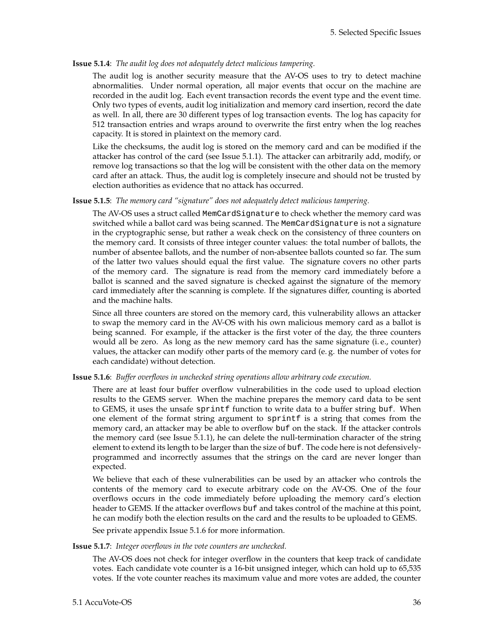#### **Issue 5.1.4**: *The audit log does not adequately detect malicious tampering.*

The audit log is another security measure that the AV-OS uses to try to detect machine abnormalities. Under normal operation, all major events that occur on the machine are recorded in the audit log. Each event transaction records the event type and the event time. Only two types of events, audit log initialization and memory card insertion, record the date as well. In all, there are 30 different types of log transaction events. The log has capacity for 512 transaction entries and wraps around to overwrite the first entry when the log reaches capacity. It is stored in plaintext on the memory card.

Like the checksums, the audit log is stored on the memory card and can be modified if the attacker has control of the card (see Issue 5.1[.1\)](#page-39-1). The attacker can arbitrarily add, modify, or remove log transactions so that the log will be consistent with the other data on the memory card after an attack. Thus, the audit log is completely insecure and should not be trusted by election authorities as evidence that no attack has occurred.

#### <span id="page-42-0"></span>**Issue 5.1.5**: *The memory card "signature" does not adequately detect malicious tampering.*

The AV-OS uses a struct called MemCardSignature to check whether the memory card was switched while a ballot card was being scanned. The MemCardSignature is not a signature in the cryptographic sense, but rather a weak check on the consistency of three counters on the memory card. It consists of three integer counter values: the total number of ballots, the number of absentee ballots, and the number of non-absentee ballots counted so far. The sum of the latter two values should equal the first value. The signature covers no other parts of the memory card. The signature is read from the memory card immediately before a ballot is scanned and the saved signature is checked against the signature of the memory card immediately after the scanning is complete. If the signatures differ, counting is aborted and the machine halts.

Since all three counters are stored on the memory card, this vulnerability allows an attacker to swap the memory card in the AV-OS with his own malicious memory card as a ballot is being scanned. For example, if the attacker is the first voter of the day, the three counters would all be zero. As long as the new memory card has the same signature (i. e., counter) values, the attacker can modify other parts of the memory card (e. g. the number of votes for each candidate) without detection.

#### <span id="page-42-1"></span>**Issue 5.1.6**: *Buffer overflows in unchecked string operations allow arbitrary code execution.*

There are at least four buffer overflow vulnerabilities in the code used to upload election results to the GEMS server. When the machine prepares the memory card data to be sent to GEMS, it uses the unsafe sprintf function to write data to a buffer string buf. When one element of the format string argument to sprintf is a string that comes from the memory card, an attacker may be able to overflow buf on the stack. If the attacker controls the memory card (see Issue 5.1[.1\)](#page-39-1), he can delete the null-termination character of the string element to extend its length to be larger than the size of buf. The code here is not defensivelyprogrammed and incorrectly assumes that the strings on the card are never longer than expected.

We believe that each of these vulnerabilities can be used by an attacker who controls the contents of the memory card to execute arbitrary code on the AV-OS. One of the four overflows occurs in the code immediately before uploading the memory card's election header to GEMS. If the attacker overflows buf and takes control of the machine at this point, he can modify both the election results on the card and the results to be uploaded to GEMS.

See private appendix Issue 5.1.6 for more information.

#### <span id="page-42-2"></span>**Issue 5.1.7**: *Integer overflows in the vote counters are unchecked.*

The AV-OS does not check for integer overflow in the counters that keep track of candidate votes. Each candidate vote counter is a 16-bit unsigned integer, which can hold up to 65,535 votes. If the vote counter reaches its maximum value and more votes are added, the counter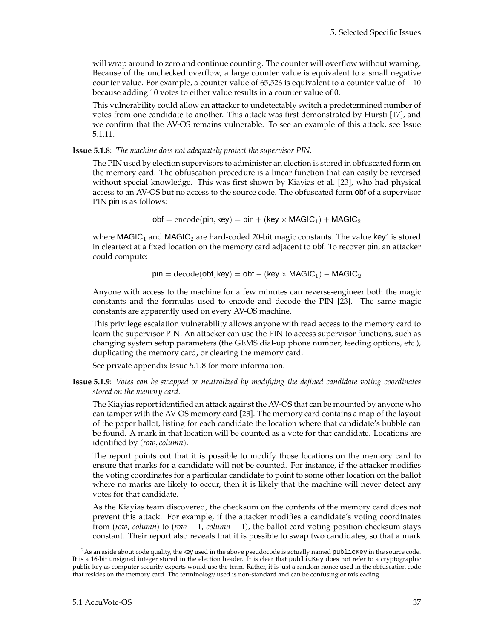will wrap around to zero and continue counting. The counter will overflow without warning. Because of the unchecked overflow, a large counter value is equivalent to a small negative counter value. For example, a counter value of  $65,526$  is equivalent to a counter value of  $-10$ because adding 10 votes to either value results in a counter value of 0.

This vulnerability could allow an attacker to undetectably switch a predetermined number of votes from one candidate to another. This attack was first demonstrated by Hursti [\[17\]](#page-84-0), and we confirm that the AV-OS remains vulnerable. To see an example of this attack, see Issue 5.1[.11.](#page-44-1)

<span id="page-43-0"></span>**Issue 5.1.8**: *The machine does not adequately protect the supervisor PIN.*

The PIN used by election supervisors to administer an election is stored in obfuscated form on the memory card. The obfuscation procedure is a linear function that can easily be reversed without special knowledge. This was first shown by Kiayias et al. [\[23\]](#page-84-2), who had physical access to an AV-OS but no access to the source code. The obfuscated form obf of a supervisor PIN pin is as follows:

 $\text{obj} = \text{encode}(\text{pin}, \text{key}) = \text{pin} + (\text{key} \times \text{MAGIC}_1) + \text{MAGIC}_2$ 

where <code>MAGIC</code>  $_{1}$  and <code>MAGIC</code>  $_{2}$  $_{2}$  $_{2}$  are hard-coded 20-bit magic constants. The value <code>key $^{2}$ </code> is stored in cleartext at a fixed location on the memory card adjacent to obf. To recover pin, an attacker could compute:

 $pin = decode(obj, key) = obj - (key \times MAGIC<sub>1</sub>) - MAGIC<sub>2</sub>$ 

Anyone with access to the machine for a few minutes can reverse-engineer both the magic constants and the formulas used to encode and decode the PIN [\[23\]](#page-84-2). The same magic constants are apparently used on every AV-OS machine.

This privilege escalation vulnerability allows anyone with read access to the memory card to learn the supervisor PIN. An attacker can use the PIN to access supervisor functions, such as changing system setup parameters (the GEMS dial-up phone number, feeding options, etc.), duplicating the memory card, or clearing the memory card.

See private appendix Issue 5.1.8 for more information.

<span id="page-43-1"></span>**Issue 5.1.9**: *Votes can be swapped or neutralized by modifying the defined candidate voting coordinates stored on the memory card.*

The Kiayias report identified an attack against the AV-OS that can be mounted by anyone who can tamper with the AV-OS memory card [\[23\]](#page-84-2). The memory card contains a map of the layout of the paper ballot, listing for each candidate the location where that candidate's bubble can be found. A mark in that location will be counted as a vote for that candidate. Locations are identified by (*row*, *column*).

The report points out that it is possible to modify those locations on the memory card to ensure that marks for a candidate will not be counted. For instance, if the attacker modifies the voting coordinates for a particular candidate to point to some other location on the ballot where no marks are likely to occur, then it is likely that the machine will never detect any votes for that candidate.

As the Kiayias team discovered, the checksum on the contents of the memory card does not prevent this attack. For example, if the attacker modifies a candidate's voting coordinates from (*row*, *column*) to ( $row - 1$ ,  $column + 1$ ), the ballot card voting position checksum stays constant. Their report also reveals that it is possible to swap two candidates, so that a mark

<span id="page-43-2"></span><sup>&</sup>lt;sup>2</sup>As an aside about code quality, the key used in the above pseudocode is actually named publicKey in the source code. It is a 16-bit unsigned integer stored in the election header. It is clear that publicKey does not refer to a cryptographic public key as computer security experts would use the term. Rather, it is just a random nonce used in the obfuscation code that resides on the memory card. The terminology used is non-standard and can be confusing or misleading.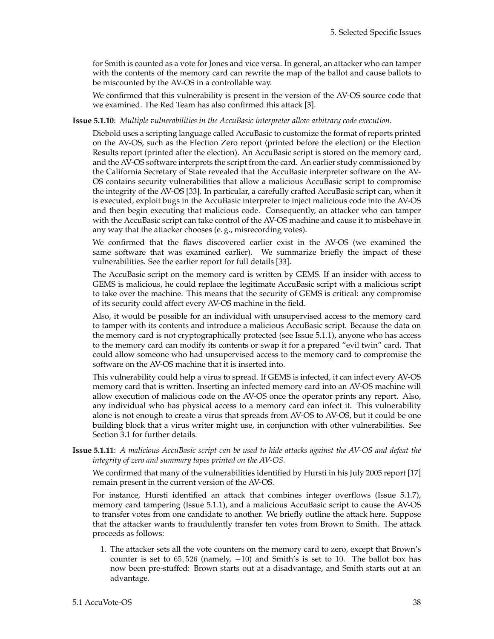for Smith is counted as a vote for Jones and vice versa. In general, an attacker who can tamper with the contents of the memory card can rewrite the map of the ballot and cause ballots to be miscounted by the AV-OS in a controllable way.

We confirmed that this vulnerability is present in the version of the AV-OS source code that we examined. The Red Team has also confirmed this attack [\[3\]](#page-83-1).

#### <span id="page-44-0"></span>**Issue 5.1.10**: *Multiple vulnerabilities in the AccuBasic interpreter allow arbitrary code execution.*

Diebold uses a scripting language called AccuBasic to customize the format of reports printed on the AV-OS, such as the Election Zero report (printed before the election) or the Election Results report (printed after the election). An AccuBasic script is stored on the memory card, and the AV-OS software interprets the script from the card. An earlier study commissioned by the California Secretary of State revealed that the AccuBasic interpreter software on the AV-OS contains security vulnerabilities that allow a malicious AccuBasic script to compromise the integrity of the AV-OS [\[33\]](#page-84-1). In particular, a carefully crafted AccuBasic script can, when it is executed, exploit bugs in the AccuBasic interpreter to inject malicious code into the AV-OS and then begin executing that malicious code. Consequently, an attacker who can tamper with the AccuBasic script can take control of the AV-OS machine and cause it to misbehave in any way that the attacker chooses (e. g., misrecording votes).

We confirmed that the flaws discovered earlier exist in the AV-OS (we examined the same software that was examined earlier). We summarize briefly the impact of these vulnerabilities. See the earlier report for full details [\[33\]](#page-84-1).

The AccuBasic script on the memory card is written by GEMS. If an insider with access to GEMS is malicious, he could replace the legitimate AccuBasic script with a malicious script to take over the machine. This means that the security of GEMS is critical: any compromise of its security could affect every AV-OS machine in the field.

Also, it would be possible for an individual with unsupervised access to the memory card to tamper with its contents and introduce a malicious AccuBasic script. Because the data on the memory card is not cryptographically protected (see Issue 5.1[.1\)](#page-39-1), anyone who has access to the memory card can modify its contents or swap it for a prepared "evil twin" card. That could allow someone who had unsupervised access to the memory card to compromise the software on the AV-OS machine that it is inserted into.

This vulnerability could help a virus to spread. If GEMS is infected, it can infect every AV-OS memory card that is written. Inserting an infected memory card into an AV-OS machine will allow execution of malicious code on the AV-OS once the operator prints any report. Also, any individual who has physical access to a memory card can infect it. This vulnerability alone is not enough to create a virus that spreads from AV-OS to AV-OS, but it could be one building block that a virus writer might use, in conjunction with other vulnerabilities. See Section [3.1](#page-16-0) for further details.

<span id="page-44-1"></span>**Issue 5.1.11**: *A malicious AccuBasic script can be used to hide attacks against the AV-OS and defeat the integrity of zero and summary tapes printed on the AV-OS.*

We confirmed that many of the vulnerabilities identified by Hursti in his July 2005 report [\[17\]](#page-84-0) remain present in the current version of the AV-OS.

For instance, Hursti identified an attack that combines integer overflows (Issue 5.1[.7\)](#page-42-2), memory card tampering (Issue 5.1[.1\)](#page-39-1), and a malicious AccuBasic script to cause the AV-OS to transfer votes from one candidate to another. We briefly outline the attack here. Suppose that the attacker wants to fraudulently transfer ten votes from Brown to Smith. The attack proceeds as follows:

1. The attacker sets all the vote counters on the memory card to zero, except that Brown's counter is set to 65, 526 (namely, -10) and Smith's is set to 10. The ballot box has now been pre-stuffed: Brown starts out at a disadvantage, and Smith starts out at an advantage.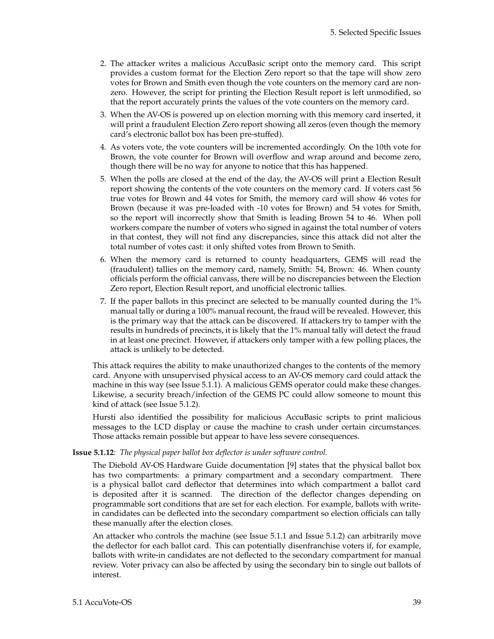- 2. The attacker writes a malicious AccuBasic script onto the memory card. This script provides a custom format for the Election Zero report so that the tape will show zero votes for Brown and Smith even though the vote counters on the memory card are nonzero. However, the script for printing the Election Result report is left unmodified, so that the report accurately prints the values of the vote counters on the memory card.
- 3. When the AV-OS is powered up on election morning with this memory card inserted, it will print a fraudulent Election Zero report showing all zeros (even though the memory card's electronic ballot box has been pre-stuffed).
- 4. As voters vote, the vote counters will be incremented accordingly. On the 10th vote for Brown, the vote counter for Brown will overflow and wrap around and become zero, though there will be no way for anyone to notice that this has happened.
- 5. When the polls are closed at the end of the day, the AV-OS will print a Election Result report showing the contents of the vote counters on the memory card. If voters cast 56 true votes for Brown and 44 votes for Smith, the memory card will show 46 votes for Brown (because it was pre-loaded with -10 votes for Brown) and 54 votes for Smith, so the report will incorrectly show that Smith is leading Brown 54 to 46. When poll workers compare the number of voters who signed in against the total number of voters in that contest, they will not find any discrepancies, since this attack did not alter the total number of votes cast: it only shifted votes from Brown to Smith.
- 6. When the memory card is returned to county headquarters, GEMS will read the (fraudulent) tallies on the memory card, namely, Smith: 54, Brown: 46. When county officials perform the official canvass, there will be no discrepancies between the Election Zero report, Election Result report, and unofficial electronic tallies.
- 7. If the paper ballots in this precinct are selected to be manually counted during the 1% manual tally or during a 100% manual recount, the fraud will be revealed. However, this is the primary way that the attack can be discovered. If attackers try to tamper with the results in hundreds of precincts, it is likely that the 1% manual tally will detect the fraud in at least one precinct. However, if attackers only tamper with a few polling places, the attack is unlikely to be detected.

This attack requires the ability to make unauthorized changes to the contents of the memory card. Anyone with unsupervised physical access to an AV-OS memory card could attack the machine in this way (see Issue 5.1[.1\)](#page-39-1). A malicious GEMS operator could make these changes. Likewise, a security breach/infection of the GEMS PC could allow someone to mount this kind of attack (see Issue 5.1[.2\)](#page-40-0).

Hursti also identified the possibility for malicious AccuBasic scripts to print malicious messages to the LCD display or cause the machine to crash under certain circumstances. Those attacks remain possible but appear to have less severe consequences.

#### **Issue 5.1.12**: *The physical paper ballot box deflector is under software control.*

The Diebold AV-OS Hardware Guide documentation [\[9\]](#page-83-0) states that the physical ballot box has two compartments: a primary compartment and a secondary compartment. There is a physical ballot card deflector that determines into which compartment a ballot card is deposited after it is scanned. The direction of the deflector changes depending on programmable sort conditions that are set for each election. For example, ballots with writein candidates can be deflected into the secondary compartment so election officials can tally these manually after the election closes.

An attacker who controls the machine (see Issue 5.1[.1](#page-39-1) and Issue 5.1[.2\)](#page-40-0) can arbitrarily move the deflector for each ballot card. This can potentially disenfranchise voters if, for example, ballots with write-in candidates are not deflected to the secondary compartment for manual review. Voter privacy can also be affected by using the secondary bin to single out ballots of interest.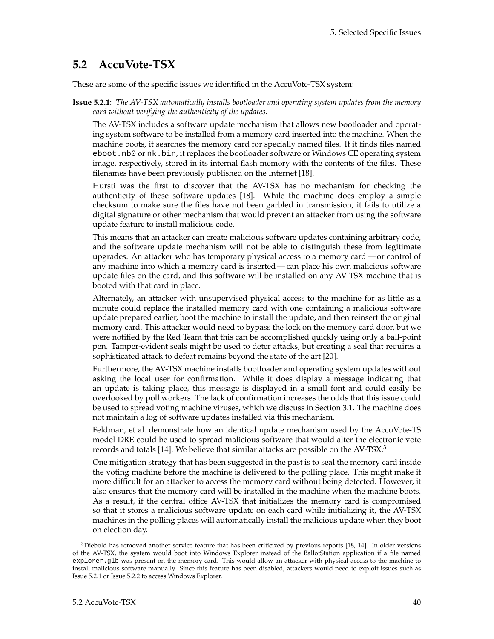# **5.2 AccuVote-TSX**

These are some of the specific issues we identified in the AccuVote-TSX system:

**Issue 5.2.1**: *The AV-TSX automatically installs bootloader and operating system updates from the memory card without verifying the authenticity of the updates.*

The AV-TSX includes a software update mechanism that allows new bootloader and operating system software to be installed from a memory card inserted into the machine. When the machine boots, it searches the memory card for specially named files. If it finds files named eboot.nb0 or nk.bin, it replaces the bootloader software or Windows CE operating system image, respectively, stored in its internal flash memory with the contents of the files. These filenames have been previously published on the Internet [\[18\]](#page-84-3).

Hursti was the first to discover that the AV-TSX has no mechanism for checking the authenticity of these software updates [\[18\]](#page-84-3). While the machine does employ a simple checksum to make sure the files have not been garbled in transmission, it fails to utilize a digital signature or other mechanism that would prevent an attacker from using the software update feature to install malicious code.

This means that an attacker can create malicious software updates containing arbitrary code, and the software update mechanism will not be able to distinguish these from legitimate upgrades. An attacker who has temporary physical access to a memory card — or control of any machine into which a memory card is inserted— can place his own malicious software update files on the card, and this software will be installed on any AV-TSX machine that is booted with that card in place.

Alternately, an attacker with unsupervised physical access to the machine for as little as a minute could replace the installed memory card with one containing a malicious software update prepared earlier, boot the machine to install the update, and then reinsert the original memory card. This attacker would need to bypass the lock on the memory card door, but we were notified by the Red Team that this can be accomplished quickly using only a ball-point pen. Tamper-evident seals might be used to deter attacks, but creating a seal that requires a sophisticated attack to defeat remains beyond the state of the art [\[20\]](#page-84-4).

Furthermore, the AV-TSX machine installs bootloader and operating system updates without asking the local user for confirmation. While it does display a message indicating that an update is taking place, this message is displayed in a small font and could easily be overlooked by poll workers. The lack of confirmation increases the odds that this issue could be used to spread voting machine viruses, which we discuss in Section [3.1.](#page-16-0) The machine does not maintain a log of software updates installed via this mechanism.

Feldman, et al. demonstrate how an identical update mechanism used by the AccuVote-TS model DRE could be used to spread malicious software that would alter the electronic vote records and totals [\[14\]](#page-83-2). We believe that similar attacks are possible on the AV-TSX.[3](#page-46-0)

One mitigation strategy that has been suggested in the past is to seal the memory card inside the voting machine before the machine is delivered to the polling place. This might make it more difficult for an attacker to access the memory card without being detected. However, it also ensures that the memory card will be installed in the machine when the machine boots. As a result, if the central office AV-TSX that initializes the memory card is compromised so that it stores a malicious software update on each card while initializing it, the AV-TSX machines in the polling places will automatically install the malicious update when they boot on election day.

<span id="page-46-0"></span> $3$ Diebold has removed another service feature that has been criticized by previous reports [\[18,](#page-84-3) [14\]](#page-83-2). In older versions of the AV-TSX, the system would boot into Windows Explorer instead of the BallotStation application if a file named explorer.glb was present on the memory card. This would allow an attacker with physical access to the machine to install malicious software manually. Since this feature has been disabled, attackers would need to exploit issues such as Issue 5.2[.1](#page-39-1) or Issue 5.2[.2](#page-40-0) to access Windows Explorer.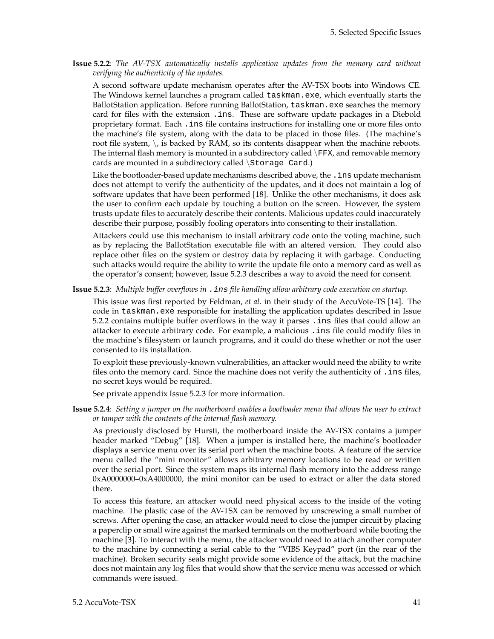**Issue 5.2.2**: *The AV-TSX automatically installs application updates from the memory card without verifying the authenticity of the updates.*

A second software update mechanism operates after the AV-TSX boots into Windows CE. The Windows kernel launches a program called taskman.exe, which eventually starts the BallotStation application. Before running BallotStation, taskman.exe searches the memory card for files with the extension .ins. These are software update packages in a Diebold proprietary format. Each .ins file contains instructions for installing one or more files onto the machine's file system, along with the data to be placed in those files. (The machine's root file system,  $\setminus$ , is backed by RAM, so its contents disappear when the machine reboots. The internal flash memory is mounted in a subdirectory called  $\FFX$ , and removable memory cards are mounted in a subdirectory called \Storage Card.)

Like the bootloader-based update mechanisms described above, the . ins update mechanism does not attempt to verify the authenticity of the updates, and it does not maintain a log of software updates that have been performed [\[18\]](#page-84-3). Unlike the other mechanisms, it does ask the user to confirm each update by touching a button on the screen. However, the system trusts update files to accurately describe their contents. Malicious updates could inaccurately describe their purpose, possibly fooling operators into consenting to their installation.

Attackers could use this mechanism to install arbitrary code onto the voting machine, such as by replacing the BallotStation executable file with an altered version. They could also replace other files on the system or destroy data by replacing it with garbage. Conducting such attacks would require the ability to write the update file onto a memory card as well as the operator's consent; however, Issue 5.2[.3](#page-40-1) describes a way to avoid the need for consent.

**Issue 5.2.3**: *Multiple buffer overflows in* .ins *file handling allow arbitrary code execution on startup.*

This issue was first reported by Feldman, *et al.* in their study of the AccuVote-TS [\[14\]](#page-83-2). The code in taskman.exe responsible for installing the application updates described in Issue 5.2[.2](#page-40-0) contains multiple buffer overflows in the way it parses .ins files that could allow an attacker to execute arbitrary code. For example, a malicious .ins file could modify files in the machine's filesystem or launch programs, and it could do these whether or not the user consented to its installation.

To exploit these previously-known vulnerabilities, an attacker would need the ability to write files onto the memory card. Since the machine does not verify the authenticity of .ins files, no secret keys would be required.

See private appendix Issue 5.2.3 for more information.

**Issue 5.2.4**: *Setting a jumper on the motherboard enables a bootloader menu that allows the user to extract or tamper with the contents of the internal flash memory.*

As previously disclosed by Hursti, the motherboard inside the AV-TSX contains a jumper header marked "Debug" [\[18\]](#page-84-3). When a jumper is installed here, the machine's bootloader displays a service menu over its serial port when the machine boots. A feature of the service menu called the "mini monitor" allows arbitrary memory locations to be read or written over the serial port. Since the system maps its internal flash memory into the address range 0xA0000000–0xA4000000, the mini monitor can be used to extract or alter the data stored there.

To access this feature, an attacker would need physical access to the inside of the voting machine. The plastic case of the AV-TSX can be removed by unscrewing a small number of screws. After opening the case, an attacker would need to close the jumper circuit by placing a paperclip or small wire against the marked terminals on the motherboard while booting the machine [\[3\]](#page-83-1). To interact with the menu, the attacker would need to attach another computer to the machine by connecting a serial cable to the "VIBS Keypad" port (in the rear of the machine). Broken security seals might provide some evidence of the attack, but the machine does not maintain any log files that would show that the service menu was accessed or which commands were issued.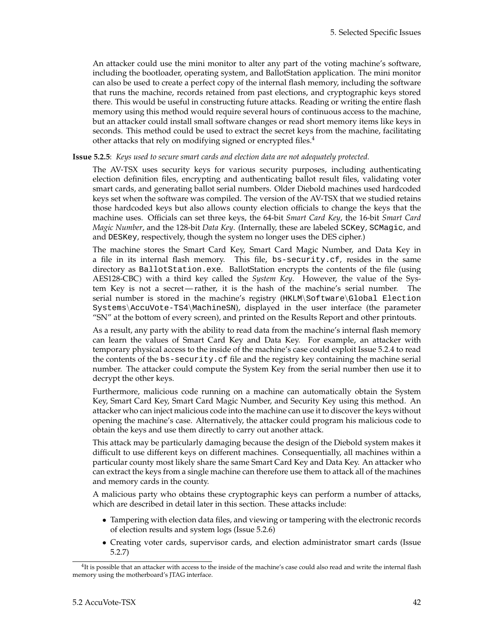An attacker could use the mini monitor to alter any part of the voting machine's software, including the bootloader, operating system, and BallotStation application. The mini monitor can also be used to create a perfect copy of the internal flash memory, including the software that runs the machine, records retained from past elections, and cryptographic keys stored there. This would be useful in constructing future attacks. Reading or writing the entire flash memory using this method would require several hours of continuous access to the machine, but an attacker could install small software changes or read short memory items like keys in seconds. This method could be used to extract the secret keys from the machine, facilitating other attacks that rely on modifying signed or encrypted files.<sup>[4](#page-48-0)</sup>

#### **Issue 5.2.5**: *Keys used to secure smart cards and election data are not adequately protected.*

The AV-TSX uses security keys for various security purposes, including authenticating election definition files, encrypting and authenticating ballot result files, validating voter smart cards, and generating ballot serial numbers. Older Diebold machines used hardcoded keys set when the software was compiled. The version of the AV-TSX that we studied retains those hardcoded keys but also allows county election officials to change the keys that the machine uses. Officials can set three keys, the 64-bit *Smart Card Key*, the 16-bit *Smart Card Magic Number*, and the 128-bit *Data Key*. (Internally, these are labeled SCKey, SCMagic, and and DESKey, respectively, though the system no longer uses the DES cipher.)

The machine stores the Smart Card Key, Smart Card Magic Number, and Data Key in a file in its internal flash memory. This file, bs-security.cf, resides in the same directory as BallotStation.exe. BallotStation encrypts the contents of the file (using AES128-CBC) with a third key called the *System Key*. However, the value of the System Key is not a secret— rather, it is the hash of the machine's serial number. The serial number is stored in the machine's registry (HKLM\Software\Global Election Systems\AccuVote-TS4\MachineSN), displayed in the user interface (the parameter "SN" at the bottom of every screen), and printed on the Results Report and other printouts.

As a result, any party with the ability to read data from the machine's internal flash memory can learn the values of Smart Card Key and Data Key. For example, an attacker with temporary physical access to the inside of the machine's case could exploit Issue 5.2[.4](#page-41-0) to read the contents of the bs-security.cf file and the registry key containing the machine serial number. The attacker could compute the System Key from the serial number then use it to decrypt the other keys.

Furthermore, malicious code running on a machine can automatically obtain the System Key, Smart Card Key, Smart Card Magic Number, and Security Key using this method. An attacker who can inject malicious code into the machine can use it to discover the keys without opening the machine's case. Alternatively, the attacker could program his malicious code to obtain the keys and use them directly to carry out another attack.

This attack may be particularly damaging because the design of the Diebold system makes it difficult to use different keys on different machines. Consequentially, all machines within a particular county most likely share the same Smart Card Key and Data Key. An attacker who can extract the keys from a single machine can therefore use them to attack all of the machines and memory cards in the county.

A malicious party who obtains these cryptographic keys can perform a number of attacks, which are described in detail later in this section. These attacks include:

- Tampering with election data files, and viewing or tampering with the electronic records of election results and system logs (Issue 5.2[.6\)](#page-42-1)
- Creating voter cards, supervisor cards, and election administrator smart cards (Issue 5.2[.7\)](#page-42-2)

<span id="page-48-0"></span> ${}^{4}$ It is possible that an attacker with access to the inside of the machine's case could also read and write the internal flash memory using the motherboard's JTAG interface.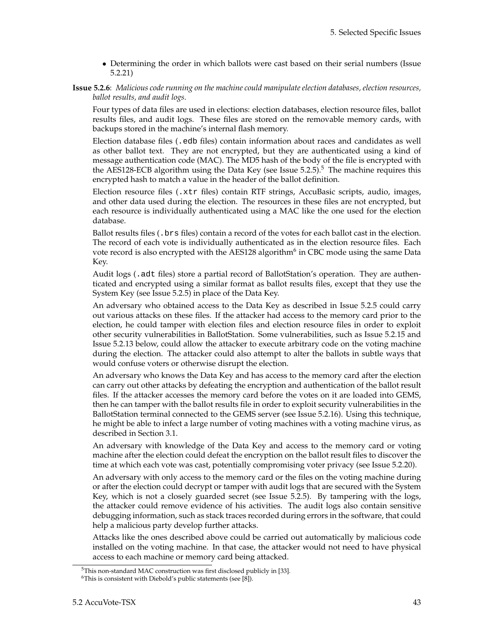- Determining the order in which ballots were cast based on their serial numbers (Issue 5.2[.21\)](#page-56-0)
- **Issue 5.2.6**: *Malicious code running on the machine could manipulate election databases, election resources, ballot results, and audit logs.*

Four types of data files are used in elections: election databases, election resource files, ballot results files, and audit logs. These files are stored on the removable memory cards, with backups stored in the machine's internal flash memory.

Election database files (.edb files) contain information about races and candidates as well as other ballot text. They are not encrypted, but they are authenticated using a kind of message authentication code (MAC). The MD5 hash of the body of the file is encrypted with the AES128-ECB algorithm using the Data Key (see Issue  $5.2.5$  $5.2.5$ ).<sup>5</sup> The machine requires this encrypted hash to match a value in the header of the ballot definition.

Election resource files (.xtr files) contain RTF strings, AccuBasic scripts, audio, images, and other data used during the election. The resources in these files are not encrypted, but each resource is individually authenticated using a MAC like the one used for the election database.

Ballot results files (.brs files) contain a record of the votes for each ballot cast in the election. The record of each vote is individually authenticated as in the election resource files. Each vote record is also encrypted with the AES128 algorithm<sup>[6](#page-49-1)</sup> in CBC mode using the same Data Key.

Audit logs (.adt files) store a partial record of BallotStation's operation. They are authenticated and encrypted using a similar format as ballot results files, except that they use the System Key (see Issue 5.2[.5\)](#page-42-0) in place of the Data Key.

An adversary who obtained access to the Data Key as described in Issue 5.2[.5](#page-42-0) could carry out various attacks on these files. If the attacker had access to the memory card prior to the election, he could tamper with election files and election resource files in order to exploit other security vulnerabilities in BallotStation. Some vulnerabilities, such as Issue 5.2[.15](#page-54-0) and Issue 5.2[.13](#page-53-0) below, could allow the attacker to execute arbitrary code on the voting machine during the election. The attacker could also attempt to alter the ballots in subtle ways that would confuse voters or otherwise disrupt the election.

An adversary who knows the Data Key and has access to the memory card after the election can carry out other attacks by defeating the encryption and authentication of the ballot result files. If the attacker accesses the memory card before the votes on it are loaded into GEMS, then he can tamper with the ballot results file in order to exploit security vulnerabilities in the BallotStation terminal connected to the GEMS server (see Issue 5.2[.16\)](#page-54-1). Using this technique, he might be able to infect a large number of voting machines with a voting machine virus, as described in Section [3.1.](#page-16-0)

An adversary with knowledge of the Data Key and access to the memory card or voting machine after the election could defeat the encryption on the ballot result files to discover the time at which each vote was cast, potentially compromising voter privacy (see Issue 5.2[.20\)](#page-56-1).

An adversary with only access to the memory card or the files on the voting machine during or after the election could decrypt or tamper with audit logs that are secured with the System Key, which is not a closely guarded secret (see Issue 5.2[.5\)](#page-42-0). By tampering with the logs, the attacker could remove evidence of his activities. The audit logs also contain sensitive debugging information, such as stack traces recorded during errors in the software, that could help a malicious party develop further attacks.

Attacks like the ones described above could be carried out automatically by malicious code installed on the voting machine. In that case, the attacker would not need to have physical access to each machine or memory card being attacked.

<span id="page-49-0"></span><sup>5</sup>This non-standard MAC construction was first disclosed publicly in [\[33\]](#page-84-1).

<span id="page-49-1"></span> $6$ This is consistent with Diebold's public statements (see [\[8\]](#page-83-3)).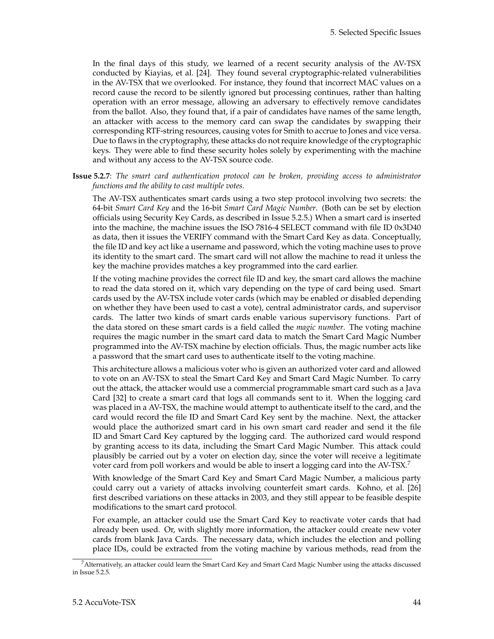In the final days of this study, we learned of a recent security analysis of the AV-TSX conducted by Kiayias, et al. [\[24\]](#page-84-5). They found several cryptographic-related vulnerabilities in the AV-TSX that we overlooked. For instance, they found that incorrect MAC values on a record cause the record to be silently ignored but processing continues, rather than halting operation with an error message, allowing an adversary to effectively remove candidates from the ballot. Also, they found that, if a pair of candidates have names of the same length, an attacker with access to the memory card can swap the candidates by swapping their corresponding RTF-string resources, causing votes for Smith to accrue to Jones and vice versa. Due to flaws in the cryptography, these attacks do not require knowledge of the cryptographic keys. They were able to find these security holes solely by experimenting with the machine and without any access to the AV-TSX source code.

**Issue 5.2.7**: *The smart card authentication protocol can be broken, providing access to administrator functions and the ability to cast multiple votes.*

The AV-TSX authenticates smart cards using a two step protocol involving two secrets: the 64-bit *Smart Card Key* and the 16-bit *Smart Card Magic Number*. (Both can be set by election officials using Security Key Cards, as described in Issue 5.2[.5.](#page-42-0)) When a smart card is inserted into the machine, the machine issues the ISO 7816-4 SELECT command with file ID 0x3D40 as data, then it issues the VERIFY command with the Smart Card Key as data. Conceptually, the file ID and key act like a username and password, which the voting machine uses to prove its identity to the smart card. The smart card will not allow the machine to read it unless the key the machine provides matches a key programmed into the card earlier.

If the voting machine provides the correct file ID and key, the smart card allows the machine to read the data stored on it, which vary depending on the type of card being used. Smart cards used by the AV-TSX include voter cards (which may be enabled or disabled depending on whether they have been used to cast a vote), central administrator cards, and supervisor cards. The latter two kinds of smart cards enable various supervisory functions. Part of the data stored on these smart cards is a field called the *magic number*. The voting machine requires the magic number in the smart card data to match the Smart Card Magic Number programmed into the AV-TSX machine by election officials. Thus, the magic number acts like a password that the smart card uses to authenticate itself to the voting machine.

This architecture allows a malicious voter who is given an authorized voter card and allowed to vote on an AV-TSX to steal the Smart Card Key and Smart Card Magic Number. To carry out the attack, the attacker would use a commercial programmable smart card such as a Java Card [\[32\]](#page-84-6) to create a smart card that logs all commands sent to it. When the logging card was placed in a AV-TSX, the machine would attempt to authenticate itself to the card, and the card would record the file ID and Smart Card Key sent by the machine. Next, the attacker would place the authorized smart card in his own smart card reader and send it the file ID and Smart Card Key captured by the logging card. The authorized card would respond by granting access to its data, including the Smart Card Magic Number. This attack could plausibly be carried out by a voter on election day, since the voter will receive a legitimate voter card from poll workers and would be able to insert a logging card into the AV-TSX.[7](#page-50-0)

With knowledge of the Smart Card Key and Smart Card Magic Number, a malicious party could carry out a variety of attacks involving counterfeit smart cards. Kohno, et al. [\[26\]](#page-84-7) first described variations on these attacks in 2003, and they still appear to be feasible despite modifications to the smart card protocol.

For example, an attacker could use the Smart Card Key to reactivate voter cards that had already been used. Or, with slightly more information, the attacker could create new voter cards from blank Java Cards. The necessary data, which includes the election and polling place IDs, could be extracted from the voting machine by various methods, read from the

<span id="page-50-0"></span><sup>7</sup>Alternatively, an attacker could learn the Smart Card Key and Smart Card Magic Number using the attacks discussed in Issue 5.2[.5.](#page-42-0)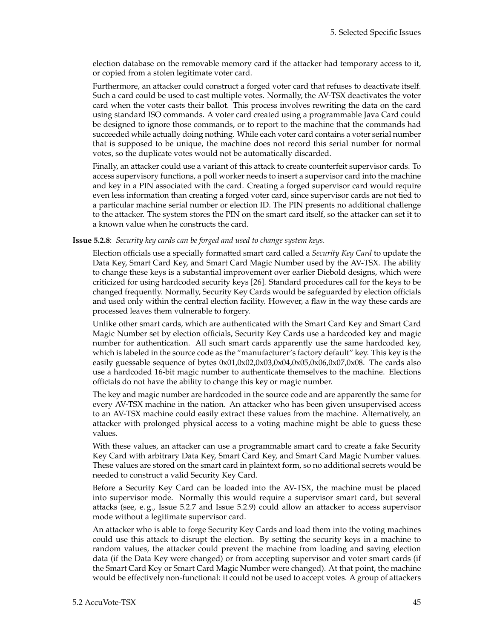election database on the removable memory card if the attacker had temporary access to it, or copied from a stolen legitimate voter card.

Furthermore, an attacker could construct a forged voter card that refuses to deactivate itself. Such a card could be used to cast multiple votes. Normally, the AV-TSX deactivates the voter card when the voter casts their ballot. This process involves rewriting the data on the card using standard ISO commands. A voter card created using a programmable Java Card could be designed to ignore those commands, or to report to the machine that the commands had succeeded while actually doing nothing. While each voter card contains a voter serial number that is supposed to be unique, the machine does not record this serial number for normal votes, so the duplicate votes would not be automatically discarded.

Finally, an attacker could use a variant of this attack to create counterfeit supervisor cards. To access supervisory functions, a poll worker needs to insert a supervisor card into the machine and key in a PIN associated with the card. Creating a forged supervisor card would require even less information than creating a forged voter card, since supervisor cards are not tied to a particular machine serial number or election ID. The PIN presents no additional challenge to the attacker. The system stores the PIN on the smart card itself, so the attacker can set it to a known value when he constructs the card.

#### **Issue 5.2.8**: *Security key cards can be forged and used to change system keys.*

Election officials use a specially formatted smart card called a *Security Key Card* to update the Data Key, Smart Card Key, and Smart Card Magic Number used by the AV-TSX. The ability to change these keys is a substantial improvement over earlier Diebold designs, which were criticized for using hardcoded security keys [\[26\]](#page-84-7). Standard procedures call for the keys to be changed frequently. Normally, Security Key Cards would be safeguarded by election officials and used only within the central election facility. However, a flaw in the way these cards are processed leaves them vulnerable to forgery.

Unlike other smart cards, which are authenticated with the Smart Card Key and Smart Card Magic Number set by election officials, Security Key Cards use a hardcoded key and magic number for authentication. All such smart cards apparently use the same hardcoded key, which is labeled in the source code as the "manufacturer's factory default" key. This key is the easily guessable sequence of bytes 0x01,0x02,0x03,0x04,0x05,0x06,0x07,0x08. The cards also use a hardcoded 16-bit magic number to authenticate themselves to the machine. Elections officials do not have the ability to change this key or magic number.

The key and magic number are hardcoded in the source code and are apparently the same for every AV-TSX machine in the nation. An attacker who has been given unsupervised access to an AV-TSX machine could easily extract these values from the machine. Alternatively, an attacker with prolonged physical access to a voting machine might be able to guess these values.

With these values, an attacker can use a programmable smart card to create a fake Security Key Card with arbitrary Data Key, Smart Card Key, and Smart Card Magic Number values. These values are stored on the smart card in plaintext form, so no additional secrets would be needed to construct a valid Security Key Card.

Before a Security Key Card can be loaded into the AV-TSX, the machine must be placed into supervisor mode. Normally this would require a supervisor smart card, but several attacks (see, e. g., Issue 5.2[.7](#page-42-2) and Issue 5.2[.9\)](#page-43-1) could allow an attacker to access supervisor mode without a legitimate supervisor card.

An attacker who is able to forge Security Key Cards and load them into the voting machines could use this attack to disrupt the election. By setting the security keys in a machine to random values, the attacker could prevent the machine from loading and saving election data (if the Data Key were changed) or from accepting supervisor and voter smart cards (if the Smart Card Key or Smart Card Magic Number were changed). At that point, the machine would be effectively non-functional: it could not be used to accept votes. A group of attackers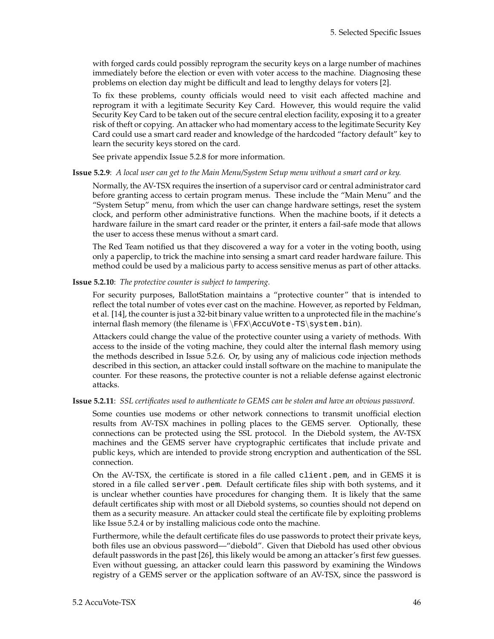with forged cards could possibly reprogram the security keys on a large number of machines immediately before the election or even with voter access to the machine. Diagnosing these problems on election day might be difficult and lead to lengthy delays for voters [\[2\]](#page-83-4).

To fix these problems, county officials would need to visit each affected machine and reprogram it with a legitimate Security Key Card. However, this would require the valid Security Key Card to be taken out of the secure central election facility, exposing it to a greater risk of theft or copying. An attacker who had momentary access to the legitimate Security Key Card could use a smart card reader and knowledge of the hardcoded "factory default" key to learn the security keys stored on the card.

See private appendix Issue 5.2.8 for more information.

**Issue 5.2.9**: *A local user can get to the Main Menu/System Setup menu without a smart card or key.*

Normally, the AV-TSX requires the insertion of a supervisor card or central administrator card before granting access to certain program menus. These include the "Main Menu" and the "System Setup" menu, from which the user can change hardware settings, reset the system clock, and perform other administrative functions. When the machine boots, if it detects a hardware failure in the smart card reader or the printer, it enters a fail-safe mode that allows the user to access these menus without a smart card.

The Red Team notified us that they discovered a way for a voter in the voting booth, using only a paperclip, to trick the machine into sensing a smart card reader hardware failure. This method could be used by a malicious party to access sensitive menus as part of other attacks.

**Issue 5.2.10**: *The protective counter is subject to tampering.*

For security purposes, BallotStation maintains a "protective counter" that is intended to reflect the total number of votes ever cast on the machine. However, as reported by Feldman, et al. [\[14\]](#page-83-2), the counter is just a 32-bit binary value written to a unprotected file in the machine's internal flash memory (the filename is \FFX\AccuVote-TS\system.bin).

Attackers could change the value of the protective counter using a variety of methods. With access to the inside of the voting machine, they could alter the internal flash memory using the methods described in Issue 5.2[.6.](#page-42-1) Or, by using any of malicious code injection methods described in this section, an attacker could install software on the machine to manipulate the counter. For these reasons, the protective counter is not a reliable defense against electronic attacks.

#### **Issue 5.2.11**: *SSL certificates used to authenticate to GEMS can be stolen and have an obvious password.*

Some counties use modems or other network connections to transmit unofficial election results from AV-TSX machines in polling places to the GEMS server. Optionally, these connections can be protected using the SSL protocol. In the Diebold system, the AV-TSX machines and the GEMS server have cryptographic certificates that include private and public keys, which are intended to provide strong encryption and authentication of the SSL connection.

On the AV-TSX, the certificate is stored in a file called client.pem, and in GEMS it is stored in a file called server.pem. Default certificate files ship with both systems, and it is unclear whether counties have procedures for changing them. It is likely that the same default certificates ship with most or all Diebold systems, so counties should not depend on them as a security measure. An attacker could steal the certificate file by exploiting problems like Issue 5.2[.4](#page-41-0) or by installing malicious code onto the machine.

Furthermore, while the default certificate files do use passwords to protect their private keys, both files use an obvious password—"diebold". Given that Diebold has used other obvious default passwords in the past [\[26\]](#page-84-7), this likely would be among an attacker's first few guesses. Even without guessing, an attacker could learn this password by examining the Windows registry of a GEMS server or the application software of an AV-TSX, since the password is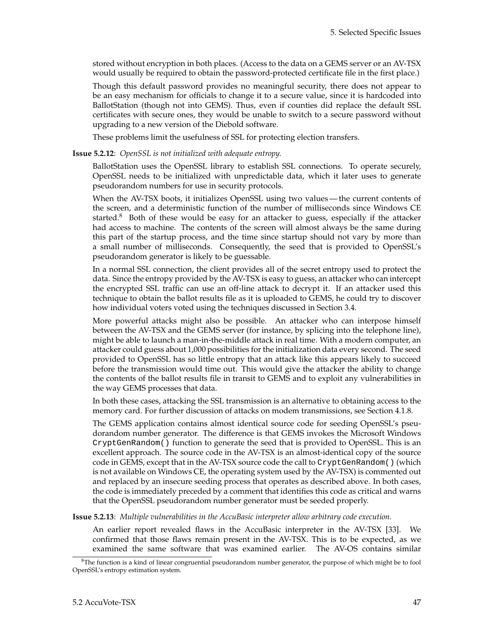stored without encryption in both places. (Access to the data on a GEMS server or an AV-TSX would usually be required to obtain the password-protected certificate file in the first place.)

Though this default password provides no meaningful security, there does not appear to be an easy mechanism for officials to change it to a secure value, since it is hardcoded into BallotStation (though not into GEMS). Thus, even if counties did replace the default SSL certificates with secure ones, they would be unable to switch to a secure password without upgrading to a new version of the Diebold software.

These problems limit the usefulness of SSL for protecting election transfers.

**Issue 5.2.12**: *OpenSSL is not initialized with adequate entropy.*

BallotStation uses the OpenSSL library to establish SSL connections. To operate securely, OpenSSL needs to be initialized with unpredictable data, which it later uses to generate pseudorandom numbers for use in security protocols.

When the AV-TSX boots, it initializes OpenSSL using two values— the current contents of the screen, and a deterministic function of the number of milliseconds since Windows CE started.<sup>[8](#page-53-1)</sup> Both of these would be easy for an attacker to guess, especially if the attacker had access to machine. The contents of the screen will almost always be the same during this part of the startup process, and the time since startup should not vary by more than a small number of milliseconds. Consequently, the seed that is provided to OpenSSL's pseudorandom generator is likely to be guessable.

In a normal SSL connection, the client provides all of the secret entropy used to protect the data. Since the entropy provided by the AV-TSX is easy to guess, an attacker who can intercept the encrypted SSL traffic can use an off-line attack to decrypt it. If an attacker used this technique to obtain the ballot results file as it is uploaded to GEMS, he could try to discover how individual voters voted using the techniques discussed in Section [3.4.](#page-23-0)

More powerful attacks might also be possible. An attacker who can interpose himself between the AV-TSX and the GEMS server (for instance, by splicing into the telephone line), might be able to launch a man-in-the-middle attack in real time. With a modern computer, an attacker could guess about 1,000 possibilities for the initialization data every second. The seed provided to OpenSSL has so little entropy that an attack like this appears likely to succeed before the transmission would time out. This would give the attacker the ability to change the contents of the ballot results file in transit to GEMS and to exploit any vulnerabilities in the way GEMS processes that data.

In both these cases, attacking the SSL transmission is an alternative to obtaining access to the memory card. For further discussion of attacks on modem transmissions, see Section [4.1.8.](#page-30-0)

The GEMS application contains almost identical source code for seeding OpenSSL's pseudorandom number generator. The difference is that GEMS invokes the Microsoft Windows CryptGenRandom() function to generate the seed that is provided to OpenSSL. This is an excellent approach. The source code in the AV-TSX is an almost-identical copy of the source code in GEMS, except that in the AV-TSX source code the call to CryptGenRandom() (which is not available on Windows CE, the operating system used by the AV-TSX) is commented out and replaced by an insecure seeding process that operates as described above. In both cases, the code is immediately preceded by a comment that identifies this code as critical and warns that the OpenSSL pseudorandom number generator must be seeded properly.

<span id="page-53-0"></span>**Issue 5.2.13**: *Multiple vulnerabilities in the AccuBasic interpreter allow arbitrary code execution.*

An earlier report revealed flaws in the AccuBasic interpreter in the AV-TSX [\[33\]](#page-84-1). We confirmed that those flaws remain present in the AV-TSX. This is to be expected, as we examined the same software that was examined earlier. The AV-OS contains similar

<span id="page-53-1"></span> ${}^{8}$ The function is a kind of linear congruential pseudorandom number generator, the purpose of which might be to fool OpenSSL's entropy estimation system.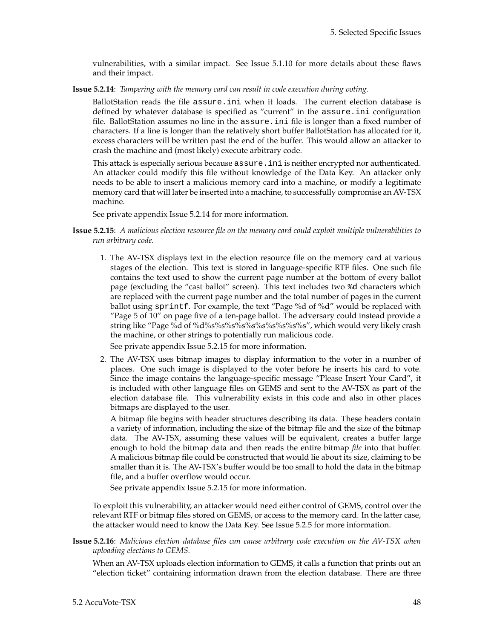vulnerabilities, with a similar impact. See Issue 5.1[.10](#page-44-0) for more details about these flaws and their impact.

**Issue 5.2.14**: *Tampering with the memory card can result in code execution during voting.*

BallotStation reads the file assure.ini when it loads. The current election database is defined by whatever database is specified as "current" in the assure.ini configuration file. BallotStation assumes no line in the assure.ini file is longer than a fixed number of characters. If a line is longer than the relatively short buffer BallotStation has allocated for it, excess characters will be written past the end of the buffer. This would allow an attacker to crash the machine and (most likely) execute arbitrary code.

This attack is especially serious because assure.ini is neither encrypted nor authenticated. An attacker could modify this file without knowledge of the Data Key. An attacker only needs to be able to insert a malicious memory card into a machine, or modify a legitimate memory card that will later be inserted into a machine, to successfully compromise an AV-TSX machine.

See private appendix Issue 5.2.14 for more information.

- <span id="page-54-0"></span>**Issue 5.2.15**: *A malicious election resource file on the memory card could exploit multiple vulnerabilities to run arbitrary code.*
	- 1. The AV-TSX displays text in the election resource file on the memory card at various stages of the election. This text is stored in language-specific RTF files. One such file contains the text used to show the current page number at the bottom of every ballot page (excluding the "cast ballot" screen). This text includes two %d characters which are replaced with the current page number and the total number of pages in the current ballot using sprintf. For example, the text "Page %d of %d" would be replaced with "Page 5 of 10" on page five of a ten-page ballot. The adversary could instead provide a string like "Page %d of %d%s%s%s%s%s%s%s%s%s%s", which would very likely crash the machine, or other strings to potentially run malicious code.

See private appendix Issue 5.2.15 for more information.

2. The AV-TSX uses bitmap images to display information to the voter in a number of places. One such image is displayed to the voter before he inserts his card to vote. Since the image contains the language-specific message "Please Insert Your Card", it is included with other language files on GEMS and sent to the AV-TSX as part of the election database file. This vulnerability exists in this code and also in other places bitmaps are displayed to the user.

A bitmap file begins with header structures describing its data. These headers contain a variety of information, including the size of the bitmap file and the size of the bitmap data. The AV-TSX, assuming these values will be equivalent, creates a buffer large enough to hold the bitmap data and then reads the entire bitmap *file* into that buffer. A malicious bitmap file could be constructed that would lie about its size, claiming to be smaller than it is. The AV-TSX's buffer would be too small to hold the data in the bitmap file, and a buffer overflow would occur.

See private appendix Issue 5.2.15 for more information.

To exploit this vulnerability, an attacker would need either control of GEMS, control over the relevant RTF or bitmap files stored on GEMS, or access to the memory card. In the latter case, the attacker would need to know the Data Key. See Issue 5.2[.5](#page-42-0) for more information.

<span id="page-54-1"></span>**Issue 5.2.16**: *Malicious election database files can cause arbitrary code execution on the AV-TSX when uploading elections to GEMS.*

When an AV-TSX uploads election information to GEMS, it calls a function that prints out an "election ticket" containing information drawn from the election database. There are three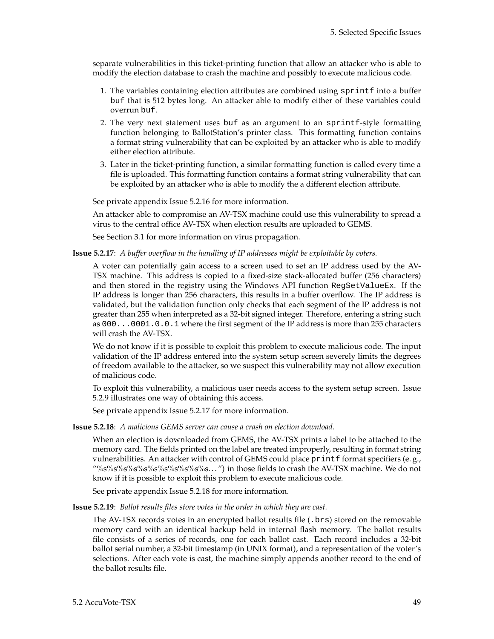separate vulnerabilities in this ticket-printing function that allow an attacker who is able to modify the election database to crash the machine and possibly to execute malicious code.

- 1. The variables containing election attributes are combined using sprintf into a buffer buf that is 512 bytes long. An attacker able to modify either of these variables could overrun buf.
- 2. The very next statement uses buf as an argument to an sprintf-style formatting function belonging to BallotStation's printer class. This formatting function contains a format string vulnerability that can be exploited by an attacker who is able to modify either election attribute.
- 3. Later in the ticket-printing function, a similar formatting function is called every time a file is uploaded. This formatting function contains a format string vulnerability that can be exploited by an attacker who is able to modify the a different election attribute.

See private appendix Issue 5.2.16 for more information.

An attacker able to compromise an AV-TSX machine could use this vulnerability to spread a virus to the central office AV-TSX when election results are uploaded to GEMS.

See Section [3.1](#page-16-0) for more information on virus propagation.

**Issue 5.2.17**: *A buffer overflow in the handling of IP addresses might be exploitable by voters.*

A voter can potentially gain access to a screen used to set an IP address used by the AV-TSX machine. This address is copied to a fixed-size stack-allocated buffer (256 characters) and then stored in the registry using the Windows API function RegSetValueEx. If the IP address is longer than 256 characters, this results in a buffer overflow. The IP address is validated, but the validation function only checks that each segment of the IP address is not greater than 255 when interpreted as a 32-bit signed integer. Therefore, entering a string such as 000...0001.0.0.1 where the first segment of the IP address is more than 255 characters will crash the AV-TSX.

We do not know if it is possible to exploit this problem to execute malicious code. The input validation of the IP address entered into the system setup screen severely limits the degrees of freedom available to the attacker, so we suspect this vulnerability may not allow execution of malicious code.

To exploit this vulnerability, a malicious user needs access to the system setup screen. Issue 5.2[.9](#page-43-1) illustrates one way of obtaining this access.

See private appendix Issue 5.2.17 for more information.

**Issue 5.2.18**: *A malicious GEMS server can cause a crash on election download.*

When an election is downloaded from GEMS, the AV-TSX prints a label to be attached to the memory card. The fields printed on the label are treated improperly, resulting in format string vulnerabilities. An attacker with control of GEMS could place print format specifiers (e.g., "%s%s%s%s%s%s%s%s%s%s%s. . . ") in those fields to crash the AV-TSX machine. We do not know if it is possible to exploit this problem to execute malicious code.

See private appendix Issue 5.2.18 for more information.

<span id="page-55-0"></span>**Issue 5.2.19**: *Ballot results files store votes in the order in which they are cast.*

The AV-TSX records votes in an encrypted ballot results file (.brs) stored on the removable memory card with an identical backup held in internal flash memory. The ballot results file consists of a series of records, one for each ballot cast. Each record includes a 32-bit ballot serial number, a 32-bit timestamp (in UNIX format), and a representation of the voter's selections. After each vote is cast, the machine simply appends another record to the end of the ballot results file.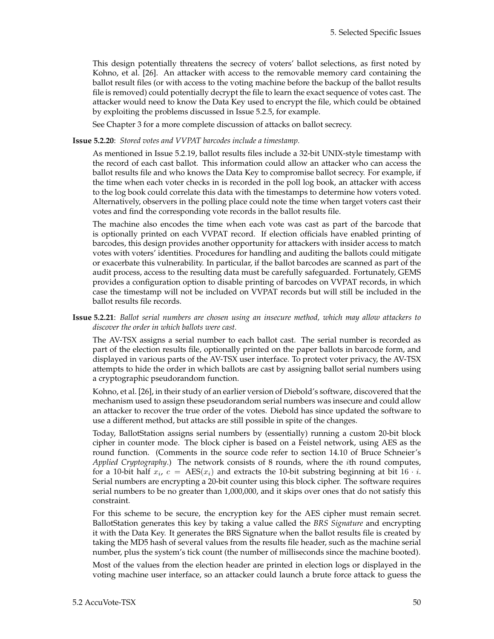This design potentially threatens the secrecy of voters' ballot selections, as first noted by Kohno, et al. [\[26\]](#page-84-7). An attacker with access to the removable memory card containing the ballot result files (or with access to the voting machine before the backup of the ballot results file is removed) could potentially decrypt the file to learn the exact sequence of votes cast. The attacker would need to know the Data Key used to encrypt the file, which could be obtained by exploiting the problems discussed in Issue 5.2[.5,](#page-42-0) for example.

See Chapter [3](#page-16-1) for a more complete discussion of attacks on ballot secrecy.

#### <span id="page-56-1"></span>**Issue 5.2.20**: *Stored votes and VVPAT barcodes include a timestamp.*

As mentioned in Issue 5.2[.19,](#page-55-0) ballot results files include a 32-bit UNIX-style timestamp with the record of each cast ballot. This information could allow an attacker who can access the ballot results file and who knows the Data Key to compromise ballot secrecy. For example, if the time when each voter checks in is recorded in the poll log book, an attacker with access to the log book could correlate this data with the timestamps to determine how voters voted. Alternatively, observers in the polling place could note the time when target voters cast their votes and find the corresponding vote records in the ballot results file.

The machine also encodes the time when each vote was cast as part of the barcode that is optionally printed on each VVPAT record. If election officials have enabled printing of barcodes, this design provides another opportunity for attackers with insider access to match votes with voters' identities. Procedures for handling and auditing the ballots could mitigate or exacerbate this vulnerability. In particular, if the ballot barcodes are scanned as part of the audit process, access to the resulting data must be carefully safeguarded. Fortunately, GEMS provides a configuration option to disable printing of barcodes on VVPAT records, in which case the timestamp will not be included on VVPAT records but will still be included in the ballot results file records.

<span id="page-56-0"></span>**Issue 5.2.21**: *Ballot serial numbers are chosen using an insecure method, which may allow attackers to discover the order in which ballots were cast.*

The AV-TSX assigns a serial number to each ballot cast. The serial number is recorded as part of the election results file, optionally printed on the paper ballots in barcode form, and displayed in various parts of the AV-TSX user interface. To protect voter privacy, the AV-TSX attempts to hide the order in which ballots are cast by assigning ballot serial numbers using a cryptographic pseudorandom function.

Kohno, et al. [\[26\]](#page-84-7), in their study of an earlier version of Diebold's software, discovered that the mechanism used to assign these pseudorandom serial numbers was insecure and could allow an attacker to recover the true order of the votes. Diebold has since updated the software to use a different method, but attacks are still possible in spite of the changes.

Today, BallotStation assigns serial numbers by (essentially) running a custom 20-bit block cipher in counter mode. The block cipher is based on a Feistel network, using AES as the round function. (Comments in the source code refer to section 14.10 of Bruce Schneier's *Applied Cryptography*.) The network consists of 8 rounds, where the ith round computes, for a 10-bit half  $x_i$ ,  $c = \text{AES}(x_i)$  and extracts the 10-bit substring beginning at bit 16  $\cdot i$ . Serial numbers are encrypting a 20-bit counter using this block cipher. The software requires serial numbers to be no greater than 1,000,000, and it skips over ones that do not satisfy this constraint.

For this scheme to be secure, the encryption key for the AES cipher must remain secret. BallotStation generates this key by taking a value called the *BRS Signature* and encrypting it with the Data Key. It generates the BRS Signature when the ballot results file is created by taking the MD5 hash of several values from the results file header, such as the machine serial number, plus the system's tick count (the number of milliseconds since the machine booted).

Most of the values from the election header are printed in election logs or displayed in the voting machine user interface, so an attacker could launch a brute force attack to guess the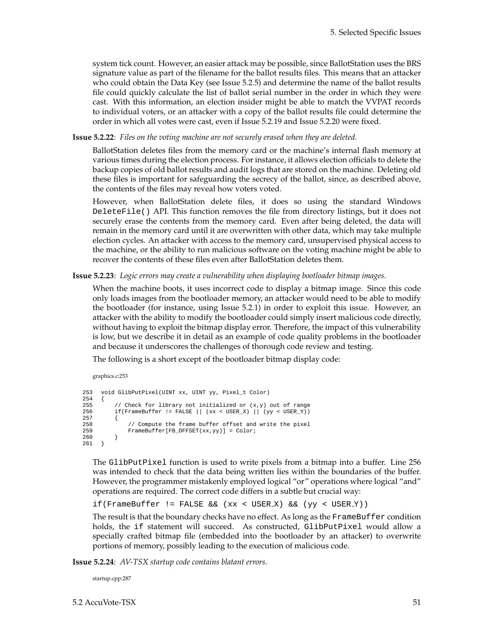system tick count. However, an easier attack may be possible, since BallotStation uses the BRS signature value as part of the filename for the ballot results files. This means that an attacker who could obtain the Data Key (see Issue 5.2[.5\)](#page-42-0) and determine the name of the ballot results file could quickly calculate the list of ballot serial number in the order in which they were cast. With this information, an election insider might be able to match the VVPAT records to individual voters, or an attacker with a copy of the ballot results file could determine the order in which all votes were cast, even if Issue 5.2[.19](#page-55-0) and Issue 5.2[.20](#page-56-1) were fixed.

**Issue 5.2.22**: *Files on the voting machine are not securely erased when they are deleted.*

BallotStation deletes files from the memory card or the machine's internal flash memory at various times during the election process. For instance, it allows election officials to delete the backup copies of old ballot results and audit logs that are stored on the machine. Deleting old these files is important for safeguarding the secrecy of the ballot, since, as described above, the contents of the files may reveal how voters voted.

However, when BallotStation delete files, it does so using the standard Windows DeleteFile() API. This function removes the file from directory listings, but it does not securely erase the contents from the memory card. Even after being deleted, the data will remain in the memory card until it are overwritten with other data, which may take multiple election cycles. An attacker with access to the memory card, unsupervised physical access to the machine, or the ability to run malicious software on the voting machine might be able to recover the contents of these files even after BallotStation deletes them.

#### **Issue 5.2.23**: *Logic errors may create a vulnerability when displaying bootloader bitmap images.*

When the machine boots, it uses incorrect code to display a bitmap image. Since this code only loads images from the bootloader memory, an attacker would need to be able to modify the bootloader (for instance, using Issue 5.2[.1\)](#page-39-1) in order to exploit this issue. However, an attacker with the ability to modify the bootloader could simply insert malicious code directly, without having to exploit the bitmap display error. Therefore, the impact of this vulnerability is low, but we describe it in detail as an example of code quality problems in the bootloader and because it underscores the challenges of thorough code review and testing.

The following is a short except of the bootloader bitmap display code:

```
graphics.c:253
```

```
253 void GlibPutPixel(UINT xx, UINT yy, Pixel_t Color)
254 {
255 // Check for library not initialized or (x,y) out of range<br>256 if (FrameBuffer != FALSE || (xx < USER X) || (vv < USER Y))
              if(FrameBuffer != FALSE || (xx < USEX) || (yy < USEY))257 {
258 // Compute the frame buffer offset and write the pixel<br>259 FrameBuffer (FB OFFSET(xx, vv) = Color;
              \label{eq:2} \begin{array}{ll} \texttt{FrameBuffer}[\texttt{FB\_OFFSET}(\texttt{xx}, \texttt{yy})\texttt{]} = \texttt{Color:} \\ \end{array}260<br>261 }
261 }
```
The GlibPutPixel function is used to write pixels from a bitmap into a buffer. Line 256 was intended to check that the data being written lies within the boundaries of the buffer. However, the programmer mistakenly employed logical "or" operations where logical "and" operations are required. The correct code differs in a subtle but crucial way:

if(FrameBuffer != FALSE && (xx < USER X) && (yy < USER Y))

The result is that the boundary checks have no effect. As long as the FrameBuffer condition holds, the if statement will succeed. As constructed, GlibPutPixel would allow a specially crafted bitmap file (embedded into the bootloader by an attacker) to overwrite portions of memory, possibly leading to the execution of malicious code.

<span id="page-57-0"></span>**Issue 5.2.24**: *AV-TSX startup code contains blatant errors.*

startup.cpp:287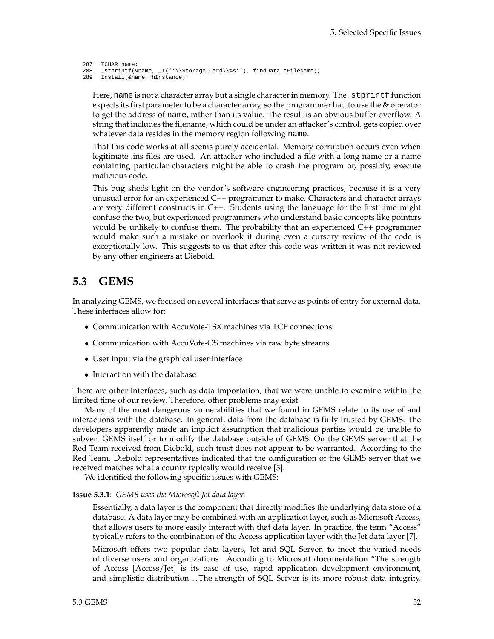```
287 TCHAR name;<br>288 stprintf(&
      _stprintf(&name, _T(''\\Storage Card\\%s''), findData.cFileName);
289 Install(&name, hInstance);
```
Here, name is not a character array but a single character in memory. The stprintf function expects its first parameter to be a character array, so the programmer had to use the & operator to get the address of name, rather than its value. The result is an obvious buffer overflow. A string that includes the filename, which could be under an attacker's control, gets copied over whatever data resides in the memory region following name.

That this code works at all seems purely accidental. Memory corruption occurs even when legitimate .ins files are used. An attacker who included a file with a long name or a name containing particular characters might be able to crash the program or, possibly, execute malicious code.

This bug sheds light on the vendor's software engineering practices, because it is a very unusual error for an experienced C++ programmer to make. Characters and character arrays are very different constructs in C++. Students using the language for the first time might confuse the two, but experienced programmers who understand basic concepts like pointers would be unlikely to confuse them. The probability that an experienced C++ programmer would make such a mistake or overlook it during even a cursory review of the code is exceptionally low. This suggests to us that after this code was written it was not reviewed by any other engineers at Diebold.

## **5.3 GEMS**

In analyzing GEMS, we focused on several interfaces that serve as points of entry for external data. These interfaces allow for:

- Communication with AccuVote-TSX machines via TCP connections
- Communication with AccuVote-OS machines via raw byte streams
- User input via the graphical user interface
- Interaction with the database

There are other interfaces, such as data importation, that we were unable to examine within the limited time of our review. Therefore, other problems may exist.

Many of the most dangerous vulnerabilities that we found in GEMS relate to its use of and interactions with the database. In general, data from the database is fully trusted by GEMS. The developers apparently made an implicit assumption that malicious parties would be unable to subvert GEMS itself or to modify the database outside of GEMS. On the GEMS server that the Red Team received from Diebold, such trust does not appear to be warranted. According to the Red Team, Diebold representatives indicated that the configuration of the GEMS server that we received matches what a county typically would receive [\[3\]](#page-83-1).

We identified the following specific issues with GEMS:

#### **Issue 5.3.1**: *GEMS uses the Microsoft Jet data layer.*

Essentially, a data layer is the component that directly modifies the underlying data store of a database. A data layer may be combined with an application layer, such as Microsoft Access, that allows users to more easily interact with that data layer. In practice, the term "Access" typically refers to the combination of the Access application layer with the Jet data layer [\[7\]](#page-83-5).

Microsoft offers two popular data layers, Jet and SQL Server, to meet the varied needs of diverse users and organizations. According to Microsoft documentation "The strength of Access [Access/Jet] is its ease of use, rapid application development environment, and simplistic distribution. . . The strength of SQL Server is its more robust data integrity,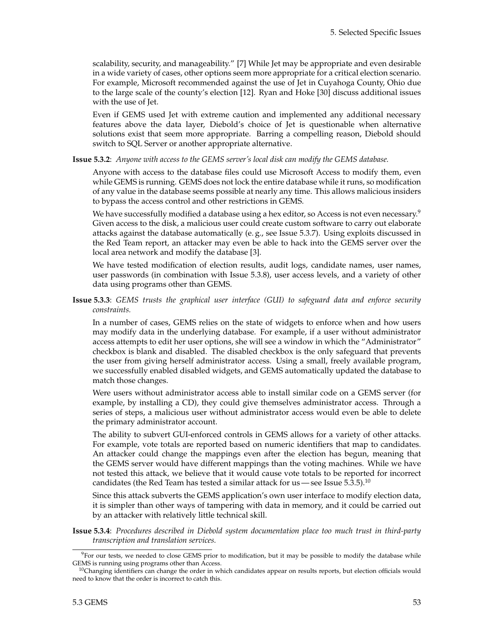scalability, security, and manageability." [\[7\]](#page-83-5) While Jet may be appropriate and even desirable in a wide variety of cases, other options seem more appropriate for a critical election scenario. For example, Microsoft recommended against the use of Jet in Cuyahoga County, Ohio due to the large scale of the county's election [\[12\]](#page-83-6). Ryan and Hoke [\[30\]](#page-84-8) discuss additional issues with the use of Jet.

Even if GEMS used Jet with extreme caution and implemented any additional necessary features above the data layer, Diebold's choice of Jet is questionable when alternative solutions exist that seem more appropriate. Barring a compelling reason, Diebold should switch to SQL Server or another appropriate alternative.

**Issue 5.3.2**: *Anyone with access to the GEMS server's local disk can modify the GEMS database.*

Anyone with access to the database files could use Microsoft Access to modify them, even while GEMS is running. GEMS does not lock the entire database while it runs, so modification of any value in the database seems possible at nearly any time. This allows malicious insiders to bypass the access control and other restrictions in GEMS.

We have successfully modified a database using a hex editor, so Access is not even necessary.<sup>[9](#page-59-0)</sup> Given access to the disk, a malicious user could create custom software to carry out elaborate attacks against the database automatically (e. g., see Issue 5.3[.7\)](#page-42-2). Using exploits discussed in the Red Team report, an attacker may even be able to hack into the GEMS server over the local area network and modify the database [\[3\]](#page-83-1).

We have tested modification of election results, audit logs, candidate names, user names, user passwords (in combination with Issue 5.3[.8\)](#page-43-0), user access levels, and a variety of other data using programs other than GEMS.

**Issue 5.3.3**: *GEMS trusts the graphical user interface (GUI) to safeguard data and enforce security constraints.*

In a number of cases, GEMS relies on the state of widgets to enforce when and how users may modify data in the underlying database. For example, if a user without administrator access attempts to edit her user options, she will see a window in which the "Administrator" checkbox is blank and disabled. The disabled checkbox is the only safeguard that prevents the user from giving herself administrator access. Using a small, freely available program, we successfully enabled disabled widgets, and GEMS automatically updated the database to match those changes.

Were users without administrator access able to install similar code on a GEMS server (for example, by installing a CD), they could give themselves administrator access. Through a series of steps, a malicious user without administrator access would even be able to delete the primary administrator account.

The ability to subvert GUI-enforced controls in GEMS allows for a variety of other attacks. For example, vote totals are reported based on numeric identifiers that map to candidates. An attacker could change the mappings even after the election has begun, meaning that the GEMS server would have different mappings than the voting machines. While we have not tested this attack, we believe that it would cause vote totals to be reported for incorrect candidates (the Red Team has tested a similar attack for us — see Issue  $5.3.5$ ).<sup>[10](#page-59-1)</sup>

Since this attack subverts the GEMS application's own user interface to modify election data, it is simpler than other ways of tampering with data in memory, and it could be carried out by an attacker with relatively little technical skill.

**Issue 5.3.4**: *Procedures described in Diebold system documentation place too much trust in third-party transcription and translation services.*

<span id="page-59-0"></span><sup>&</sup>lt;sup>9</sup>For our tests, we needed to close GEMS prior to modification, but it may be possible to modify the database while GEMS is running using programs other than Access.

<span id="page-59-1"></span> $10$ Changing identifiers can change the order in which candidates appear on results reports, but election officials would need to know that the order is incorrect to catch this.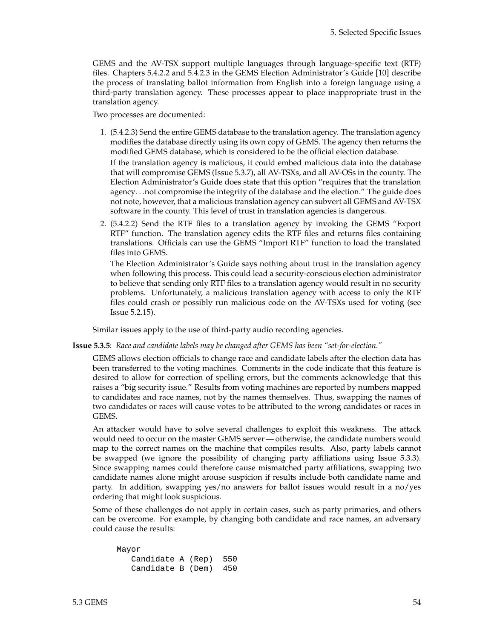GEMS and the AV-TSX support multiple languages through language-specific text (RTF) files. Chapters 5.4.2.2 and 5.4.2.3 in the GEMS Election Administrator's Guide [\[10\]](#page-83-7) describe the process of translating ballot information from English into a foreign language using a third-party translation agency. These processes appear to place inappropriate trust in the translation agency.

Two processes are documented:

1. (5.4.2.3) Send the entire GEMS database to the translation agency. The translation agency modifies the database directly using its own copy of GEMS. The agency then returns the modified GEMS database, which is considered to be the official election database.

If the translation agency is malicious, it could embed malicious data into the database that will compromise GEMS (Issue 5.3[.7\)](#page-42-2), all AV-TSXs, and all AV-OSs in the county. The Election Administrator's Guide does state that this option "requires that the translation agency. . .not compromise the integrity of the database and the election." The guide does not note, however, that a malicious translation agency can subvert all GEMS and AV-TSX software in the county. This level of trust in translation agencies is dangerous.

2. (5.4.2.2) Send the RTF files to a translation agency by invoking the GEMS "Export RTF" function. The translation agency edits the RTF files and returns files containing translations. Officials can use the GEMS "Import RTF" function to load the translated files into GEMS.

The Election Administrator's Guide says nothing about trust in the translation agency when following this process. This could lead a security-conscious election administrator to believe that sending only RTF files to a translation agency would result in no security problems. Unfortunately, a malicious translation agency with access to only the RTF files could crash or possibly run malicious code on the AV-TSXs used for voting (see Issue 5.2[.15\)](#page-54-0).

Similar issues apply to the use of third-party audio recording agencies.

**Issue 5.3.5**: *Race and candidate labels may be changed after GEMS has been "set-for-election."*

GEMS allows election officials to change race and candidate labels after the election data has been transferred to the voting machines. Comments in the code indicate that this feature is desired to allow for correction of spelling errors, but the comments acknowledge that this raises a "big security issue." Results from voting machines are reported by numbers mapped to candidates and race names, not by the names themselves. Thus, swapping the names of two candidates or races will cause votes to be attributed to the wrong candidates or races in GEMS.

An attacker would have to solve several challenges to exploit this weakness. The attack would need to occur on the master GEMS server — otherwise, the candidate numbers would map to the correct names on the machine that compiles results. Also, party labels cannot be swapped (we ignore the possibility of changing party affiliations using Issue 5.3[.3\)](#page-40-1). Since swapping names could therefore cause mismatched party affiliations, swapping two candidate names alone might arouse suspicion if results include both candidate name and party. In addition, swapping yes/no answers for ballot issues would result in a no/yes ordering that might look suspicious.

Some of these challenges do not apply in certain cases, such as party primaries, and others can be overcome. For example, by changing both candidate and race names, an adversary could cause the results:

| Mayor                 |  |  |
|-----------------------|--|--|
| Candidate A (Rep) 550 |  |  |
| Candidate B (Dem) 450 |  |  |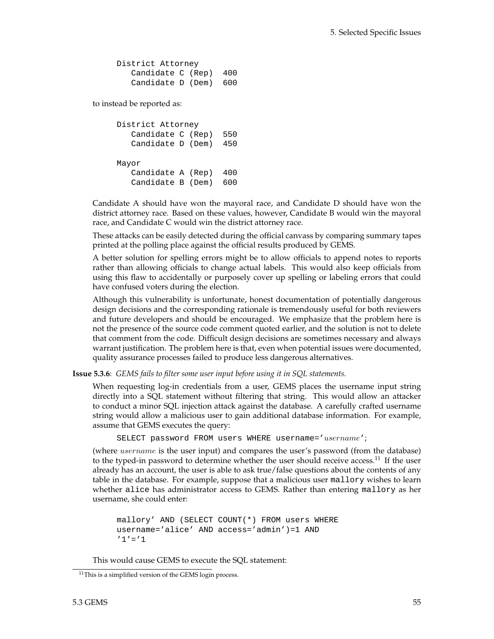| District Attorney     |  |  |
|-----------------------|--|--|
| Candidate C (Rep) 400 |  |  |
| Candidate D (Dem) 600 |  |  |

to instead be reported as:

```
District Attorney
  Candidate C (Rep) 550
  Candidate D (Dem) 450
Mayor
  Candidate A (Rep) 400
  Candidate B (Dem) 600
```
Candidate A should have won the mayoral race, and Candidate D should have won the district attorney race. Based on these values, however, Candidate B would win the mayoral race, and Candidate C would win the district attorney race.

These attacks can be easily detected during the official canvass by comparing summary tapes printed at the polling place against the official results produced by GEMS.

A better solution for spelling errors might be to allow officials to append notes to reports rather than allowing officials to change actual labels. This would also keep officials from using this flaw to accidentally or purposely cover up spelling or labeling errors that could have confused voters during the election.

Although this vulnerability is unfortunate, honest documentation of potentially dangerous design decisions and the corresponding rationale is tremendously useful for both reviewers and future developers and should be encouraged. We emphasize that the problem here is not the presence of the source code comment quoted earlier, and the solution is not to delete that comment from the code. Difficult design decisions are sometimes necessary and always warrant justification. The problem here is that, even when potential issues were documented, quality assurance processes failed to produce less dangerous alternatives.

**Issue 5.3.6**: *GEMS fails to filter some user input before using it in SQL statements.*

When requesting log-in credentials from a user, GEMS places the username input string directly into a SQL statement without filtering that string. This would allow an attacker to conduct a minor SQL injection attack against the database. A carefully crafted username string would allow a malicious user to gain additional database information. For example, assume that GEMS executes the query:

SELECT password FROM users WHERE username='username';

(where username is the user input) and compares the user's password (from the database) to the typed-in password to determine whether the user should receive access.<sup>[11](#page-61-0)</sup> If the user already has an account, the user is able to ask true/false questions about the contents of any table in the database. For example, suppose that a malicious user mallory wishes to learn whether alice has administrator access to GEMS. Rather than entering mallory as her username, she could enter:

```
mallory' AND (SELECT COUNT(*) FROM users WHERE
username='alice' AND access='admin')=1 AND
'1' = '1
```
This would cause GEMS to execute the SQL statement:

<span id="page-61-0"></span> $11$ This is a simplified version of the GEMS login process.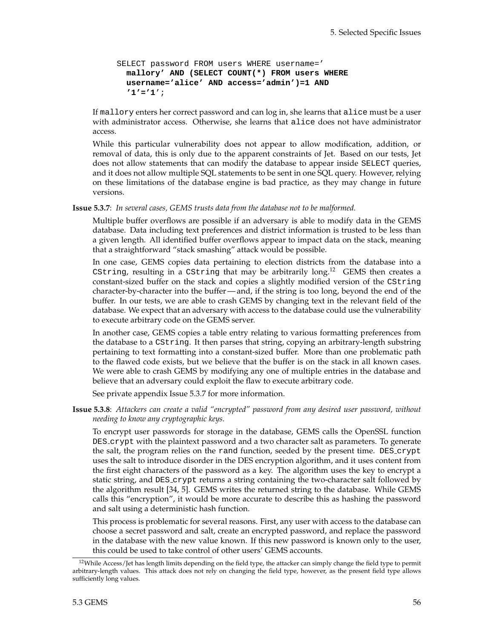```
SELECT password FROM users WHERE username='
 mallory' AND (SELECT COUNT(*) FROM users WHERE
 username='alice' AND access='admin')=1 AND
  '1'='1';
```
If mallory enters her correct password and can log in, she learns that alice must be a user with administrator access. Otherwise, she learns that alice does not have administrator access.

While this particular vulnerability does not appear to allow modification, addition, or removal of data, this is only due to the apparent constraints of Jet. Based on our tests, Jet does not allow statements that can modify the database to appear inside SELECT queries, and it does not allow multiple SQL statements to be sent in one SQL query. However, relying on these limitations of the database engine is bad practice, as they may change in future versions.

**Issue 5.3.7**: *In several cases, GEMS trusts data from the database not to be malformed.*

Multiple buffer overflows are possible if an adversary is able to modify data in the GEMS database. Data including text preferences and district information is trusted to be less than a given length. All identified buffer overflows appear to impact data on the stack, meaning that a straightforward "stack smashing" attack would be possible.

In one case, GEMS copies data pertaining to election districts from the database into a CString, resulting in a CString that may be arbitrarily long.[12](#page-62-0) GEMS then creates a constant-sized buffer on the stack and copies a slightly modified version of the CString character-by-character into the buffer— and, if the string is too long, beyond the end of the buffer. In our tests, we are able to crash GEMS by changing text in the relevant field of the database. We expect that an adversary with access to the database could use the vulnerability to execute arbitrary code on the GEMS server.

In another case, GEMS copies a table entry relating to various formatting preferences from the database to a CString. It then parses that string, copying an arbitrary-length substring pertaining to text formatting into a constant-sized buffer. More than one problematic path to the flawed code exists, but we believe that the buffer is on the stack in all known cases. We were able to crash GEMS by modifying any one of multiple entries in the database and believe that an adversary could exploit the flaw to execute arbitrary code.

See private appendix Issue 5.3.7 for more information.

**Issue 5.3.8**: *Attackers can create a valid "encrypted" password from any desired user password, without needing to know any cryptographic keys.*

To encrypt user passwords for storage in the database, GEMS calls the OpenSSL function DES crypt with the plaintext password and a two character salt as parameters. To generate the salt, the program relies on the rand function, seeded by the present time. DES crypt uses the salt to introduce disorder in the DES encryption algorithm, and it uses content from the first eight characters of the password as a key. The algorithm uses the key to encrypt a static string, and DES crypt returns a string containing the two-character salt followed by the algorithm result [\[34,](#page-84-9) [5\]](#page-83-8). GEMS writes the returned string to the database. While GEMS calls this "encryption", it would be more accurate to describe this as hashing the password and salt using a deterministic hash function.

This process is problematic for several reasons. First, any user with access to the database can choose a secret password and salt, create an encrypted password, and replace the password in the database with the new value known. If this new password is known only to the user, this could be used to take control of other users' GEMS accounts.

<span id="page-62-0"></span> $12$ While Access/Jet has length limits depending on the field type, the attacker can simply change the field type to permit arbitrary-length values. This attack does not rely on changing the field type, however, as the present field type allows sufficiently long values.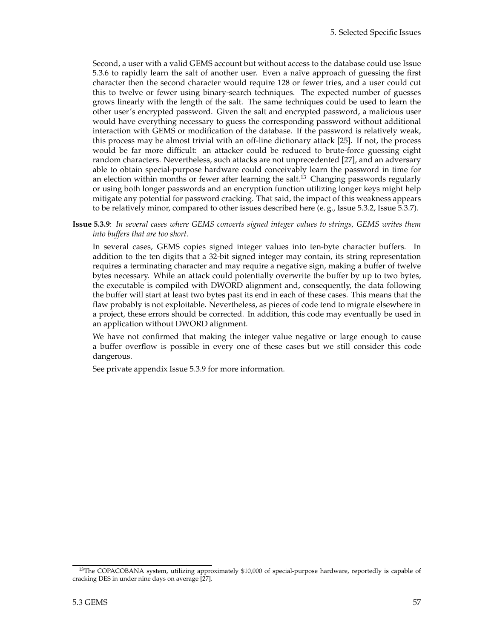Second, a user with a valid GEMS account but without access to the database could use Issue 5.3[.6](#page-42-1) to rapidly learn the salt of another user. Even a naïve approach of guessing the first character then the second character would require 128 or fewer tries, and a user could cut this to twelve or fewer using binary-search techniques. The expected number of guesses grows linearly with the length of the salt. The same techniques could be used to learn the other user's encrypted password. Given the salt and encrypted password, a malicious user would have everything necessary to guess the corresponding password without additional interaction with GEMS or modification of the database. If the password is relatively weak, this process may be almost trivial with an off-line dictionary attack [\[25\]](#page-84-10). If not, the process would be far more difficult: an attacker could be reduced to brute-force guessing eight random characters. Nevertheless, such attacks are not unprecedented [\[27\]](#page-84-11), and an adversary able to obtain special-purpose hardware could conceivably learn the password in time for an election within months or fewer after learning the salt.<sup>[13](#page-63-0)</sup> Changing passwords regularly or using both longer passwords and an encryption function utilizing longer keys might help mitigate any potential for password cracking. That said, the impact of this weakness appears to be relatively minor, compared to other issues described here (e. g., Issue 5.3[.2,](#page-40-0) Issue 5.3[.7\)](#page-42-2).

**Issue 5.3.9**: *In several cases where GEMS converts signed integer values to strings, GEMS writes them into buffers that are too short.*

In several cases, GEMS copies signed integer values into ten-byte character buffers. In addition to the ten digits that a 32-bit signed integer may contain, its string representation requires a terminating character and may require a negative sign, making a buffer of twelve bytes necessary. While an attack could potentially overwrite the buffer by up to two bytes, the executable is compiled with DWORD alignment and, consequently, the data following the buffer will start at least two bytes past its end in each of these cases. This means that the flaw probably is not exploitable. Nevertheless, as pieces of code tend to migrate elsewhere in a project, these errors should be corrected. In addition, this code may eventually be used in an application without DWORD alignment.

We have not confirmed that making the integer value negative or large enough to cause a buffer overflow is possible in every one of these cases but we still consider this code dangerous.

See private appendix Issue 5.3.9 for more information.

<span id="page-63-0"></span><sup>&</sup>lt;sup>13</sup>The COPACOBANA system, utilizing approximately \$10,000 of special-purpose hardware, reportedly is capable of cracking DES in under nine days on average [\[27\]](#page-84-11).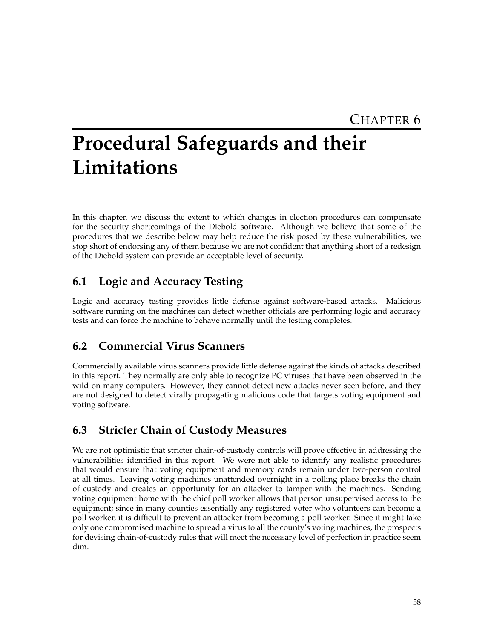# **Procedural Safeguards and their Limitations**

In this chapter, we discuss the extent to which changes in election procedures can compensate for the security shortcomings of the Diebold software. Although we believe that some of the procedures that we describe below may help reduce the risk posed by these vulnerabilities, we stop short of endorsing any of them because we are not confident that anything short of a redesign of the Diebold system can provide an acceptable level of security.

# **6.1 Logic and Accuracy Testing**

Logic and accuracy testing provides little defense against software-based attacks. Malicious software running on the machines can detect whether officials are performing logic and accuracy tests and can force the machine to behave normally until the testing completes.

# **6.2 Commercial Virus Scanners**

Commercially available virus scanners provide little defense against the kinds of attacks described in this report. They normally are only able to recognize PC viruses that have been observed in the wild on many computers. However, they cannot detect new attacks never seen before, and they are not designed to detect virally propagating malicious code that targets voting equipment and voting software.

# **6.3 Stricter Chain of Custody Measures**

We are not optimistic that stricter chain-of-custody controls will prove effective in addressing the vulnerabilities identified in this report. We were not able to identify any realistic procedures that would ensure that voting equipment and memory cards remain under two-person control at all times. Leaving voting machines unattended overnight in a polling place breaks the chain of custody and creates an opportunity for an attacker to tamper with the machines. Sending voting equipment home with the chief poll worker allows that person unsupervised access to the equipment; since in many counties essentially any registered voter who volunteers can become a poll worker, it is difficult to prevent an attacker from becoming a poll worker. Since it might take only one compromised machine to spread a virus to all the county's voting machines, the prospects for devising chain-of-custody rules that will meet the necessary level of perfection in practice seem dim.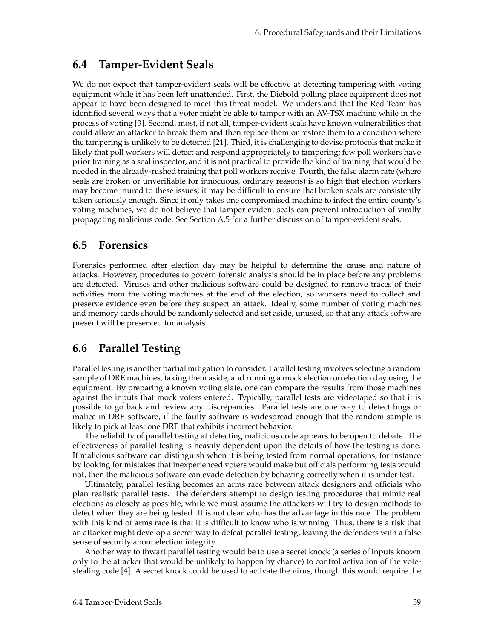## **6.4 Tamper-Evident Seals**

We do not expect that tamper-evident seals will be effective at detecting tampering with voting equipment while it has been left unattended. First, the Diebold polling place equipment does not appear to have been designed to meet this threat model. We understand that the Red Team has identified several ways that a voter might be able to tamper with an AV-TSX machine while in the process of voting [\[3\]](#page-83-1). Second, most, if not all, tamper-evident seals have known vulnerabilities that could allow an attacker to break them and then replace them or restore them to a condition where the tampering is unlikely to be detected [\[21\]](#page-84-12). Third, it is challenging to devise protocols that make it likely that poll workers will detect and respond appropriately to tampering; few poll workers have prior training as a seal inspector, and it is not practical to provide the kind of training that would be needed in the already-rushed training that poll workers receive. Fourth, the false alarm rate (where seals are broken or unverifiable for innocuous, ordinary reasons) is so high that election workers may become inured to these issues; it may be difficult to ensure that broken seals are consistently taken seriously enough. Since it only takes one compromised machine to infect the entire county's voting machines, we do not believe that tamper-evident seals can prevent introduction of virally propagating malicious code. See Section [A.5](#page-81-0) for a further discussion of tamper-evident seals.

## **6.5 Forensics**

Forensics performed after election day may be helpful to determine the cause and nature of attacks. However, procedures to govern forensic analysis should be in place before any problems are detected. Viruses and other malicious software could be designed to remove traces of their activities from the voting machines at the end of the election, so workers need to collect and preserve evidence even before they suspect an attack. Ideally, some number of voting machines and memory cards should be randomly selected and set aside, unused, so that any attack software present will be preserved for analysis.

## **6.6 Parallel Testing**

Parallel testing is another partial mitigation to consider. Parallel testing involves selecting a random sample of DRE machines, taking them aside, and running a mock election on election day using the equipment. By preparing a known voting slate, one can compare the results from those machines against the inputs that mock voters entered. Typically, parallel tests are videotaped so that it is possible to go back and review any discrepancies. Parallel tests are one way to detect bugs or malice in DRE software, if the faulty software is widespread enough that the random sample is likely to pick at least one DRE that exhibits incorrect behavior.

The reliability of parallel testing at detecting malicious code appears to be open to debate. The effectiveness of parallel testing is heavily dependent upon the details of how the testing is done. If malicious software can distinguish when it is being tested from normal operations, for instance by looking for mistakes that inexperienced voters would make but officials performing tests would not, then the malicious software can evade detection by behaving correctly when it is under test.

Ultimately, parallel testing becomes an arms race between attack designers and officials who plan realistic parallel tests. The defenders attempt to design testing procedures that mimic real elections as closely as possible, while we must assume the attackers will try to design methods to detect when they are being tested. It is not clear who has the advantage in this race. The problem with this kind of arms race is that it is difficult to know who is winning. Thus, there is a risk that an attacker might develop a secret way to defeat parallel testing, leaving the defenders with a false sense of security about election integrity.

Another way to thwart parallel testing would be to use a secret knock (a series of inputs known only to the attacker that would be unlikely to happen by chance) to control activation of the votestealing code [\[4\]](#page-83-9). A secret knock could be used to activate the virus, though this would require the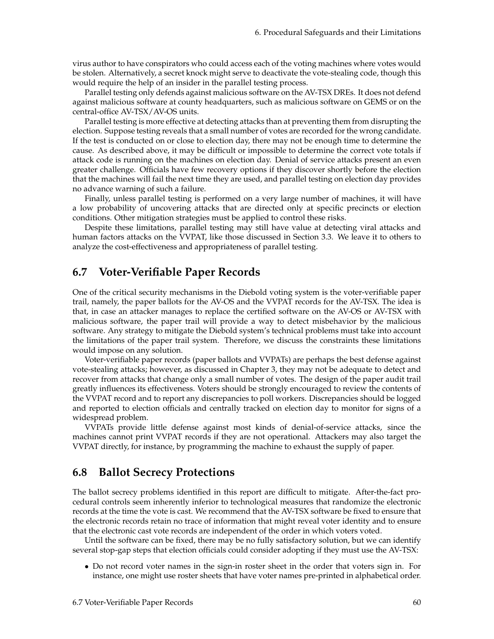virus author to have conspirators who could access each of the voting machines where votes would be stolen. Alternatively, a secret knock might serve to deactivate the vote-stealing code, though this would require the help of an insider in the parallel testing process.

Parallel testing only defends against malicious software on the AV-TSX DREs. It does not defend against malicious software at county headquarters, such as malicious software on GEMS or on the central-office AV-TSX/AV-OS units.

Parallel testing is more effective at detecting attacks than at preventing them from disrupting the election. Suppose testing reveals that a small number of votes are recorded for the wrong candidate. If the test is conducted on or close to election day, there may not be enough time to determine the cause. As described above, it may be difficult or impossible to determine the correct vote totals if attack code is running on the machines on election day. Denial of service attacks present an even greater challenge. Officials have few recovery options if they discover shortly before the election that the machines will fail the next time they are used, and parallel testing on election day provides no advance warning of such a failure.

Finally, unless parallel testing is performed on a very large number of machines, it will have a low probability of uncovering attacks that are directed only at specific precincts or election conditions. Other mitigation strategies must be applied to control these risks.

Despite these limitations, parallel testing may still have value at detecting viral attacks and human factors attacks on the VVPAT, like those discussed in Section [3.3.](#page-20-0) We leave it to others to analyze the cost-effectiveness and appropriateness of parallel testing.

### **6.7 Voter-Verifiable Paper Records**

One of the critical security mechanisms in the Diebold voting system is the voter-verifiable paper trail, namely, the paper ballots for the AV-OS and the VVPAT records for the AV-TSX. The idea is that, in case an attacker manages to replace the certified software on the AV-OS or AV-TSX with malicious software, the paper trail will provide a way to detect misbehavior by the malicious software. Any strategy to mitigate the Diebold system's technical problems must take into account the limitations of the paper trail system. Therefore, we discuss the constraints these limitations would impose on any solution.

Voter-verifiable paper records (paper ballots and VVPATs) are perhaps the best defense against vote-stealing attacks; however, as discussed in Chapter [3,](#page-16-1) they may not be adequate to detect and recover from attacks that change only a small number of votes. The design of the paper audit trail greatly influences its effectiveness. Voters should be strongly encouraged to review the contents of the VVPAT record and to report any discrepancies to poll workers. Discrepancies should be logged and reported to election officials and centrally tracked on election day to monitor for signs of a widespread problem.

VVPATs provide little defense against most kinds of denial-of-service attacks, since the machines cannot print VVPAT records if they are not operational. Attackers may also target the VVPAT directly, for instance, by programming the machine to exhaust the supply of paper.

### **6.8 Ballot Secrecy Protections**

The ballot secrecy problems identified in this report are difficult to mitigate. After-the-fact procedural controls seem inherently inferior to technological measures that randomize the electronic records at the time the vote is cast. We recommend that the AV-TSX software be fixed to ensure that the electronic records retain no trace of information that might reveal voter identity and to ensure that the electronic cast vote records are independent of the order in which voters voted.

Until the software can be fixed, there may be no fully satisfactory solution, but we can identify several stop-gap steps that election officials could consider adopting if they must use the AV-TSX:

• Do not record voter names in the sign-in roster sheet in the order that voters sign in. For instance, one might use roster sheets that have voter names pre-printed in alphabetical order.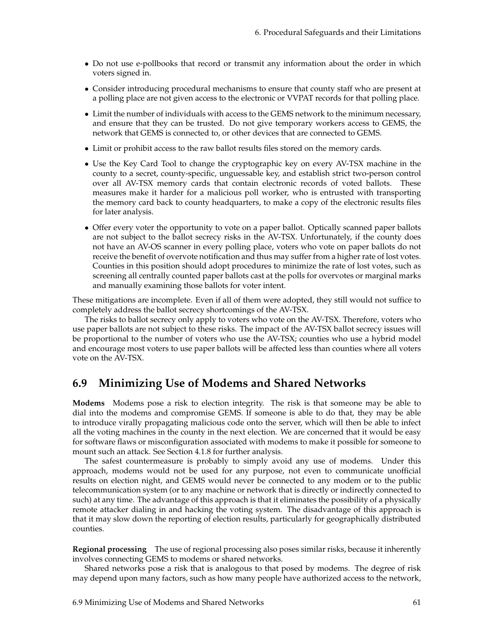- Do not use e-pollbooks that record or transmit any information about the order in which voters signed in.
- Consider introducing procedural mechanisms to ensure that county staff who are present at a polling place are not given access to the electronic or VVPAT records for that polling place.
- Limit the number of individuals with access to the GEMS network to the minimum necessary, and ensure that they can be trusted. Do not give temporary workers access to GEMS, the network that GEMS is connected to, or other devices that are connected to GEMS.
- Limit or prohibit access to the raw ballot results files stored on the memory cards.
- Use the Key Card Tool to change the cryptographic key on every AV-TSX machine in the county to a secret, county-specific, unguessable key, and establish strict two-person control over all AV-TSX memory cards that contain electronic records of voted ballots. These measures make it harder for a malicious poll worker, who is entrusted with transporting the memory card back to county headquarters, to make a copy of the electronic results files for later analysis.
- Offer every voter the opportunity to vote on a paper ballot. Optically scanned paper ballots are not subject to the ballot secrecy risks in the AV-TSX. Unfortunately, if the county does not have an AV-OS scanner in every polling place, voters who vote on paper ballots do not receive the benefit of overvote notification and thus may suffer from a higher rate of lost votes. Counties in this position should adopt procedures to minimize the rate of lost votes, such as screening all centrally counted paper ballots cast at the polls for overvotes or marginal marks and manually examining those ballots for voter intent.

These mitigations are incomplete. Even if all of them were adopted, they still would not suffice to completely address the ballot secrecy shortcomings of the AV-TSX.

The risks to ballot secrecy only apply to voters who vote on the AV-TSX. Therefore, voters who use paper ballots are not subject to these risks. The impact of the AV-TSX ballot secrecy issues will be proportional to the number of voters who use the AV-TSX; counties who use a hybrid model and encourage most voters to use paper ballots will be affected less than counties where all voters vote on the AV-TSX.

## **6.9 Minimizing Use of Modems and Shared Networks**

**Modems** Modems pose a risk to election integrity. The risk is that someone may be able to dial into the modems and compromise GEMS. If someone is able to do that, they may be able to introduce virally propagating malicious code onto the server, which will then be able to infect all the voting machines in the county in the next election. We are concerned that it would be easy for software flaws or misconfiguration associated with modems to make it possible for someone to mount such an attack. See Section [4.1.8](#page-30-0) for further analysis.

The safest countermeasure is probably to simply avoid any use of modems. Under this approach, modems would not be used for any purpose, not even to communicate unofficial results on election night, and GEMS would never be connected to any modem or to the public telecommunication system (or to any machine or network that is directly or indirectly connected to such) at any time. The advantage of this approach is that it eliminates the possibility of a physically remote attacker dialing in and hacking the voting system. The disadvantage of this approach is that it may slow down the reporting of election results, particularly for geographically distributed counties.

**Regional processing** The use of regional processing also poses similar risks, because it inherently involves connecting GEMS to modems or shared networks.

Shared networks pose a risk that is analogous to that posed by modems. The degree of risk may depend upon many factors, such as how many people have authorized access to the network,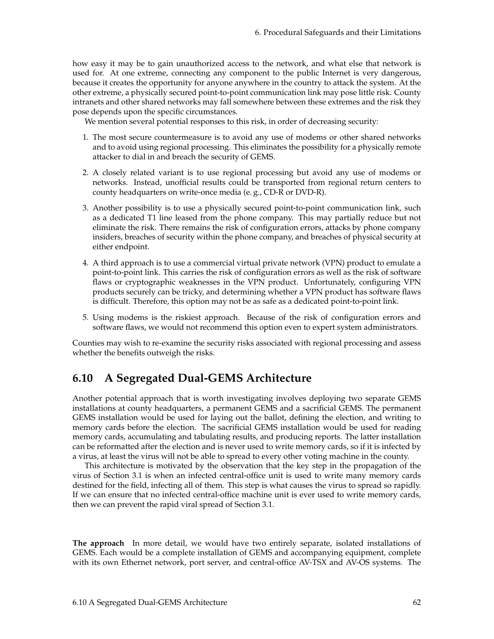how easy it may be to gain unauthorized access to the network, and what else that network is used for. At one extreme, connecting any component to the public Internet is very dangerous, because it creates the opportunity for anyone anywhere in the country to attack the system. At the other extreme, a physically secured point-to-point communication link may pose little risk. County intranets and other shared networks may fall somewhere between these extremes and the risk they pose depends upon the specific circumstances.

We mention several potential responses to this risk, in order of decreasing security:

- 1. The most secure countermeasure is to avoid any use of modems or other shared networks and to avoid using regional processing. This eliminates the possibility for a physically remote attacker to dial in and breach the security of GEMS.
- 2. A closely related variant is to use regional processing but avoid any use of modems or networks. Instead, unofficial results could be transported from regional return centers to county headquarters on write-once media (e. g., CD-R or DVD-R).
- 3. Another possibility is to use a physically secured point-to-point communication link, such as a dedicated T1 line leased from the phone company. This may partially reduce but not eliminate the risk. There remains the risk of configuration errors, attacks by phone company insiders, breaches of security within the phone company, and breaches of physical security at either endpoint.
- 4. A third approach is to use a commercial virtual private network (VPN) product to emulate a point-to-point link. This carries the risk of configuration errors as well as the risk of software flaws or cryptographic weaknesses in the VPN product. Unfortunately, configuring VPN products securely can be tricky, and determining whether a VPN product has software flaws is difficult. Therefore, this option may not be as safe as a dedicated point-to-point link.
- 5. Using modems is the riskiest approach. Because of the risk of configuration errors and software flaws, we would not recommend this option even to expert system administrators.

Counties may wish to re-examine the security risks associated with regional processing and assess whether the benefits outweigh the risks.

## **6.10 A Segregated Dual-GEMS Architecture**

Another potential approach that is worth investigating involves deploying two separate GEMS installations at county headquarters, a permanent GEMS and a sacrificial GEMS. The permanent GEMS installation would be used for laying out the ballot, defining the election, and writing to memory cards before the election. The sacrificial GEMS installation would be used for reading memory cards, accumulating and tabulating results, and producing reports. The latter installation can be reformatted after the election and is never used to write memory cards, so if it is infected by a virus, at least the virus will not be able to spread to every other voting machine in the county.

This architecture is motivated by the observation that the key step in the propagation of the virus of Section [3.1](#page-16-0) is when an infected central-office unit is used to write many memory cards destined for the field, infecting all of them. This step is what causes the virus to spread so rapidly. If we can ensure that no infected central-office machine unit is ever used to write memory cards, then we can prevent the rapid viral spread of Section [3.1.](#page-16-0)

**The approach** In more detail, we would have two entirely separate, isolated installations of GEMS. Each would be a complete installation of GEMS and accompanying equipment, complete with its own Ethernet network, port server, and central-office AV-TSX and AV-OS systems. The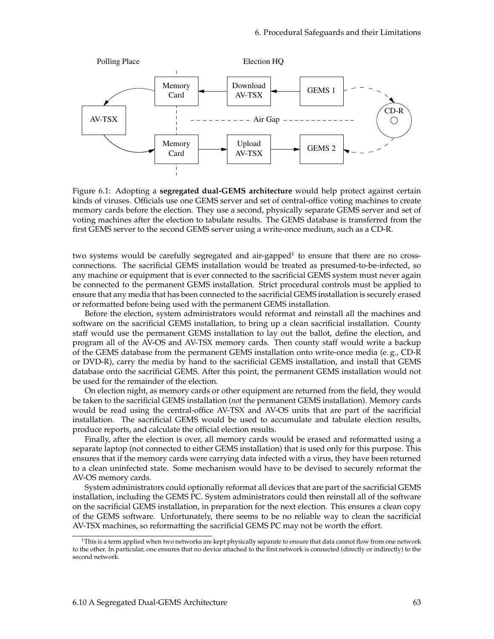

Figure 6.1: Adopting a **segregated dual-GEMS architecture** would help protect against certain kinds of viruses. Officials use one GEMS server and set of central-office voting machines to create memory cards before the election. They use a second, physically separate GEMS server and set of voting machines after the election to tabulate results. The GEMS database is transferred from the first GEMS server to the second GEMS server using a write-once medium, such as a CD-R.

two systems would be carefully segregated and air-gapped $^1$  $^1$  to ensure that there are no crossconnections. The sacrificial GEMS installation would be treated as presumed-to-be-infected, so any machine or equipment that is ever connected to the sacrificial GEMS system must never again be connected to the permanent GEMS installation. Strict procedural controls must be applied to ensure that any media that has been connected to the sacrificial GEMS installation is securely erased or reformatted before being used with the permanent GEMS installation.

Before the election, system administrators would reformat and reinstall all the machines and software on the sacrificial GEMS installation, to bring up a clean sacrificial installation. County staff would use the permanent GEMS installation to lay out the ballot, define the election, and program all of the AV-OS and AV-TSX memory cards. Then county staff would write a backup of the GEMS database from the permanent GEMS installation onto write-once media (e. g., CD-R or DVD-R), carry the media by hand to the sacrificial GEMS installation, and install that GEMS database onto the sacrificial GEMS. After this point, the permanent GEMS installation would not be used for the remainder of the election.

On election night, as memory cards or other equipment are returned from the field, they would be taken to the sacrificial GEMS installation (*not* the permanent GEMS installation). Memory cards would be read using the central-office AV-TSX and AV-OS units that are part of the sacrificial installation. The sacrificial GEMS would be used to accumulate and tabulate election results, produce reports, and calculate the official election results.

Finally, after the election is over, all memory cards would be erased and reformatted using a separate laptop (not connected to either GEMS installation) that is used only for this purpose. This ensures that if the memory cards were carrying data infected with a virus, they have been returned to a clean uninfected state. Some mechanism would have to be devised to securely reformat the AV-OS memory cards.

System administrators could optionally reformat all devices that are part of the sacrificial GEMS installation, including the GEMS PC. System administrators could then reinstall all of the software on the sacrificial GEMS installation, in preparation for the next election. This ensures a clean copy of the GEMS software. Unfortunately, there seems to be no reliable way to clean the sacrificial AV-TSX machines, so reformatting the sacrificial GEMS PC may not be worth the effort.

<span id="page-69-0"></span><sup>1</sup>This is a term applied when two networks are kept physically separate to ensure that data cannot flow from one network to the other. In particular, one ensures that no device attached to the first network is connected (directly or indirectly) to the second network.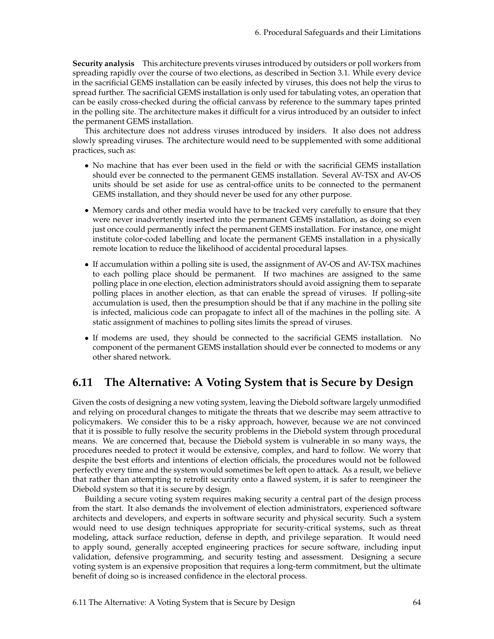**Security analysis** This architecture prevents viruses introduced by outsiders or poll workers from spreading rapidly over the course of two elections, as described in Section [3.1.](#page-16-0) While every device in the sacrificial GEMS installation can be easily infected by viruses, this does not help the virus to spread further. The sacrificial GEMS installation is only used for tabulating votes, an operation that can be easily cross-checked during the official canvass by reference to the summary tapes printed in the polling site. The architecture makes it difficult for a virus introduced by an outsider to infect the permanent GEMS installation.

This architecture does not address viruses introduced by insiders. It also does not address slowly spreading viruses. The architecture would need to be supplemented with some additional practices, such as:

- No machine that has ever been used in the field or with the sacrificial GEMS installation should ever be connected to the permanent GEMS installation. Several AV-TSX and AV-OS units should be set aside for use as central-office units to be connected to the permanent GEMS installation, and they should never be used for any other purpose.
- Memory cards and other media would have to be tracked very carefully to ensure that they were never inadvertently inserted into the permanent GEMS installation, as doing so even just once could permanently infect the permanent GEMS installation. For instance, one might institute color-coded labelling and locate the permanent GEMS installation in a physically remote location to reduce the likelihood of accidental procedural lapses.
- If accumulation within a polling site is used, the assignment of AV-OS and AV-TSX machines to each polling place should be permanent. If two machines are assigned to the same polling place in one election, election administrators should avoid assigning them to separate polling places in another election, as that can enable the spread of viruses. If polling-site accumulation is used, then the presumption should be that if any machine in the polling site is infected, malicious code can propagate to infect all of the machines in the polling site. A static assignment of machines to polling sites limits the spread of viruses.
- If modems are used, they should be connected to the sacrificial GEMS installation. No component of the permanent GEMS installation should ever be connected to modems or any other shared network.

## **6.11 The Alternative: A Voting System that is Secure by Design**

Given the costs of designing a new voting system, leaving the Diebold software largely unmodified and relying on procedural changes to mitigate the threats that we describe may seem attractive to policymakers. We consider this to be a risky approach, however, because we are not convinced that it is possible to fully resolve the security problems in the Diebold system through procedural means. We are concerned that, because the Diebold system is vulnerable in so many ways, the procedures needed to protect it would be extensive, complex, and hard to follow. We worry that despite the best efforts and intentions of election officials, the procedures would not be followed perfectly every time and the system would sometimes be left open to attack. As a result, we believe that rather than attempting to retrofit security onto a flawed system, it is safer to reengineer the Diebold system so that it is secure by design.

Building a secure voting system requires making security a central part of the design process from the start. It also demands the involvement of election administrators, experienced software architects and developers, and experts in software security and physical security. Such a system would need to use design techniques appropriate for security-critical systems, such as threat modeling, attack surface reduction, defense in depth, and privilege separation. It would need to apply sound, generally accepted engineering practices for secure software, including input validation, defensive programming, and security testing and assessment. Designing a secure voting system is an expensive proposition that requires a long-term commitment, but the ultimate benefit of doing so is increased confidence in the electoral process.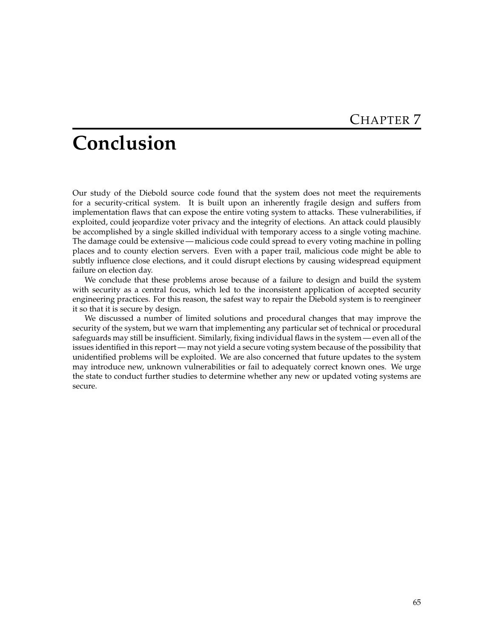# **Conclusion**

Our study of the Diebold source code found that the system does not meet the requirements for a security-critical system. It is built upon an inherently fragile design and suffers from implementation flaws that can expose the entire voting system to attacks. These vulnerabilities, if exploited, could jeopardize voter privacy and the integrity of elections. An attack could plausibly be accomplished by a single skilled individual with temporary access to a single voting machine. The damage could be extensive — malicious code could spread to every voting machine in polling places and to county election servers. Even with a paper trail, malicious code might be able to subtly influence close elections, and it could disrupt elections by causing widespread equipment failure on election day.

We conclude that these problems arose because of a failure to design and build the system with security as a central focus, which led to the inconsistent application of accepted security engineering practices. For this reason, the safest way to repair the Diebold system is to reengineer it so that it is secure by design.

We discussed a number of limited solutions and procedural changes that may improve the security of the system, but we warn that implementing any particular set of technical or procedural safeguards may still be insufficient. Similarly, fixing individual flaws in the system — even all of the issues identified in this report — may not yield a secure voting system because of the possibility that unidentified problems will be exploited. We are also concerned that future updates to the system may introduce new, unknown vulnerabilities or fail to adequately correct known ones. We urge the state to conduct further studies to determine whether any new or updated voting systems are secure.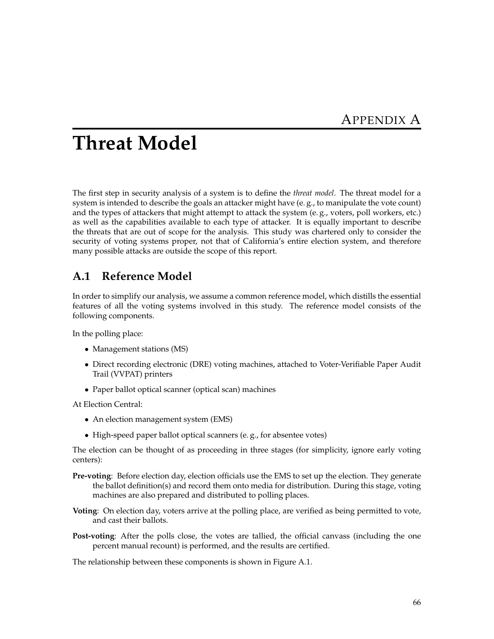# **Threat Model**

The first step in security analysis of a system is to define the *threat model*. The threat model for a system is intended to describe the goals an attacker might have (e. g., to manipulate the vote count) and the types of attackers that might attempt to attack the system (e. g., voters, poll workers, etc.) as well as the capabilities available to each type of attacker. It is equally important to describe the threats that are out of scope for the analysis. This study was chartered only to consider the security of voting systems proper, not that of California's entire election system, and therefore many possible attacks are outside the scope of this report.

## **A.1 Reference Model**

In order to simplify our analysis, we assume a common reference model, which distills the essential features of all the voting systems involved in this study. The reference model consists of the following components.

In the polling place:

- Management stations (MS)
- Direct recording electronic (DRE) voting machines, attached to Voter-Verifiable Paper Audit Trail (VVPAT) printers
- Paper ballot optical scanner (optical scan) machines

At Election Central:

- An election management system (EMS)
- High-speed paper ballot optical scanners (e. g., for absentee votes)

The election can be thought of as proceeding in three stages (for simplicity, ignore early voting centers):

- **Pre-voting**: Before election day, election officials use the EMS to set up the election. They generate the ballot definition(s) and record them onto media for distribution. During this stage, voting machines are also prepared and distributed to polling places.
- **Voting**: On election day, voters arrive at the polling place, are verified as being permitted to vote, and cast their ballots.
- **Post-voting**: After the polls close, the votes are tallied, the official canvass (including the one percent manual recount) is performed, and the results are certified.

The relationship between these components is shown in Figure [A.1.](#page-73-0)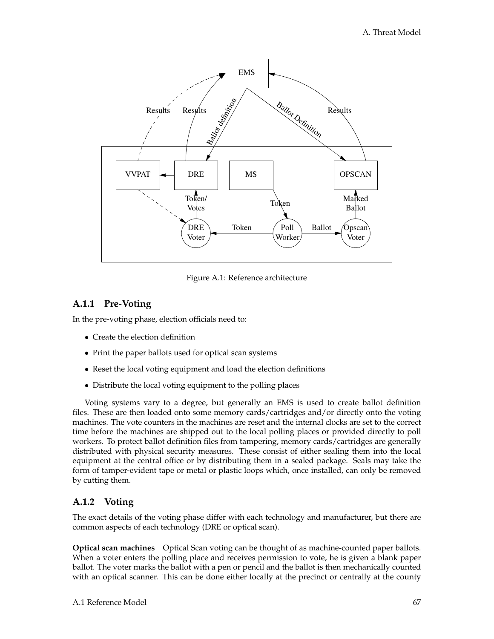

<span id="page-73-0"></span>Figure A.1: Reference architecture

### **A.1.1 Pre-Voting**

In the pre-voting phase, election officials need to:

- Create the election definition
- Print the paper ballots used for optical scan systems
- Reset the local voting equipment and load the election definitions
- Distribute the local voting equipment to the polling places

Voting systems vary to a degree, but generally an EMS is used to create ballot definition files. These are then loaded onto some memory cards/cartridges and/or directly onto the voting machines. The vote counters in the machines are reset and the internal clocks are set to the correct time before the machines are shipped out to the local polling places or provided directly to poll workers. To protect ballot definition files from tampering, memory cards/cartridges are generally distributed with physical security measures. These consist of either sealing them into the local equipment at the central office or by distributing them in a sealed package. Seals may take the form of tamper-evident tape or metal or plastic loops which, once installed, can only be removed by cutting them.

### **A.1.2 Voting**

The exact details of the voting phase differ with each technology and manufacturer, but there are common aspects of each technology (DRE or optical scan).

**Optical scan machines** Optical Scan voting can be thought of as machine-counted paper ballots. When a voter enters the polling place and receives permission to vote, he is given a blank paper ballot. The voter marks the ballot with a pen or pencil and the ballot is then mechanically counted with an optical scanner. This can be done either locally at the precinct or centrally at the county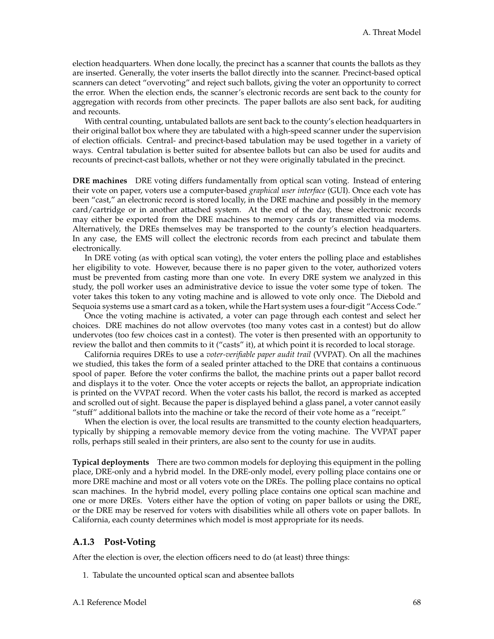election headquarters. When done locally, the precinct has a scanner that counts the ballots as they are inserted. Generally, the voter inserts the ballot directly into the scanner. Precinct-based optical scanners can detect "overvoting" and reject such ballots, giving the voter an opportunity to correct the error. When the election ends, the scanner's electronic records are sent back to the county for aggregation with records from other precincts. The paper ballots are also sent back, for auditing and recounts.

With central counting, untabulated ballots are sent back to the county's election headquarters in their original ballot box where they are tabulated with a high-speed scanner under the supervision of election officials. Central- and precinct-based tabulation may be used together in a variety of ways. Central tabulation is better suited for absentee ballots but can also be used for audits and recounts of precinct-cast ballots, whether or not they were originally tabulated in the precinct.

**DRE machines** DRE voting differs fundamentally from optical scan voting. Instead of entering their vote on paper, voters use a computer-based *graphical user interface* (GUI). Once each vote has been "cast," an electronic record is stored locally, in the DRE machine and possibly in the memory card/cartridge or in another attached system. At the end of the day, these electronic records may either be exported from the DRE machines to memory cards or transmitted via modems. Alternatively, the DREs themselves may be transported to the county's election headquarters. In any case, the EMS will collect the electronic records from each precinct and tabulate them electronically.

In DRE voting (as with optical scan voting), the voter enters the polling place and establishes her eligibility to vote. However, because there is no paper given to the voter, authorized voters must be prevented from casting more than one vote. In every DRE system we analyzed in this study, the poll worker uses an administrative device to issue the voter some type of token. The voter takes this token to any voting machine and is allowed to vote only once. The Diebold and Sequoia systems use a smart card as a token, while the Hart system uses a four-digit "Access Code."

Once the voting machine is activated, a voter can page through each contest and select her choices. DRE machines do not allow overvotes (too many votes cast in a contest) but do allow undervotes (too few choices cast in a contest). The voter is then presented with an opportunity to review the ballot and then commits to it ("casts" it), at which point it is recorded to local storage.

California requires DREs to use a *voter-verifiable paper audit trail* (VVPAT). On all the machines we studied, this takes the form of a sealed printer attached to the DRE that contains a continuous spool of paper. Before the voter confirms the ballot, the machine prints out a paper ballot record and displays it to the voter. Once the voter accepts or rejects the ballot, an appropriate indication is printed on the VVPAT record. When the voter casts his ballot, the record is marked as accepted and scrolled out of sight. Because the paper is displayed behind a glass panel, a voter cannot easily "stuff" additional ballots into the machine or take the record of their vote home as a "receipt."

When the election is over, the local results are transmitted to the county election headquarters, typically by shipping a removable memory device from the voting machine. The VVPAT paper rolls, perhaps still sealed in their printers, are also sent to the county for use in audits.

**Typical deployments** There are two common models for deploying this equipment in the polling place, DRE-only and a hybrid model. In the DRE-only model, every polling place contains one or more DRE machine and most or all voters vote on the DREs. The polling place contains no optical scan machines. In the hybrid model, every polling place contains one optical scan machine and one or more DREs. Voters either have the option of voting on paper ballots or using the DRE, or the DRE may be reserved for voters with disabilities while all others vote on paper ballots. In California, each county determines which model is most appropriate for its needs.

#### **A.1.3 Post-Voting**

After the election is over, the election officers need to do (at least) three things:

1. Tabulate the uncounted optical scan and absentee ballots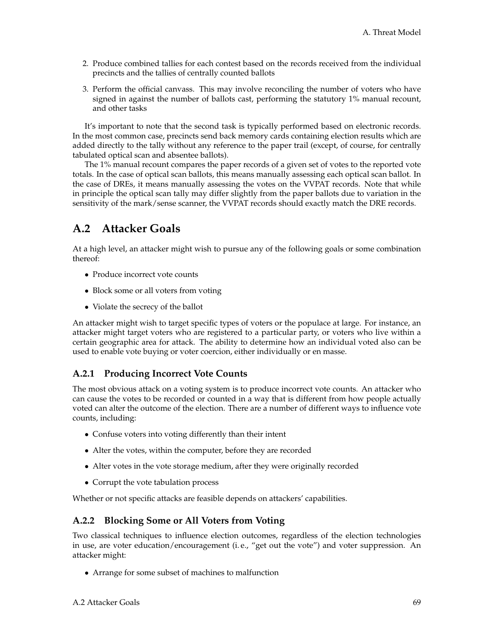- 2. Produce combined tallies for each contest based on the records received from the individual precincts and the tallies of centrally counted ballots
- 3. Perform the official canvass. This may involve reconciling the number of voters who have signed in against the number of ballots cast, performing the statutory 1% manual recount, and other tasks

It's important to note that the second task is typically performed based on electronic records. In the most common case, precincts send back memory cards containing election results which are added directly to the tally without any reference to the paper trail (except, of course, for centrally tabulated optical scan and absentee ballots).

The 1% manual recount compares the paper records of a given set of votes to the reported vote totals. In the case of optical scan ballots, this means manually assessing each optical scan ballot. In the case of DREs, it means manually assessing the votes on the VVPAT records. Note that while in principle the optical scan tally may differ slightly from the paper ballots due to variation in the sensitivity of the mark/sense scanner, the VVPAT records should exactly match the DRE records.

### **A.2 Attacker Goals**

At a high level, an attacker might wish to pursue any of the following goals or some combination thereof:

- Produce incorrect vote counts
- Block some or all voters from voting
- Violate the secrecy of the ballot

An attacker might wish to target specific types of voters or the populace at large. For instance, an attacker might target voters who are registered to a particular party, or voters who live within a certain geographic area for attack. The ability to determine how an individual voted also can be used to enable vote buying or voter coercion, either individually or en masse.

### **A.2.1 Producing Incorrect Vote Counts**

The most obvious attack on a voting system is to produce incorrect vote counts. An attacker who can cause the votes to be recorded or counted in a way that is different from how people actually voted can alter the outcome of the election. There are a number of different ways to influence vote counts, including:

- Confuse voters into voting differently than their intent
- Alter the votes, within the computer, before they are recorded
- Alter votes in the vote storage medium, after they were originally recorded
- Corrupt the vote tabulation process

Whether or not specific attacks are feasible depends on attackers' capabilities.

### **A.2.2 Blocking Some or All Voters from Voting**

Two classical techniques to influence election outcomes, regardless of the election technologies in use, are voter education/encouragement (i. e., "get out the vote") and voter suppression. An attacker might:

• Arrange for some subset of machines to malfunction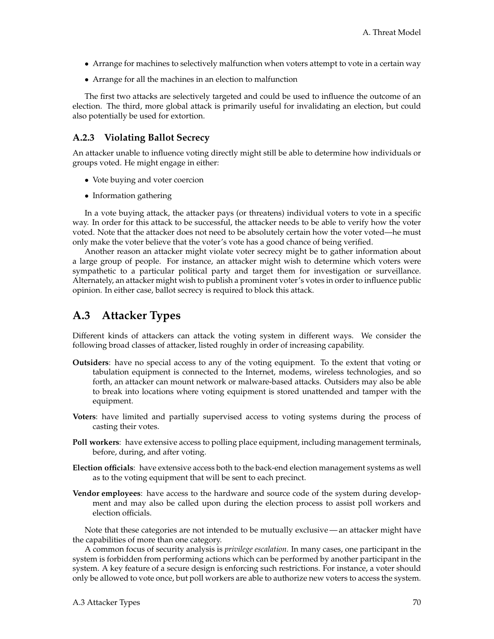- Arrange for machines to selectively malfunction when voters attempt to vote in a certain way
- Arrange for all the machines in an election to malfunction

The first two attacks are selectively targeted and could be used to influence the outcome of an election. The third, more global attack is primarily useful for invalidating an election, but could also potentially be used for extortion.

### **A.2.3 Violating Ballot Secrecy**

An attacker unable to influence voting directly might still be able to determine how individuals or groups voted. He might engage in either:

- Vote buying and voter coercion
- Information gathering

In a vote buying attack, the attacker pays (or threatens) individual voters to vote in a specific way. In order for this attack to be successful, the attacker needs to be able to verify how the voter voted. Note that the attacker does not need to be absolutely certain how the voter voted—he must only make the voter believe that the voter's vote has a good chance of being verified.

Another reason an attacker might violate voter secrecy might be to gather information about a large group of people. For instance, an attacker might wish to determine which voters were sympathetic to a particular political party and target them for investigation or surveillance. Alternately, an attacker might wish to publish a prominent voter's votes in order to influence public opinion. In either case, ballot secrecy is required to block this attack.

# **A.3 Attacker Types**

Different kinds of attackers can attack the voting system in different ways. We consider the following broad classes of attacker, listed roughly in order of increasing capability.

- **Outsiders**: have no special access to any of the voting equipment. To the extent that voting or tabulation equipment is connected to the Internet, modems, wireless technologies, and so forth, an attacker can mount network or malware-based attacks. Outsiders may also be able to break into locations where voting equipment is stored unattended and tamper with the equipment.
- **Voters**: have limited and partially supervised access to voting systems during the process of casting their votes.
- **Poll workers**: have extensive access to polling place equipment, including management terminals, before, during, and after voting.
- **Election officials**: have extensive access both to the back-end election management systems as well as to the voting equipment that will be sent to each precinct.
- **Vendor employees**: have access to the hardware and source code of the system during development and may also be called upon during the election process to assist poll workers and election officials.

Note that these categories are not intended to be mutually exclusive — an attacker might have the capabilities of more than one category.

A common focus of security analysis is *privilege escalation*. In many cases, one participant in the system is forbidden from performing actions which can be performed by another participant in the system. A key feature of a secure design is enforcing such restrictions. For instance, a voter should only be allowed to vote once, but poll workers are able to authorize new voters to access the system.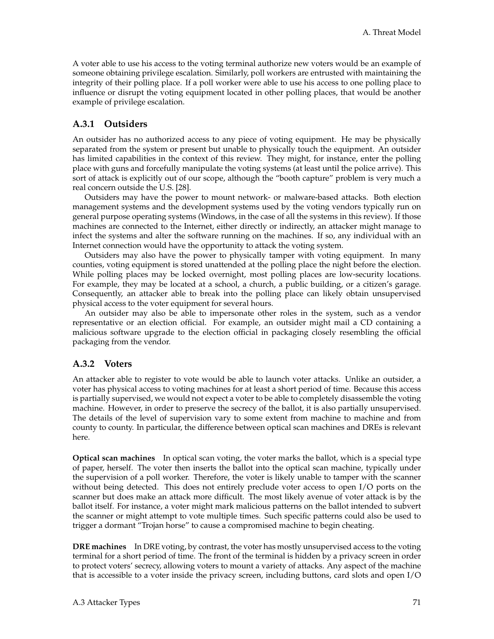A voter able to use his access to the voting terminal authorize new voters would be an example of someone obtaining privilege escalation. Similarly, poll workers are entrusted with maintaining the integrity of their polling place. If a poll worker were able to use his access to one polling place to influence or disrupt the voting equipment located in other polling places, that would be another example of privilege escalation.

### **A.3.1 Outsiders**

An outsider has no authorized access to any piece of voting equipment. He may be physically separated from the system or present but unable to physically touch the equipment. An outsider has limited capabilities in the context of this review. They might, for instance, enter the polling place with guns and forcefully manipulate the voting systems (at least until the police arrive). This sort of attack is explicitly out of our scope, although the "booth capture" problem is very much a real concern outside the U.S. [\[28\]](#page-84-0).

Outsiders may have the power to mount network- or malware-based attacks. Both election management systems and the development systems used by the voting vendors typically run on general purpose operating systems (Windows, in the case of all the systems in this review). If those machines are connected to the Internet, either directly or indirectly, an attacker might manage to infect the systems and alter the software running on the machines. If so, any individual with an Internet connection would have the opportunity to attack the voting system.

Outsiders may also have the power to physically tamper with voting equipment. In many counties, voting equipment is stored unattended at the polling place the night before the election. While polling places may be locked overnight, most polling places are low-security locations. For example, they may be located at a school, a church, a public building, or a citizen's garage. Consequently, an attacker able to break into the polling place can likely obtain unsupervised physical access to the voter equipment for several hours.

An outsider may also be able to impersonate other roles in the system, such as a vendor representative or an election official. For example, an outsider might mail a CD containing a malicious software upgrade to the election official in packaging closely resembling the official packaging from the vendor.

### **A.3.2 Voters**

An attacker able to register to vote would be able to launch voter attacks. Unlike an outsider, a voter has physical access to voting machines for at least a short period of time. Because this access is partially supervised, we would not expect a voter to be able to completely disassemble the voting machine. However, in order to preserve the secrecy of the ballot, it is also partially unsupervised. The details of the level of supervision vary to some extent from machine to machine and from county to county. In particular, the difference between optical scan machines and DREs is relevant here.

**Optical scan machines** In optical scan voting, the voter marks the ballot, which is a special type of paper, herself. The voter then inserts the ballot into the optical scan machine, typically under the supervision of a poll worker. Therefore, the voter is likely unable to tamper with the scanner without being detected. This does not entirely preclude voter access to open I/O ports on the scanner but does make an attack more difficult. The most likely avenue of voter attack is by the ballot itself. For instance, a voter might mark malicious patterns on the ballot intended to subvert the scanner or might attempt to vote multiple times. Such specific patterns could also be used to trigger a dormant "Trojan horse" to cause a compromised machine to begin cheating.

**DRE machines** In DRE voting, by contrast, the voter has mostly unsupervised access to the voting terminal for a short period of time. The front of the terminal is hidden by a privacy screen in order to protect voters' secrecy, allowing voters to mount a variety of attacks. Any aspect of the machine that is accessible to a voter inside the privacy screen, including buttons, card slots and open I/O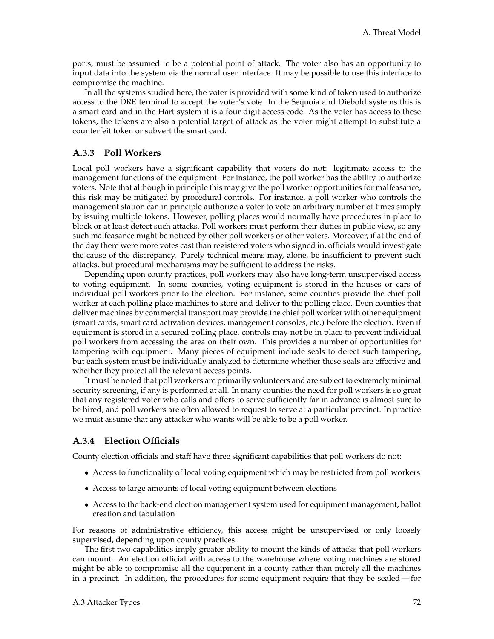ports, must be assumed to be a potential point of attack. The voter also has an opportunity to input data into the system via the normal user interface. It may be possible to use this interface to compromise the machine.

In all the systems studied here, the voter is provided with some kind of token used to authorize access to the DRE terminal to accept the voter's vote. In the Sequoia and Diebold systems this is a smart card and in the Hart system it is a four-digit access code. As the voter has access to these tokens, the tokens are also a potential target of attack as the voter might attempt to substitute a counterfeit token or subvert the smart card.

#### **A.3.3 Poll Workers**

Local poll workers have a significant capability that voters do not: legitimate access to the management functions of the equipment. For instance, the poll worker has the ability to authorize voters. Note that although in principle this may give the poll worker opportunities for malfeasance, this risk may be mitigated by procedural controls. For instance, a poll worker who controls the management station can in principle authorize a voter to vote an arbitrary number of times simply by issuing multiple tokens. However, polling places would normally have procedures in place to block or at least detect such attacks. Poll workers must perform their duties in public view, so any such malfeasance might be noticed by other poll workers or other voters. Moreover, if at the end of the day there were more votes cast than registered voters who signed in, officials would investigate the cause of the discrepancy. Purely technical means may, alone, be insufficient to prevent such attacks, but procedural mechanisms may be sufficient to address the risks.

Depending upon county practices, poll workers may also have long-term unsupervised access to voting equipment. In some counties, voting equipment is stored in the houses or cars of individual poll workers prior to the election. For instance, some counties provide the chief poll worker at each polling place machines to store and deliver to the polling place. Even counties that deliver machines by commercial transport may provide the chief poll worker with other equipment (smart cards, smart card activation devices, management consoles, etc.) before the election. Even if equipment is stored in a secured polling place, controls may not be in place to prevent individual poll workers from accessing the area on their own. This provides a number of opportunities for tampering with equipment. Many pieces of equipment include seals to detect such tampering, but each system must be individually analyzed to determine whether these seals are effective and whether they protect all the relevant access points.

It must be noted that poll workers are primarily volunteers and are subject to extremely minimal security screening, if any is performed at all. In many counties the need for poll workers is so great that any registered voter who calls and offers to serve sufficiently far in advance is almost sure to be hired, and poll workers are often allowed to request to serve at a particular precinct. In practice we must assume that any attacker who wants will be able to be a poll worker.

### **A.3.4 Election Officials**

County election officials and staff have three significant capabilities that poll workers do not:

- Access to functionality of local voting equipment which may be restricted from poll workers
- Access to large amounts of local voting equipment between elections
- Access to the back-end election management system used for equipment management, ballot creation and tabulation

For reasons of administrative efficiency, this access might be unsupervised or only loosely supervised, depending upon county practices.

The first two capabilities imply greater ability to mount the kinds of attacks that poll workers can mount. An election official with access to the warehouse where voting machines are stored might be able to compromise all the equipment in a county rather than merely all the machines in a precinct. In addition, the procedures for some equipment require that they be sealed — for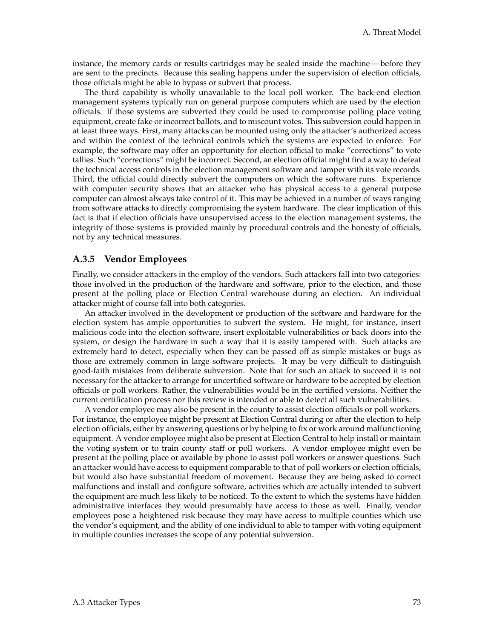instance, the memory cards or results cartridges may be sealed inside the machine — before they are sent to the precincts. Because this sealing happens under the supervision of election officials, those officials might be able to bypass or subvert that process.

The third capability is wholly unavailable to the local poll worker. The back-end election management systems typically run on general purpose computers which are used by the election officials. If those systems are subverted they could be used to compromise polling place voting equipment, create fake or incorrect ballots, and to miscount votes. This subversion could happen in at least three ways. First, many attacks can be mounted using only the attacker's authorized access and within the context of the technical controls which the systems are expected to enforce. For example, the software may offer an opportunity for election official to make "corrections" to vote tallies. Such "corrections" might be incorrect. Second, an election official might find a way to defeat the technical access controls in the election management software and tamper with its vote records. Third, the official could directly subvert the computers on which the software runs. Experience with computer security shows that an attacker who has physical access to a general purpose computer can almost always take control of it. This may be achieved in a number of ways ranging from software attacks to directly compromising the system hardware. The clear implication of this fact is that if election officials have unsupervised access to the election management systems, the integrity of those systems is provided mainly by procedural controls and the honesty of officials, not by any technical measures.

#### **A.3.5 Vendor Employees**

Finally, we consider attackers in the employ of the vendors. Such attackers fall into two categories: those involved in the production of the hardware and software, prior to the election, and those present at the polling place or Election Central warehouse during an election. An individual attacker might of course fall into both categories.

An attacker involved in the development or production of the software and hardware for the election system has ample opportunities to subvert the system. He might, for instance, insert malicious code into the election software, insert exploitable vulnerabilities or back doors into the system, or design the hardware in such a way that it is easily tampered with. Such attacks are extremely hard to detect, especially when they can be passed off as simple mistakes or bugs as those are extremely common in large software projects. It may be very difficult to distinguish good-faith mistakes from deliberate subversion. Note that for such an attack to succeed it is not necessary for the attacker to arrange for uncertified software or hardware to be accepted by election officials or poll workers. Rather, the vulnerabilities would be in the certified versions. Neither the current certification process nor this review is intended or able to detect all such vulnerabilities.

A vendor employee may also be present in the county to assist election officials or poll workers. For instance, the employee might be present at Election Central during or after the election to help election officials, either by answering questions or by helping to fix or work around malfunctioning equipment. A vendor employee might also be present at Election Central to help install or maintain the voting system or to train county staff or poll workers. A vendor employee might even be present at the polling place or available by phone to assist poll workers or answer questions. Such an attacker would have access to equipment comparable to that of poll workers or election officials, but would also have substantial freedom of movement. Because they are being asked to correct malfunctions and install and configure software, activities which are actually intended to subvert the equipment are much less likely to be noticed. To the extent to which the systems have hidden administrative interfaces they would presumably have access to those as well. Finally, vendor employees pose a heightened risk because they may have access to multiple counties which use the vendor's equipment, and the ability of one individual to able to tamper with voting equipment in multiple counties increases the scope of any potential subversion.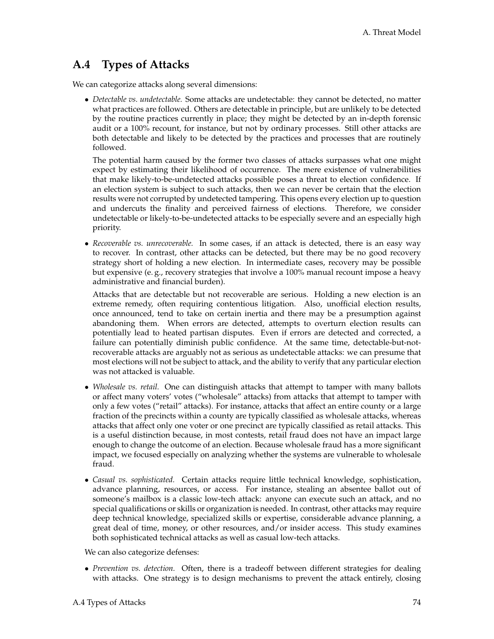# **A.4 Types of Attacks**

We can categorize attacks along several dimensions:

• *Detectable vs. undetectable.* Some attacks are undetectable: they cannot be detected, no matter what practices are followed. Others are detectable in principle, but are unlikely to be detected by the routine practices currently in place; they might be detected by an in-depth forensic audit or a 100% recount, for instance, but not by ordinary processes. Still other attacks are both detectable and likely to be detected by the practices and processes that are routinely followed.

The potential harm caused by the former two classes of attacks surpasses what one might expect by estimating their likelihood of occurrence. The mere existence of vulnerabilities that make likely-to-be-undetected attacks possible poses a threat to election confidence. If an election system is subject to such attacks, then we can never be certain that the election results were not corrupted by undetected tampering. This opens every election up to question and undercuts the finality and perceived fairness of elections. Therefore, we consider undetectable or likely-to-be-undetected attacks to be especially severe and an especially high priority.

• *Recoverable vs. unrecoverable.* In some cases, if an attack is detected, there is an easy way to recover. In contrast, other attacks can be detected, but there may be no good recovery strategy short of holding a new election. In intermediate cases, recovery may be possible but expensive (e. g., recovery strategies that involve a 100% manual recount impose a heavy administrative and financial burden).

Attacks that are detectable but not recoverable are serious. Holding a new election is an extreme remedy, often requiring contentious litigation. Also, unofficial election results, once announced, tend to take on certain inertia and there may be a presumption against abandoning them. When errors are detected, attempts to overturn election results can potentially lead to heated partisan disputes. Even if errors are detected and corrected, a failure can potentially diminish public confidence. At the same time, detectable-but-notrecoverable attacks are arguably not as serious as undetectable attacks: we can presume that most elections will not be subject to attack, and the ability to verify that any particular election was not attacked is valuable.

- *Wholesale vs. retail.* One can distinguish attacks that attempt to tamper with many ballots or affect many voters' votes ("wholesale" attacks) from attacks that attempt to tamper with only a few votes ("retail" attacks). For instance, attacks that affect an entire county or a large fraction of the precincts within a county are typically classified as wholesale attacks, whereas attacks that affect only one voter or one precinct are typically classified as retail attacks. This is a useful distinction because, in most contests, retail fraud does not have an impact large enough to change the outcome of an election. Because wholesale fraud has a more significant impact, we focused especially on analyzing whether the systems are vulnerable to wholesale fraud.
- *Casual vs. sophisticated.* Certain attacks require little technical knowledge, sophistication, advance planning, resources, or access. For instance, stealing an absentee ballot out of someone's mailbox is a classic low-tech attack: anyone can execute such an attack, and no special qualifications or skills or organization is needed. In contrast, other attacks may require deep technical knowledge, specialized skills or expertise, considerable advance planning, a great deal of time, money, or other resources, and/or insider access. This study examines both sophisticated technical attacks as well as casual low-tech attacks.

We can also categorize defenses:

• *Prevention vs. detection.* Often, there is a tradeoff between different strategies for dealing with attacks. One strategy is to design mechanisms to prevent the attack entirely, closing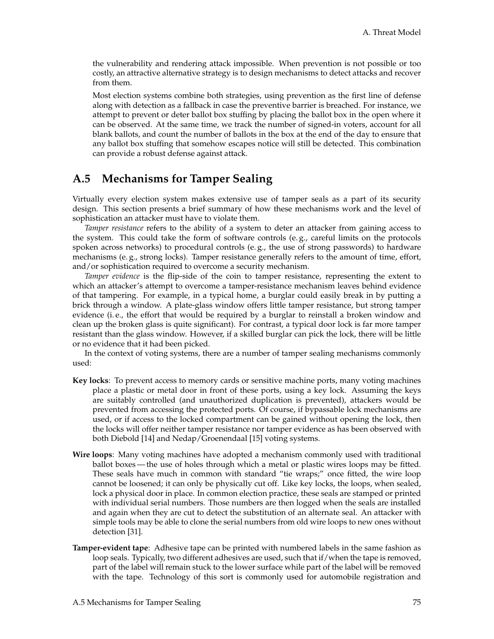the vulnerability and rendering attack impossible. When prevention is not possible or too costly, an attractive alternative strategy is to design mechanisms to detect attacks and recover from them.

Most election systems combine both strategies, using prevention as the first line of defense along with detection as a fallback in case the preventive barrier is breached. For instance, we attempt to prevent or deter ballot box stuffing by placing the ballot box in the open where it can be observed. At the same time, we track the number of signed-in voters, account for all blank ballots, and count the number of ballots in the box at the end of the day to ensure that any ballot box stuffing that somehow escapes notice will still be detected. This combination can provide a robust defense against attack.

### **A.5 Mechanisms for Tamper Sealing**

Virtually every election system makes extensive use of tamper seals as a part of its security design. This section presents a brief summary of how these mechanisms work and the level of sophistication an attacker must have to violate them.

*Tamper resistance* refers to the ability of a system to deter an attacker from gaining access to the system. This could take the form of software controls (e. g., careful limits on the protocols spoken across networks) to procedural controls (e. g., the use of strong passwords) to hardware mechanisms (e.g., strong locks). Tamper resistance generally refers to the amount of time, effort, and/or sophistication required to overcome a security mechanism.

*Tamper evidence* is the flip-side of the coin to tamper resistance, representing the extent to which an attacker's attempt to overcome a tamper-resistance mechanism leaves behind evidence of that tampering. For example, in a typical home, a burglar could easily break in by putting a brick through a window. A plate-glass window offers little tamper resistance, but strong tamper evidence (i. e., the effort that would be required by a burglar to reinstall a broken window and clean up the broken glass is quite significant). For contrast, a typical door lock is far more tamper resistant than the glass window. However, if a skilled burglar can pick the lock, there will be little or no evidence that it had been picked.

In the context of voting systems, there are a number of tamper sealing mechanisms commonly used:

- **Key locks**: To prevent access to memory cards or sensitive machine ports, many voting machines place a plastic or metal door in front of these ports, using a key lock. Assuming the keys are suitably controlled (and unauthorized duplication is prevented), attackers would be prevented from accessing the protected ports. Of course, if bypassable lock mechanisms are used, or if access to the locked compartment can be gained without opening the lock, then the locks will offer neither tamper resistance nor tamper evidence as has been observed with both Diebold [\[14\]](#page-83-0) and Nedap/Groenendaal [\[15\]](#page-83-1) voting systems.
- **Wire loops**: Many voting machines have adopted a mechanism commonly used with traditional ballot boxes — the use of holes through which a metal or plastic wires loops may be fitted. These seals have much in common with standard "tie wraps;" once fitted, the wire loop cannot be loosened; it can only be physically cut off. Like key locks, the loops, when sealed, lock a physical door in place. In common election practice, these seals are stamped or printed with individual serial numbers. Those numbers are then logged when the seals are installed and again when they are cut to detect the substitution of an alternate seal. An attacker with simple tools may be able to clone the serial numbers from old wire loops to new ones without detection [\[31\]](#page-84-1).
- **Tamper-evident tape**: Adhesive tape can be printed with numbered labels in the same fashion as loop seals. Typically, two different adhesives are used, such that if/when the tape is removed, part of the label will remain stuck to the lower surface while part of the label will be removed with the tape. Technology of this sort is commonly used for automobile registration and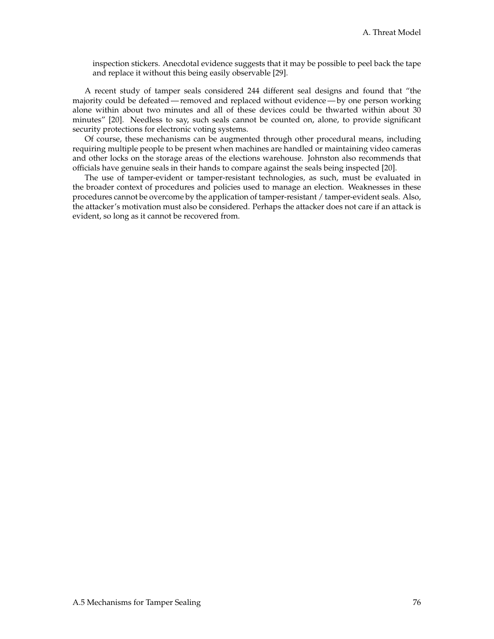inspection stickers. Anecdotal evidence suggests that it may be possible to peel back the tape and replace it without this being easily observable [\[29\]](#page-84-2).

A recent study of tamper seals considered 244 different seal designs and found that "the majority could be defeated— removed and replaced without evidence— by one person working alone within about two minutes and all of these devices could be thwarted within about 30 minutes" [\[20\]](#page-84-3). Needless to say, such seals cannot be counted on, alone, to provide significant security protections for electronic voting systems.

Of course, these mechanisms can be augmented through other procedural means, including requiring multiple people to be present when machines are handled or maintaining video cameras and other locks on the storage areas of the elections warehouse. Johnston also recommends that officials have genuine seals in their hands to compare against the seals being inspected [\[20\]](#page-84-3).

The use of tamper-evident or tamper-resistant technologies, as such, must be evaluated in the broader context of procedures and policies used to manage an election. Weaknesses in these procedures cannot be overcome by the application of tamper-resistant / tamper-evident seals. Also, the attacker's motivation must also be considered. Perhaps the attacker does not care if an attack is evident, so long as it cannot be recovered from.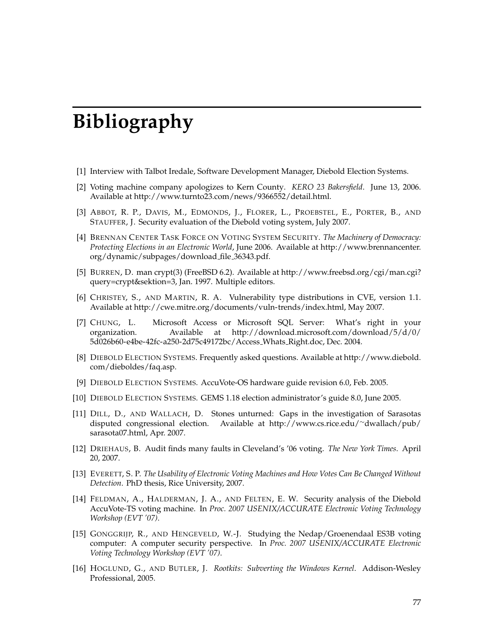# **Bibliography**

- [1] Interview with Talbot Iredale, Software Development Manager, Diebold Election Systems.
- [2] Voting machine company apologizes to Kern County. *KERO 23 Bakersfield*. June 13, 2006. Available at [http://www.turnto23.com/news/9366552/detail.html.](http://www.turnto23.com/news/9366552/detail.html)
- [3] ABBOT, R. P., DAVIS, M., EDMONDS, J., FLORER, L., PROEBSTEL, E., PORTER, B., AND STAUFFER, J. Security evaluation of the Diebold voting system, July 2007.
- [4] BRENNAN CENTER TASK FORCE ON VOTING SYSTEM SECURITY. *The Machinery of Democracy: Protecting Elections in an Electronic World*, June 2006. Available at [http://www.brennancenter.](http://www.brennancenter.org/dynamic/subpages/download_file_36343.pdf) [org/dynamic/subpages/download](http://www.brennancenter.org/dynamic/subpages/download_file_36343.pdf) file 36343.pdf.
- [5] BURREN, D. man crypt(3) (FreeBSD 6.2). Available at [http://www.freebsd.org/cgi/man.cgi?](http://www.freebsd.org/cgi/man.cgi?query=crypt&sektion=3) [query=crypt&sektion=3,](http://www.freebsd.org/cgi/man.cgi?query=crypt&sektion=3) Jan. 1997. Multiple editors.
- [6] CHRISTEY, S., AND MARTIN, R. A. Vulnerability type distributions in CVE, version 1.1. Available at [http://cwe.mitre.org/documents/vuln-trends/index.html,](http://cwe.mitre.org/documents/vuln-trends/index.html) May 2007.
- [7] CHUNG, L. Microsoft Access or Microsoft SQL Server: What's right in your organization. Available at [http://download.microsoft.com/download/5/d/0/](http://download.microsoft.com/download/5/d/0/5d026b60-e4be-42fc-a250-2d75c49172bc/Access_Whats_Right.doc) [5d026b60-e4be-42fc-a250-2d75c49172bc/Access](http://download.microsoft.com/download/5/d/0/5d026b60-e4be-42fc-a250-2d75c49172bc/Access_Whats_Right.doc) Whats Right.doc, Dec. 2004.
- [8] DIEBOLD ELECTION SYSTEMS. Frequently asked questions. Available at [http://www.diebold.](http://www.diebold.com/dieboldes/faq.asp) [com/dieboldes/faq.asp.](http://www.diebold.com/dieboldes/faq.asp)
- [9] DIEBOLD ELECTION SYSTEMS. AccuVote-OS hardware guide revision 6.0, Feb. 2005.
- [10] DIEBOLD ELECTION SYSTEMS. GEMS 1.18 election administrator's guide 8.0, June 2005.
- [11] DILL, D., AND WALLACH, D. Stones unturned: Gaps in the investigation of Sarasotas disputed congressional election. Available at [http://www.cs.rice.edu/](http://www.cs.rice.edu/~dwallach/pub/sarasota07.html)<sup>∼</sup>dwallach/pub/ [sarasota07.html,](http://www.cs.rice.edu/~dwallach/pub/sarasota07.html) Apr. 2007.
- [12] DRIEHAUS, B. Audit finds many faults in Cleveland's '06 voting. *The New York Times*. April 20, 2007.
- [13] EVERETT, S. P. *The Usability of Electronic Voting Machines and How Votes Can Be Changed Without Detection*. PhD thesis, Rice University, 2007.
- <span id="page-83-0"></span>[14] FELDMAN, A., HALDERMAN, J. A., AND FELTEN, E. W. Security analysis of the Diebold AccuVote-TS voting machine. In *Proc. 2007 USENIX/ACCURATE Electronic Voting Technology Workshop (EVT '07)*.
- <span id="page-83-1"></span>[15] GONGGRIJP, R., AND HENGEVELD, W.-J. Studying the Nedap/Groenendaal ES3B voting computer: A computer security perspective. In *Proc. 2007 USENIX/ACCURATE Electronic Voting Technology Workshop (EVT '07)*.
- [16] HOGLUND, G., AND BUTLER, J. *Rootkits: Subverting the Windows Kernel*. Addison-Wesley Professional, 2005.